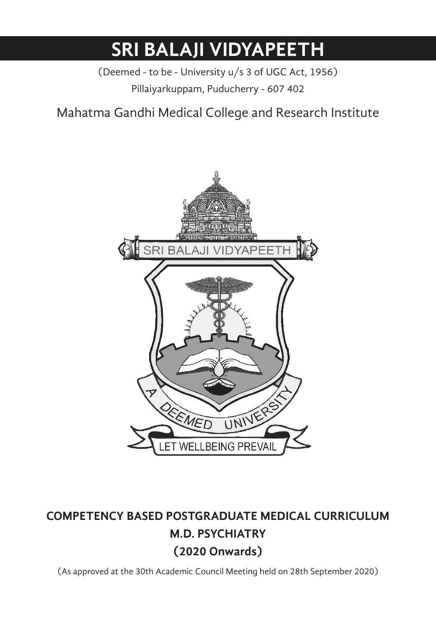# **SRI BALAJI VIDYAPEETH**

(Deemed - to be - University u/s 3 of UGC Act, 1956) Pillaiyarkuppam, Puducherry - 607 402

Mahatma Gandhi Medical College and Research Institute



# **COMPETENCY BASED POSTGRADUATE MEDICAL CURRICULUM M.D. PSYCHIATRY (2020 Onwards)**

(As approved at the 30th Academic Council Meeting held on 28th September 2020)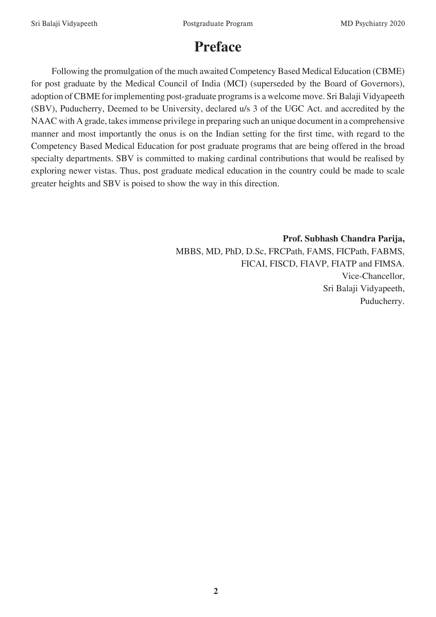# **Preface**

Following the promulgation of the much awaited Competency Based Medical Education (CBME) for post graduate by the Medical Council of India (MCI) (superseded by the Board of Governors), adoption of CBME for implementing post-graduate programs is a welcome move. Sri Balaji Vidyapeeth (SBV), Puducherry, Deemed to be University, declared u/s 3 of the UGC Act. and accredited by the NAAC with A grade, takes immense privilege in preparing such an unique document in a comprehensive manner and most importantly the onus is on the Indian setting for the first time, with regard to the Competency Based Medical Education for post graduate programs that are being offered in the broad specialty departments. SBV is committed to making cardinal contributions that would be realised by exploring newer vistas. Thus, post graduate medical education in the country could be made to scale greater heights and SBV is poised to show the way in this direction.

> **Prof. Subhash Chandra Parija,**  MBBS, MD, PhD, D.Sc, FRCPath, FAMS, FICPath, FABMS, FICAI, FISCD, FIAVP, FIATP and FIMSA. Vice-Chancellor, Sri Balaji Vidyapeeth, Puducherry.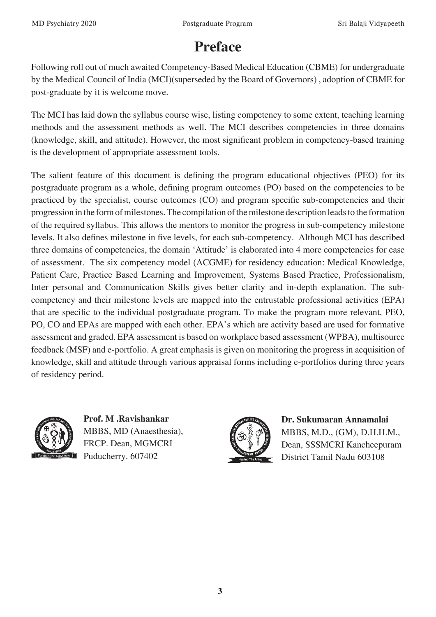# **Preface**

Following roll out of much awaited Competency-Based Medical Education (CBME) for undergraduate by the Medical Council of India (MCI)(superseded by the Board of Governors) , adoption of CBME for post-graduate by it is welcome move.

The MCI has laid down the syllabus course wise, listing competency to some extent, teaching learning methods and the assessment methods as well. The MCI describes competencies in three domains (knowledge, skill, and attitude). However, the most significant problem in competency-based training is the development of appropriate assessment tools.

The salient feature of this document is defining the program educational objectives (PEO) for its postgraduate program as a whole, defining program outcomes (PO) based on the competencies to be practiced by the specialist, course outcomes (CO) and program specific sub-competencies and their progression in the form of milestones. The compilation of the milestone description leads to the formation of the required syllabus. This allows the mentors to monitor the progress in sub-competency milestone levels. It also defines milestone in five levels, for each sub-competency. Although MCI has described three domains of competencies, the domain 'Attitude' is elaborated into 4 more competencies for ease of assessment. The six competency model (ACGME) for residency education: Medical Knowledge, Patient Care, Practice Based Learning and Improvement, Systems Based Practice, Professionalism, Inter personal and Communication Skills gives better clarity and in-depth explanation. The subcompetency and their milestone levels are mapped into the entrustable professional activities (EPA) that are specific to the individual postgraduate program. To make the program more relevant, PEO, PO, CO and EPAs are mapped with each other. EPA's which are activity based are used for formative assessment and graded. EPA assessment is based on workplace based assessment (WPBA), multisource feedback (MSF) and e-portfolio. A great emphasis is given on monitoring the progress in acquisition of knowledge, skill and attitude through various appraisal forms including e-portfolios during three years of residency period.



**Prof. M .Ravishankar**  MBBS, MD (Anaesthesia), FRCP. Dean, MGMCRI Puducherry. 607402



**Dr. Sukumaran Annamalai**  MBBS, M.D., (GM), D.H.H.M., Dean, SSSMCRI Kancheepuram District Tamil Nadu 603108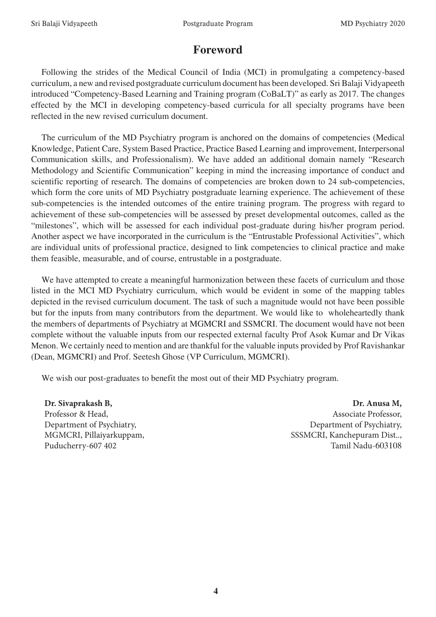# **Foreword**

Following the strides of the Medical Council of India (MCI) in promulgating a competency-based curriculum, a new and revised postgraduate curriculum document has been developed. Sri Balaji Vidyapeeth introduced "Competency-Based Learning and Training program (CoBaLT)" as early as 2017. The changes effected by the MCI in developing competency-based curricula for all specialty programs have been reflected in the new revised curriculum document.

The curriculum of the MD Psychiatry program is anchored on the domains of competencies (Medical Knowledge, Patient Care, System Based Practice, Practice Based Learning and improvement, Interpersonal Communication skills, and Professionalism). We have added an additional domain namely "Research Methodology and Scientific Communication" keeping in mind the increasing importance of conduct and scientific reporting of research. The domains of competencies are broken down to 24 sub-competencies, which form the core units of MD Psychiatry postgraduate learning experience. The achievement of these sub-competencies is the intended outcomes of the entire training program. The progress with regard to achievement of these sub-competencies will be assessed by preset developmental outcomes, called as the "milestones", which will be assessed for each individual post-graduate during his/her program period. Another aspect we have incorporated in the curriculum is the "Entrustable Professional Activities", which are individual units of professional practice, designed to link competencies to clinical practice and make them feasible, measurable, and of course, entrustable in a postgraduate.

We have attempted to create a meaningful harmonization between these facets of curriculum and those listed in the MCI MD Psychiatry curriculum, which would be evident in some of the mapping tables depicted in the revised curriculum document. The task of such a magnitude would not have been possible but for the inputs from many contributors from the department. We would like to wholeheartedly thank the members of departments of Psychiatry at MGMCRI and SSMCRI. The document would have not been complete without the valuable inputs from our respected external faculty Prof Asok Kumar and Dr Vikas Menon. We certainly need to mention and are thankful for the valuable inputs provided by Prof Ravishankar (Dean, MGMCRI) and Prof. Seetesh Ghose (VP Curriculum, MGMCRI).

We wish our post-graduates to benefit the most out of their MD Psychiatry program.

**Dr. Sivaprakash B,** Professor & Head, Department of Psychiatry, MGMCRI, Pillaiyarkuppam, Puducherry-607 402

**Dr. Anusa M,** Associate Professor, Department of Psychiatry, SSSMCRI, Kanchepuram Dist.., Tamil Nadu-603108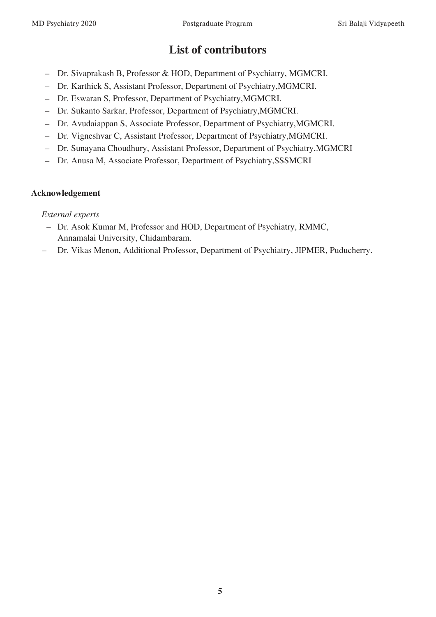# **List of contributors**

- Dr. Sivaprakash B, Professor & HOD, Department of Psychiatry, MGMCRI.
- Dr. Karthick S, Assistant Professor, Department of Psychiatry,MGMCRI.
- Dr. Eswaran S, Professor, Department of Psychiatry,MGMCRI.
- Dr. Sukanto Sarkar, Professor, Department of Psychiatry,MGMCRI.
- Dr. Avudaiappan S, Associate Professor, Department of Psychiatry,MGMCRI.
- Dr. Vigneshvar C, Assistant Professor, Department of Psychiatry,MGMCRI.
- Dr. Sunayana Choudhury, Assistant Professor, Department of Psychiatry,MGMCRI
- Dr. Anusa M, Associate Professor, Department of Psychiatry,SSSMCRI

#### **Acknowledgement**

#### *External experts*

- Dr. Asok Kumar M, Professor and HOD, Department of Psychiatry, RMMC, Annamalai University, Chidambaram.
- Dr. Vikas Menon, Additional Professor, Department of Psychiatry, JIPMER, Puducherry.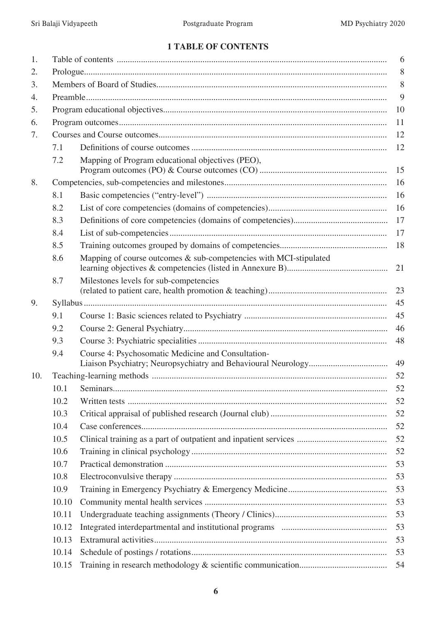# **1 TABLE OF CONTENTS**

|       | 6                                                                 |    |  |
|-------|-------------------------------------------------------------------|----|--|
|       | 8                                                                 |    |  |
|       | 8                                                                 |    |  |
|       |                                                                   | 9  |  |
|       |                                                                   | 10 |  |
|       |                                                                   | 11 |  |
|       |                                                                   | 12 |  |
| 7.1   |                                                                   | 12 |  |
| 7.2   | Mapping of Program educational objectives (PEO),                  | 15 |  |
|       |                                                                   | 16 |  |
| 8.1   |                                                                   | 16 |  |
| 8.2   |                                                                   | 16 |  |
| 8.3   |                                                                   | 17 |  |
| 8.4   |                                                                   | 17 |  |
| 8.5   |                                                                   | 18 |  |
| 8.6   | Mapping of course outcomes & sub-competencies with MCI-stipulated | 21 |  |
| 8.7   | Milestones levels for sub-competencies                            | 23 |  |
|       |                                                                   | 45 |  |
| 9.1   |                                                                   | 45 |  |
| 9.2   |                                                                   | 46 |  |
| 9.3   |                                                                   | 48 |  |
| 9.4   | Course 4: Psychosomatic Medicine and Consultation-                | 49 |  |
|       |                                                                   | 52 |  |
| 10.1  |                                                                   | 52 |  |
| 10.2  |                                                                   | 52 |  |
| 10.3  |                                                                   | 52 |  |
| 10.4  |                                                                   | 52 |  |
| 10.5  |                                                                   | 52 |  |
| 10.6  |                                                                   | 52 |  |
| 10.7  |                                                                   | 53 |  |
| 10.8  |                                                                   | 53 |  |
| 10.9  |                                                                   | 53 |  |
| 10.10 |                                                                   | 53 |  |
| 10.11 |                                                                   | 53 |  |
| 10.12 |                                                                   | 53 |  |
| 10.13 |                                                                   | 53 |  |
| 10.14 |                                                                   | 53 |  |
| 10.15 |                                                                   | 54 |  |
|       |                                                                   |    |  |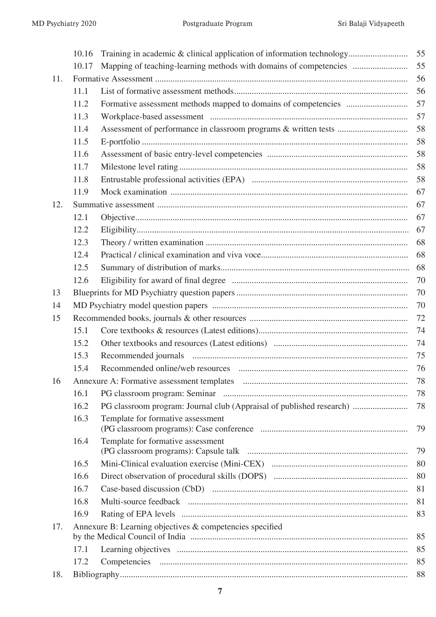|     | 10.16 | Training in academic & clinical application of information technology | 55 |
|-----|-------|-----------------------------------------------------------------------|----|
|     | 10.17 | Mapping of teaching-learning methods with domains of competencies     | 55 |
| 11. |       |                                                                       | 56 |
|     | 11.1  |                                                                       | 56 |
|     | 11.2  |                                                                       | 57 |
|     | 11.3  |                                                                       | 57 |
|     | 11.4  |                                                                       | 58 |
|     | 11.5  |                                                                       | 58 |
|     | 11.6  |                                                                       | 58 |
|     | 11.7  |                                                                       | 58 |
|     | 11.8  |                                                                       | 58 |
|     | 11.9  |                                                                       | 67 |
| 12. |       |                                                                       | 67 |
|     | 12.1  |                                                                       | 67 |
|     | 12.2  |                                                                       | 67 |
|     | 12.3  |                                                                       | 68 |
|     | 12.4  |                                                                       | 68 |
|     | 12.5  |                                                                       | 68 |
|     | 12.6  |                                                                       | 70 |
| 13  |       |                                                                       | 70 |
| 14  |       |                                                                       | 70 |
| 15  |       |                                                                       | 72 |
|     | 15.1  |                                                                       | 74 |
|     | 15.2  |                                                                       | 74 |
|     | 15.3  |                                                                       | 75 |
|     | 15.4  |                                                                       | 76 |
| 16  |       |                                                                       | 78 |
|     | 16.1  |                                                                       | 78 |
|     | 16.2  | PG classroom program: Journal club (Appraisal of published research)  | 78 |
|     | 16.3  | Template for formative assessment                                     | 79 |
|     | 16.4  | Template for formative assessment                                     | 79 |
|     | 16.5  |                                                                       | 80 |
|     | 16.6  |                                                                       | 80 |
|     | 16.7  |                                                                       | 81 |
|     | 16.8  |                                                                       | 81 |
|     | 16.9  |                                                                       | 83 |
| 17. |       | Annexure B: Learning objectives & competencies specified              | 85 |
|     | 17.1  |                                                                       | 85 |
|     | 17.2  |                                                                       | 85 |
| 18. |       |                                                                       | 88 |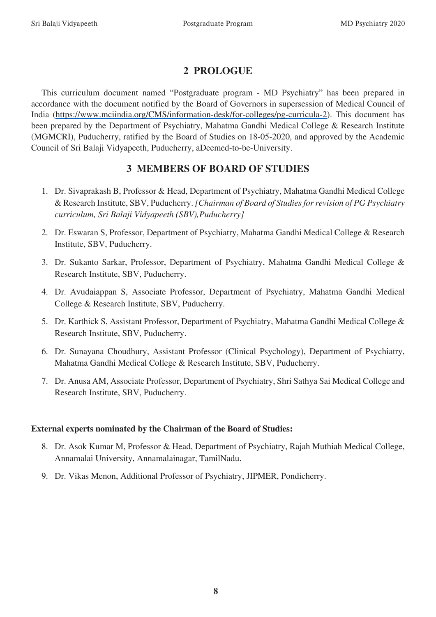# **2 PROLOGUE**

This curriculum document named "Postgraduate program - MD Psychiatry" has been prepared in accordance with the document notified by the Board of Governors in supersession of Medical Council of India (https://www.mciindia.org/CMS/information-desk/for-colleges/pg-curricula-2). This document has been prepared by the Department of Psychiatry, Mahatma Gandhi Medical College & Research Institute (MGMCRI), Puducherry, ratified by the Board of Studies on 18-05-2020, and approved by the Academic Council of Sri Balaji Vidyapeeth, Puducherry, aDeemed-to-be-University.

# **3 MEMBERS OF BOARD OF STUDIES**

- 1. Dr. Sivaprakash B, Professor & Head, Department of Psychiatry, Mahatma Gandhi Medical College & Research Institute, SBV, Puducherry. *[Chairman of Board of Studies for revision of PG Psychiatry curriculum, Sri Balaji Vidyapeeth (SBV),Puducherry]*
- 2. Dr. Eswaran S, Professor, Department of Psychiatry, Mahatma Gandhi Medical College & Research Institute, SBV, Puducherry.
- 3. Dr. Sukanto Sarkar, Professor, Department of Psychiatry, Mahatma Gandhi Medical College & Research Institute, SBV, Puducherry.
- 4. Dr. Avudaiappan S, Associate Professor, Department of Psychiatry, Mahatma Gandhi Medical College & Research Institute, SBV, Puducherry.
- 5. Dr. Karthick S, Assistant Professor, Department of Psychiatry, Mahatma Gandhi Medical College & Research Institute, SBV, Puducherry.
- 6. Dr. Sunayana Choudhury, Assistant Professor (Clinical Psychology), Department of Psychiatry, Mahatma Gandhi Medical College & Research Institute, SBV, Puducherry.
- 7. Dr. Anusa AM, Associate Professor, Department of Psychiatry, Shri Sathya Sai Medical College and Research Institute, SBV, Puducherry.

# **External experts nominated by the Chairman of the Board of Studies:**

- 8. Dr. Asok Kumar M, Professor & Head, Department of Psychiatry, Rajah Muthiah Medical College, Annamalai University, Annamalainagar, TamilNadu.
- 9. Dr. Vikas Menon, Additional Professor of Psychiatry, JIPMER, Pondicherry.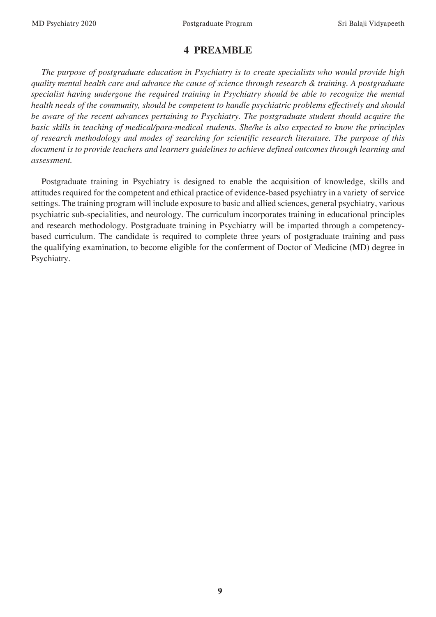# **4 PREAMBLE**

*The purpose of postgraduate education in Psychiatry is to create specialists who would provide high quality mental health care and advance the cause of science through research & training. A postgraduate specialist having undergone the required training in Psychiatry should be able to recognize the mental health needs of the community, should be competent to handle psychiatric problems effectively and should be aware of the recent advances pertaining to Psychiatry. The postgraduate student should acquire the basic skills in teaching of medical/para-medical students. She/he is also expected to know the principles of research methodology and modes of searching for scientific research literature. The purpose of this document is to provide teachers and learners guidelines to achieve defined outcomes through learning and assessment.*

Postgraduate training in Psychiatry is designed to enable the acquisition of knowledge, skills and attitudes required for the competent and ethical practice of evidence-based psychiatry in a variety of service settings. The training program will include exposure to basic and allied sciences, general psychiatry, various psychiatric sub-specialities, and neurology. The curriculum incorporates training in educational principles and research methodology. Postgraduate training in Psychiatry will be imparted through a competencybased curriculum. The candidate is required to complete three years of postgraduate training and pass the qualifying examination, to become eligible for the conferment of Doctor of Medicine (MD) degree in Psychiatry.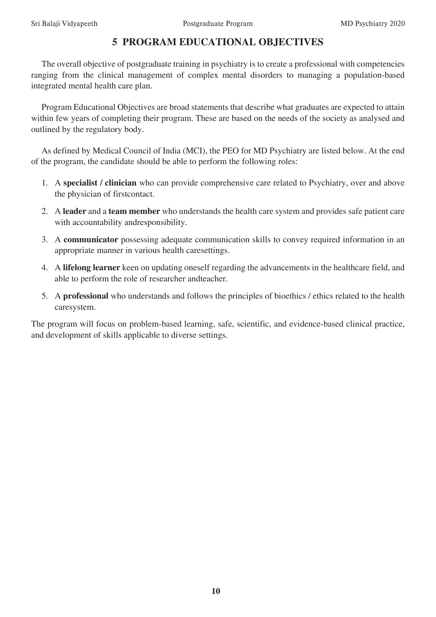# **5 PROGRAM EDUCATIONAL OBJECTIVES**

The overall objective of postgraduate training in psychiatry is to create a professional with competencies ranging from the clinical management of complex mental disorders to managing a population-based integrated mental health care plan.

Program Educational Objectives are broad statements that describe what graduates are expected to attain within few years of completing their program. These are based on the needs of the society as analysed and outlined by the regulatory body.

As defined by Medical Council of India (MCI), the PEO for MD Psychiatry are listed below. At the end of the program, the candidate should be able to perform the following roles:

- 1. A **specialist / clinician** who can provide comprehensive care related to Psychiatry, over and above the physician of firstcontact.
- 2. A **leader** and a **team member** who understands the health care system and provides safe patient care with accountability andresponsibility.
- 3. A **communicator** possessing adequate communication skills to convey required information in an appropriate manner in various health caresettings.
- 4. A **lifelong learner** keen on updating oneself regarding the advancements in the healthcare field, and able to perform the role of researcher andteacher.
- 5. A **professional** who understands and follows the principles of bioethics / ethics related to the health caresystem.

The program will focus on problem-based learning, safe, scientific, and evidence-based clinical practice, and development of skills applicable to diverse settings.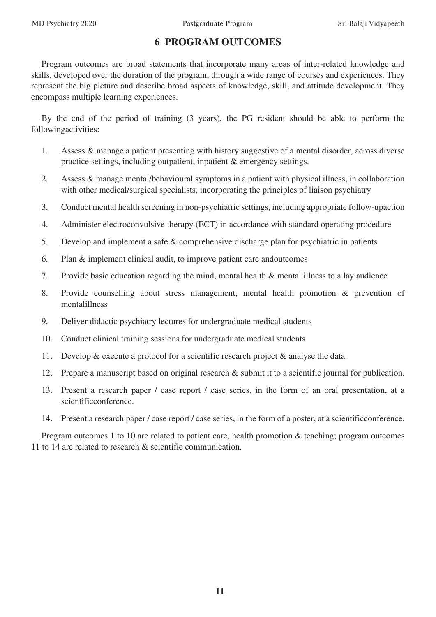# **6 PROGRAM OUTCOMES**

Program outcomes are broad statements that incorporate many areas of inter-related knowledge and skills, developed over the duration of the program, through a wide range of courses and experiences. They represent the big picture and describe broad aspects of knowledge, skill, and attitude development. They encompass multiple learning experiences.

By the end of the period of training (3 years), the PG resident should be able to perform the followingactivities:

- 1. Assess & manage a patient presenting with history suggestive of a mental disorder, across diverse practice settings, including outpatient, inpatient & emergency settings.
- 2. Assess & manage mental/behavioural symptoms in a patient with physical illness, in collaboration with other medical/surgical specialists, incorporating the principles of liaison psychiatry
- 3. Conduct mental health screening in non-psychiatric settings, including appropriate follow-upaction
- 4. Administer electroconvulsive therapy (ECT) in accordance with standard operating procedure
- 5. Develop and implement a safe & comprehensive discharge plan for psychiatric in patients
- 6. Plan & implement clinical audit, to improve patient care andoutcomes
- 7. Provide basic education regarding the mind, mental health & mental illness to a lay audience
- 8. Provide counselling about stress management, mental health promotion & prevention of mentalillness
- 9. Deliver didactic psychiatry lectures for undergraduate medical students
- 10. Conduct clinical training sessions for undergraduate medical students
- 11. Develop & execute a protocol for a scientific research project & analyse the data.
- 12. Prepare a manuscript based on original research & submit it to a scientific journal for publication.
- 13. Present a research paper / case report / case series, in the form of an oral presentation, at a scientificconference.
- 14. Present a research paper / case report / case series, in the form of a poster, at a scientificconference.

Program outcomes 1 to 10 are related to patient care, health promotion & teaching; program outcomes 11 to 14 are related to research & scientific communication.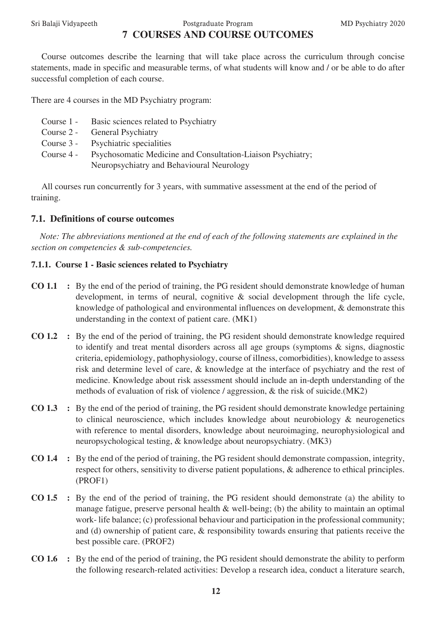# Sri Balaji Vidyapeeth Postgraduate Program MD Psychiatry 2020 **7 COURSES AND COURSE OUTCOMES**

Course outcomes describe the learning that will take place across the curriculum through concise statements, made in specific and measurable terms, of what students will know and / or be able to do after successful completion of each course.

There are 4 courses in the MD Psychiatry program:

- Course 1 Basic sciences related to Psychiatry
- Course 2 General Psychiatry
- Course 3 Psychiatric specialities
- Course 4 Psychosomatic Medicine and Consultation-Liaison Psychiatry; Neuropsychiatry and Behavioural Neurology

All courses run concurrently for 3 years, with summative assessment at the end of the period of training.

#### **7.1. Definitions of course outcomes**

*Note: The abbreviations mentioned at the end of each of the following statements are explained in the section on competencies & sub-competencies.*

#### **7.1.1. Course 1 - Basic sciences related to Psychiatry**

- **CO 1.1 :** By the end of the period of training, the PG resident should demonstrate knowledge of human development, in terms of neural, cognitive & social development through the life cycle, knowledge of pathological and environmental influences on development, & demonstrate this understanding in the context of patient care. (MK1)
- **CO 1.2 :** By the end of the period of training, the PG resident should demonstrate knowledge required to identify and treat mental disorders across all age groups (symptoms & signs, diagnostic criteria, epidemiology, pathophysiology, course of illness, comorbidities), knowledge to assess risk and determine level of care, & knowledge at the interface of psychiatry and the rest of medicine. Knowledge about risk assessment should include an in-depth understanding of the methods of evaluation of risk of violence / aggression, & the risk of suicide.(MK2)
- **CO 1.3 :** By the end of the period of training, the PG resident should demonstrate knowledge pertaining to clinical neuroscience, which includes knowledge about neurobiology & neurogenetics with reference to mental disorders, knowledge about neuroimaging, neurophysiological and neuropsychological testing, & knowledge about neuropsychiatry. (MK3)
- **CO 1.4 :** By the end of the period of training, the PG resident should demonstrate compassion, integrity, respect for others, sensitivity to diverse patient populations, & adherence to ethical principles. (PROF1)
- **CO 1.5 :** By the end of the period of training, the PG resident should demonstrate (a) the ability to manage fatigue, preserve personal health & well-being; (b) the ability to maintain an optimal work- life balance; (c) professional behaviour and participation in the professional community; and (d) ownership of patient care, & responsibility towards ensuring that patients receive the best possible care. (PROF2)
- **CO 1.6 :** By the end of the period of training, the PG resident should demonstrate the ability to perform the following research-related activities: Develop a research idea, conduct a literature search,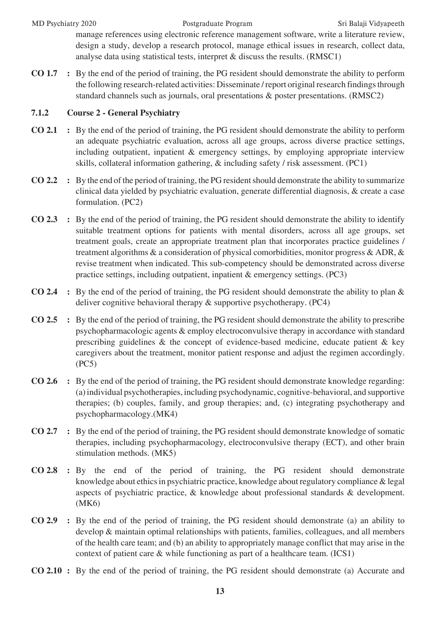#### MD Psychiatry 2020 Postgraduate Program Sri Balaji Vidyapeeth

manage references using electronic reference management software, write a literature review, design a study, develop a research protocol, manage ethical issues in research, collect data, analyse data using statistical tests, interpret & discuss the results. (RMSC1)

**CO 1.7 :** By the end of the period of training, the PG resident should demonstrate the ability to perform the following research-related activities: Disseminate / report original research findings through standard channels such as journals, oral presentations & poster presentations. (RMSC2)

#### **7.1.2 Course 2 - General Psychiatry**

- **CO 2.1 :** By the end of the period of training, the PG resident should demonstrate the ability to perform an adequate psychiatric evaluation, across all age groups, across diverse practice settings, including outpatient, inpatient & emergency settings, by employing appropriate interview skills, collateral information gathering, & including safety / risk assessment. (PC1)
- **CO 2.2 :** By the end of the period of training, the PG resident should demonstrate the ability to summarize clinical data yielded by psychiatric evaluation, generate differential diagnosis, & create a case formulation. (PC2)
- **CO 2.3 :** By the end of the period of training, the PG resident should demonstrate the ability to identify suitable treatment options for patients with mental disorders, across all age groups, set treatment goals, create an appropriate treatment plan that incorporates practice guidelines / treatment algorithms & a consideration of physical comorbidities, monitor progress & ADR, & revise treatment when indicated. This sub-competency should be demonstrated across diverse practice settings, including outpatient, inpatient & emergency settings. (PC3)
- **CO 2.4 :** By the end of the period of training, the PG resident should demonstrate the ability to plan & deliver cognitive behavioral therapy & supportive psychotherapy. (PC4)
- **CO 2.5 :** By the end of the period of training, the PG resident should demonstrate the ability to prescribe psychopharmacologic agents & employ electroconvulsive therapy in accordance with standard prescribing guidelines & the concept of evidence-based medicine, educate patient & key caregivers about the treatment, monitor patient response and adjust the regimen accordingly. (PC5)
- **CO 2.6 :** By the end of the period of training, the PG resident should demonstrate knowledge regarding: (a) individual psychotherapies, including psychodynamic, cognitive-behavioral, and supportive therapies; (b) couples, family, and group therapies; and, (c) integrating psychotherapy and psychopharmacology.(MK4)
- **CO 2.7 :** By the end of the period of training, the PG resident should demonstrate knowledge of somatic therapies, including psychopharmacology, electroconvulsive therapy (ECT), and other brain stimulation methods. (MK5)
- **CO 2.8 :** By the end of the period of training, the PG resident should demonstrate knowledge about ethics in psychiatric practice, knowledge about regulatory compliance & legal aspects of psychiatric practice, & knowledge about professional standards & development. (MK6)
- **CO 2.9 :** By the end of the period of training, the PG resident should demonstrate (a) an ability to develop & maintain optimal relationships with patients, families, colleagues, and all members of the health care team; and (b) an ability to appropriately manage conflict that may arise in the context of patient care & while functioning as part of a healthcare team. (ICS1)
- **CO 2.10 :** By the end of the period of training, the PG resident should demonstrate (a) Accurate and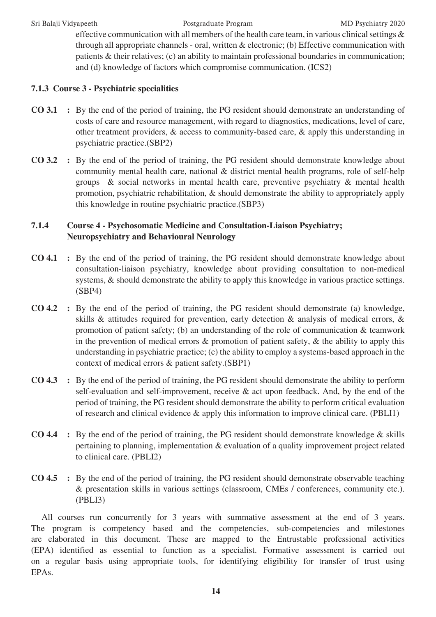Sri Balaji Vidyapeeth Postgraduate Program MD Psychiatry 2020

effective communication with all members of the health care team, in various clinical settings & through all appropriate channels - oral, written & electronic; (b) Effective communication with patients & their relatives; (c) an ability to maintain professional boundaries in communication; and (d) knowledge of factors which compromise communication. (ICS2)

### **7.1.3 Course 3 - Psychiatric specialities**

- **CO 3.1 :** By the end of the period of training, the PG resident should demonstrate an understanding of costs of care and resource management, with regard to diagnostics, medications, level of care, other treatment providers, & access to community-based care, & apply this understanding in psychiatric practice.(SBP2)
- **CO 3.2 :** By the end of the period of training, the PG resident should demonstrate knowledge about community mental health care, national & district mental health programs, role of self-help groups & social networks in mental health care, preventive psychiatry & mental health promotion, psychiatric rehabilitation, & should demonstrate the ability to appropriately apply this knowledge in routine psychiatric practice.(SBP3)

### **7.1.4 Course 4 - Psychosomatic Medicine and Consultation-Liaison Psychiatry; Neuropsychiatry and Behavioural Neurology**

- **CO 4.1 :** By the end of the period of training, the PG resident should demonstrate knowledge about consultation-liaison psychiatry, knowledge about providing consultation to non-medical systems, & should demonstrate the ability to apply this knowledge in various practice settings. (SBP4)
- **CO 4.2 :** By the end of the period of training, the PG resident should demonstrate (a) knowledge, skills & attitudes required for prevention, early detection & analysis of medical errors, & promotion of patient safety; (b) an understanding of the role of communication & teamwork in the prevention of medical errors & promotion of patient safety, & the ability to apply this understanding in psychiatric practice; (c) the ability to employ a systems-based approach in the context of medical errors & patient safety.(SBP1)
- **CO 4.3 :** By the end of the period of training, the PG resident should demonstrate the ability to perform self-evaluation and self-improvement, receive & act upon feedback. And, by the end of the period of training, the PG resident should demonstrate the ability to perform critical evaluation of research and clinical evidence & apply this information to improve clinical care. (PBLI1)
- **CO 4.4 :** By the end of the period of training, the PG resident should demonstrate knowledge & skills pertaining to planning, implementation & evaluation of a quality improvement project related to clinical care. (PBLI2)
- **CO 4.5 :** By the end of the period of training, the PG resident should demonstrate observable teaching & presentation skills in various settings (classroom, CMEs / conferences, community etc.). (PBLI3)

All courses run concurrently for 3 years with summative assessment at the end of 3 years. The program is competency based and the competencies, sub-competencies and milestones are elaborated in this document. These are mapped to the Entrustable professional activities (EPA) identified as essential to function as a specialist. Formative assessment is carried out on a regular basis using appropriate tools, for identifying eligibility for transfer of trust using EPAs.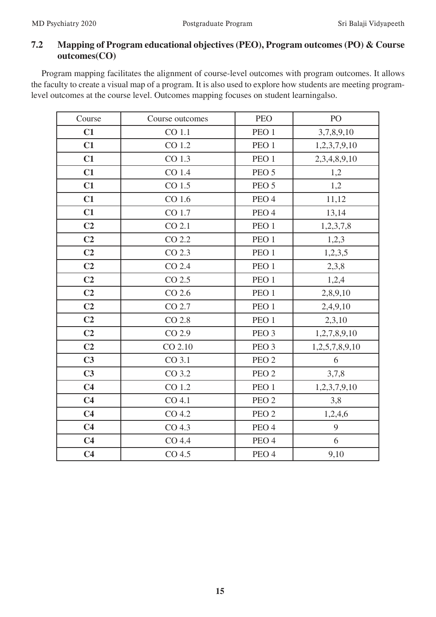# **7.2 Mapping of Program educational objectives (PEO), Program outcomes (PO) & Course outcomes(CO)**

Program mapping facilitates the alignment of course-level outcomes with program outcomes. It allows the faculty to create a visual map of a program. It is also used to explore how students are meeting programlevel outcomes at the course level. Outcomes mapping focuses on student learningalso.

| Course         | Course outcomes   | <b>PEO</b>       | PO             |
|----------------|-------------------|------------------|----------------|
| C1             | CO 1.1            | PEO <sub>1</sub> | 3,7,8,9,10     |
| C1             | CO 1.2            | PEO <sub>1</sub> | 1,2,3,7,9,10   |
| C1             | CO 1.3            | PEO <sub>1</sub> | 2,3,4,8,9,10   |
| C1             | CO 1.4            | PEO <sub>5</sub> | 1,2            |
| C1             | CO 1.5            | PEO <sub>5</sub> | 1,2            |
| C1             | CO 1.6            | PEO <sub>4</sub> | 11,12          |
| C1             | CO 1.7            | PEO <sub>4</sub> | 13,14          |
| C <sub>2</sub> | CO 2.1            | PEO 1            | 1,2,3,7,8      |
| C <sub>2</sub> | CO 2.2            | PEO <sub>1</sub> | 1,2,3          |
| C <sub>2</sub> | CO 2.3            | PEO <sub>1</sub> | 1,2,3,5        |
| C <sub>2</sub> | CO 2.4            | PEO <sub>1</sub> | 2,3,8          |
| C <sub>2</sub> | CO 2.5            | PEO <sub>1</sub> | 1,2,4          |
| C <sub>2</sub> | $CO$ 2.6          | PEO <sub>1</sub> | 2,8,9,10       |
| C <sub>2</sub> | CO 2.7            | PEO <sub>1</sub> | 2,4,9,10       |
| C <sub>2</sub> | CO 2.8            | PEO <sub>1</sub> | 2,3,10         |
| C <sub>2</sub> | CO 2.9            | PEO <sub>3</sub> | 1,2,7,8,9,10   |
| C <sub>2</sub> | CO 2.10           | PEO <sub>3</sub> | 1,2,5,7,8,9,10 |
| C <sub>3</sub> | CO 3.1            | PEO <sub>2</sub> | 6              |
| C <sub>3</sub> | CO 3.2            | PEO <sub>2</sub> | 3,7,8          |
| C <sub>4</sub> | CO 1.2            | PEO <sub>1</sub> | 1,2,3,7,9,10   |
| C <sub>4</sub> | CO 4.1            | PEO <sub>2</sub> | 3,8            |
| C <sub>4</sub> | CO 4.2            | PEO <sub>2</sub> | 1,2,4,6        |
| C <sub>4</sub> | CO <sub>4.3</sub> | PEO <sub>4</sub> | 9              |
| C <sub>4</sub> | CO 4.4            | PEO <sub>4</sub> | 6              |
| C <sub>4</sub> | CO <sub>4.5</sub> | PEO <sub>4</sub> | 9,10           |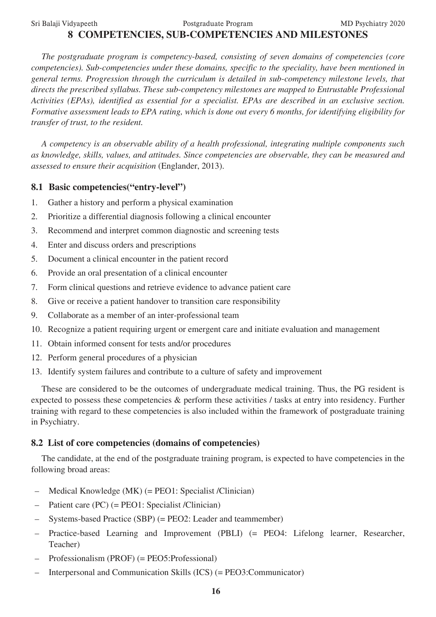#### Sri Balaji Vidyapeeth Postgraduate Program MD Psychiatry 2020

# **8 COMPETENCIES, SUB-COMPETENCIES AND MILESTONES**

*The postgraduate program is competency-based, consisting of seven domains of competencies (core competencies). Sub-competencies under these domains, specific to the speciality, have been mentioned in general terms. Progression through the curriculum is detailed in sub-competency milestone levels, that directs the prescribed syllabus. These sub-competency milestones are mapped to Entrustable Professional Activities (EPAs), identified as essential for a specialist. EPAs are described in an exclusive section. Formative assessment leads to EPA rating, which is done out every 6 months, for identifying eligibility for transfer of trust, to the resident.*

*A competency is an observable ability of a health professional, integrating multiple components such as knowledge, skills, values, and attitudes. Since competencies are observable, they can be measured and assessed to ensure their acquisition* (Englander, 2013).

#### **8.1 Basic competencies("entry-level")**

- 1. Gather a history and perform a physical examination
- 2. Prioritize a differential diagnosis following a clinical encounter
- 3. Recommend and interpret common diagnostic and screening tests
- 4. Enter and discuss orders and prescriptions
- 5. Document a clinical encounter in the patient record
- 6. Provide an oral presentation of a clinical encounter
- 7. Form clinical questions and retrieve evidence to advance patient care
- 8. Give or receive a patient handover to transition care responsibility
- 9. Collaborate as a member of an inter-professional team
- 10. Recognize a patient requiring urgent or emergent care and initiate evaluation and management
- 11. Obtain informed consent for tests and/or procedures
- 12. Perform general procedures of a physician
- 13. Identify system failures and contribute to a culture of safety and improvement

These are considered to be the outcomes of undergraduate medical training. Thus, the PG resident is expected to possess these competencies & perform these activities / tasks at entry into residency. Further training with regard to these competencies is also included within the framework of postgraduate training in Psychiatry.

#### **8.2 List of core competencies (domains of competencies)**

The candidate, at the end of the postgraduate training program, is expected to have competencies in the following broad areas:

- Medical Knowledge (MK) (= PEO1: Specialist /Clinician)
- Patient care (PC) (= PEO1: Specialist /Clinician)
- Systems-based Practice (SBP) (= PEO2: Leader and teammember)
- Practice-based Learning and Improvement (PBLI) (= PEO4: Lifelong learner, Researcher, Teacher)
- Professionalism (PROF) (= PEO5:Professional)
- Interpersonal and Communication Skills (ICS) (= PEO3:Communicator)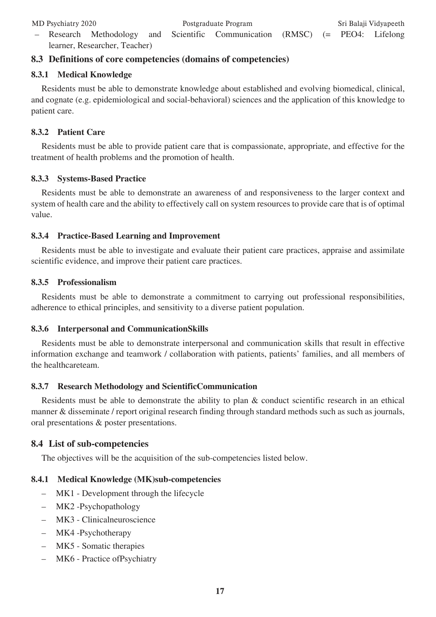– Research Methodology and Scientific Communication (RMSC) (= PEO4: Lifelong learner, Researcher, Teacher)

# **8.3 Definitions of core competencies (domains of competencies)**

#### **8.3.1 Medical Knowledge**

Residents must be able to demonstrate knowledge about established and evolving biomedical, clinical, and cognate (e.g. epidemiological and social-behavioral) sciences and the application of this knowledge to patient care.

#### **8.3.2 Patient Care**

Residents must be able to provide patient care that is compassionate, appropriate, and effective for the treatment of health problems and the promotion of health.

#### **8.3.3 Systems-Based Practice**

Residents must be able to demonstrate an awareness of and responsiveness to the larger context and system of health care and the ability to effectively call on system resources to provide care that is of optimal value.

#### **8.3.4 Practice-Based Learning and Improvement**

Residents must be able to investigate and evaluate their patient care practices, appraise and assimilate scientific evidence, and improve their patient care practices.

#### **8.3.5 Professionalism**

Residents must be able to demonstrate a commitment to carrying out professional responsibilities, adherence to ethical principles, and sensitivity to a diverse patient population.

#### **8.3.6 Interpersonal and CommunicationSkills**

Residents must be able to demonstrate interpersonal and communication skills that result in effective information exchange and teamwork / collaboration with patients, patients' families, and all members of the healthcareteam.

#### **8.3.7 Research Methodology and ScientificCommunication**

Residents must be able to demonstrate the ability to plan & conduct scientific research in an ethical manner & disseminate / report original research finding through standard methods such as such as journals, oral presentations & poster presentations.

# **8.4 List of sub-competencies**

The objectives will be the acquisition of the sub-competencies listed below.

#### **8.4.1 Medical Knowledge (MK)sub-competencies**

- MK1 Development through the lifecycle
- MK2 -Psychopathology
- MK3 Clinicalneuroscience
- MK4 -Psychotherapy
- MK5 Somatic therapies
- MK6 Practice ofPsychiatry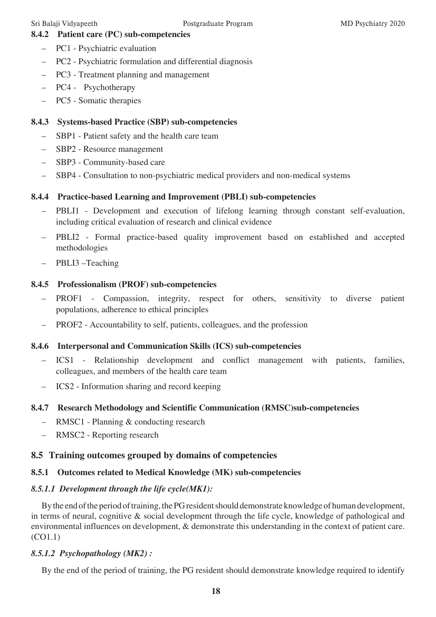### **8.4.2 Patient care (PC) sub-competencies**

- PC1 Psychiatric evaluation
- PC2 Psychiatric formulation and differential diagnosis
- PC3 Treatment planning and management
- PC4 Psychotherapy
- PC5 Somatic therapies

### **8.4.3 Systems-based Practice (SBP) sub-competencies**

- SBP1 Patient safety and the health care team
- SBP2 Resource management
- SBP3 Community-based care
- SBP4 Consultation to non-psychiatric medical providers and non-medical systems

#### **8.4.4 Practice-based Learning and Improvement (PBLI) sub-competencies**

- PBLI1 Development and execution of lifelong learning through constant self-evaluation, including critical evaluation of research and clinical evidence
- PBLI2 Formal practice-based quality improvement based on established and accepted methodologies
- PBLI3 –Teaching

#### **8.4.5 Professionalism (PROF) sub-competencies**

- PROF1 Compassion, integrity, respect for others, sensitivity to diverse patient populations, adherence to ethical principles
- PROF2 Accountability to self, patients, colleagues, and the profession

#### **8.4.6 Interpersonal and Communication Skills (ICS) sub-competencies**

- ICS1 Relationship development and conflict management with patients, families, colleagues, and members of the health care team
- ICS2 Information sharing and record keeping

# **8.4.7 Research Methodology and Scientific Communication (RMSC)sub-competencies**

- RMSC1 Planning & conducting research
- RMSC2 Reporting research

# **8.5 Training outcomes grouped by domains of competencies**

# **8.5.1 Outcomes related to Medical Knowledge (MK) sub-competencies**

# *8.5.1.1 Development through the life cycle(MK1):*

By the end of the period of training, the PG resident should demonstrate knowledge of human development, in terms of neural, cognitive & social development through the life cycle, knowledge of pathological and environmental influences on development, & demonstrate this understanding in the context of patient care. (CO1.1)

#### *8.5.1.2 Psychopathology (MK2) :*

By the end of the period of training, the PG resident should demonstrate knowledge required to identify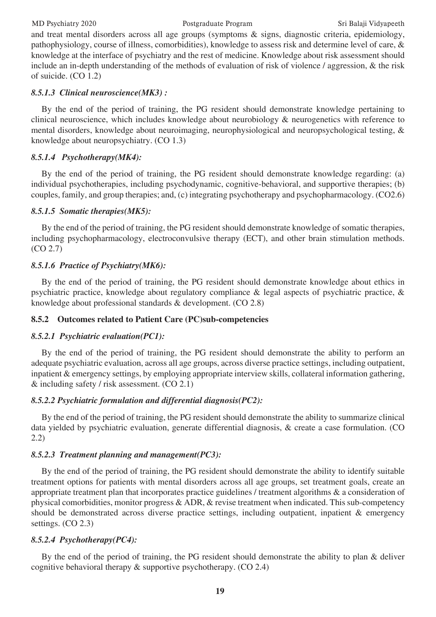#### MD Psychiatry 2020 Postgraduate Program Sri Balaji Vidyapeeth

and treat mental disorders across all age groups (symptoms & signs, diagnostic criteria, epidemiology, pathophysiology, course of illness, comorbidities), knowledge to assess risk and determine level of care, & knowledge at the interface of psychiatry and the rest of medicine. Knowledge about risk assessment should include an in-depth understanding of the methods of evaluation of risk of violence / aggression, & the risk of suicide. (CO 1.2)

#### *8.5.1.3 Clinical neuroscience(MK3) :*

By the end of the period of training, the PG resident should demonstrate knowledge pertaining to clinical neuroscience, which includes knowledge about neurobiology & neurogenetics with reference to mental disorders, knowledge about neuroimaging, neurophysiological and neuropsychological testing, & knowledge about neuropsychiatry. (CO 1.3)

#### *8.5.1.4 Psychotherapy(MK4):*

By the end of the period of training, the PG resident should demonstrate knowledge regarding: (a) individual psychotherapies, including psychodynamic, cognitive-behavioral, and supportive therapies; (b) couples, family, and group therapies; and, (c) integrating psychotherapy and psychopharmacology. (CO2.6)

#### *8.5.1.5 Somatic therapies(MK5):*

By the end of the period of training, the PG resident should demonstrate knowledge of somatic therapies, including psychopharmacology, electroconvulsive therapy (ECT), and other brain stimulation methods. (CO 2.7)

#### *8.5.1.6 Practice of Psychiatry(MK6):*

By the end of the period of training, the PG resident should demonstrate knowledge about ethics in psychiatric practice, knowledge about regulatory compliance & legal aspects of psychiatric practice, & knowledge about professional standards & development. (CO 2.8)

#### **8.5.2 Outcomes related to Patient Care (PC)sub-competencies**

#### *8.5.2.1 Psychiatric evaluation(PC1):*

By the end of the period of training, the PG resident should demonstrate the ability to perform an adequate psychiatric evaluation, across all age groups, across diverse practice settings, including outpatient, inpatient & emergency settings, by employing appropriate interview skills, collateral information gathering, & including safety / risk assessment. (CO 2.1)

#### *8.5.2.2 Psychiatric formulation and differential diagnosis(PC2):*

By the end of the period of training, the PG resident should demonstrate the ability to summarize clinical data yielded by psychiatric evaluation, generate differential diagnosis, & create a case formulation. (CO 2.2)

#### *8.5.2.3 Treatment planning and management(PC3):*

By the end of the period of training, the PG resident should demonstrate the ability to identify suitable treatment options for patients with mental disorders across all age groups, set treatment goals, create an appropriate treatment plan that incorporates practice guidelines / treatment algorithms & a consideration of physical comorbidities, monitor progress & ADR, & revise treatment when indicated. This sub-competency should be demonstrated across diverse practice settings, including outpatient, inpatient & emergency settings. (CO 2.3)

#### *8.5.2.4 Psychotherapy(PC4):*

By the end of the period of training, the PG resident should demonstrate the ability to plan & deliver cognitive behavioral therapy & supportive psychotherapy. (CO 2.4)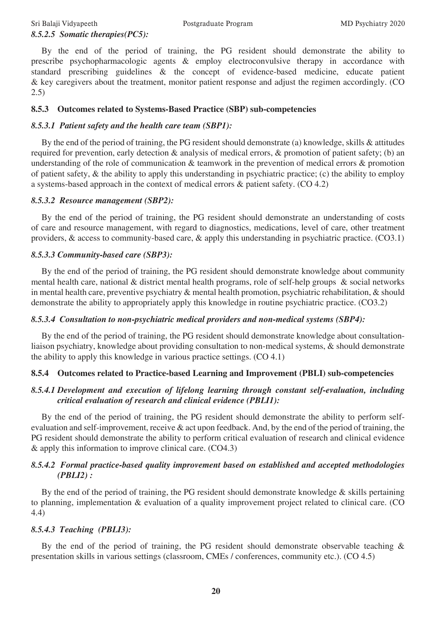#### Sri Balaji Vidyapeeth Postgraduate Program MD Psychiatry 2020 *8.5.2.5 Somatic therapies(PC5):*

By the end of the period of training, the PG resident should demonstrate the ability to prescribe psychopharmacologic agents & employ electroconvulsive therapy in accordance with standard prescribing guidelines & the concept of evidence-based medicine, educate patient & key caregivers about the treatment, monitor patient response and adjust the regimen accordingly. (CO 2.5)

#### **8.5.3 Outcomes related to Systems-Based Practice (SBP) sub-competencies**

### *8.5.3.1 Patient safety and the health care team (SBP1):*

By the end of the period of training, the PG resident should demonstrate (a) knowledge, skills & attitudes required for prevention, early detection & analysis of medical errors, & promotion of patient safety; (b) an understanding of the role of communication & teamwork in the prevention of medical errors & promotion of patient safety, & the ability to apply this understanding in psychiatric practice; (c) the ability to employ a systems-based approach in the context of medical errors & patient safety. (CO 4.2)

#### *8.5.3.2 Resource management (SBP2):*

By the end of the period of training, the PG resident should demonstrate an understanding of costs of care and resource management, with regard to diagnostics, medications, level of care, other treatment providers, & access to community-based care, & apply this understanding in psychiatric practice. (CO3.1)

#### *8.5.3.3 Community-based care (SBP3):*

By the end of the period of training, the PG resident should demonstrate knowledge about community mental health care, national & district mental health programs, role of self-help groups & social networks in mental health care, preventive psychiatry & mental health promotion, psychiatric rehabilitation, & should demonstrate the ability to appropriately apply this knowledge in routine psychiatric practice. (CO3.2)

#### *8.5.3.4 Consultation to non-psychiatric medical providers and non-medical systems (SBP4):*

By the end of the period of training, the PG resident should demonstrate knowledge about consultationliaison psychiatry, knowledge about providing consultation to non-medical systems, & should demonstrate the ability to apply this knowledge in various practice settings. (CO 4.1)

# **8.5.4 Outcomes related to Practice-based Learning and Improvement (PBLI) sub-competencies**

#### *8.5.4.1 Development and execution of lifelong learning through constant self-evaluation, including critical evaluation of research and clinical evidence (PBLI1):*

By the end of the period of training, the PG resident should demonstrate the ability to perform selfevaluation and self-improvement, receive  $\&$  act upon feedback. And, by the end of the period of training, the PG resident should demonstrate the ability to perform critical evaluation of research and clinical evidence & apply this information to improve clinical care. (CO4.3)

#### *8.5.4.2 Formal practice-based quality improvement based on established and accepted methodologies (PBLI2) :*

By the end of the period of training, the PG resident should demonstrate knowledge & skills pertaining to planning, implementation & evaluation of a quality improvement project related to clinical care. (CO 4.4)

# *8.5.4.3 Teaching (PBLI3):*

By the end of the period of training, the PG resident should demonstrate observable teaching & presentation skills in various settings (classroom, CMEs / conferences, community etc.). (CO 4.5)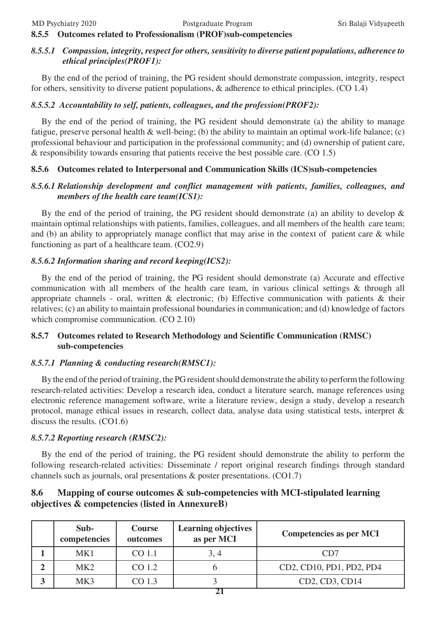#### **8.5.5 Outcomes related to Professionalism (PROF)sub-competencies**

#### *8.5.5.1 Compassion, integrity, respect for others, sensitivity to diverse patient populations, adherence to ethical principles(PROF1):*

By the end of the period of training, the PG resident should demonstrate compassion, integrity, respect for others, sensitivity to diverse patient populations, & adherence to ethical principles. (CO 1.4)

#### *8.5.5.2 Accountability to self, patients, colleagues, and the profession(PROF2):*

By the end of the period of training, the PG resident should demonstrate (a) the ability to manage fatigue, preserve personal health & well-being; (b) the ability to maintain an optimal work-life balance; (c) professional behaviour and participation in the professional community; and (d) ownership of patient care, & responsibility towards ensuring that patients receive the best possible care. (CO 1.5)

#### **8.5.6 Outcomes related to Interpersonal and Communication Skills (ICS)sub-competencies**

#### *8.5.6.1 Relationship development and conflict management with patients, families, colleagues, and members of the health care team(ICS1):*

By the end of the period of training, the PG resident should demonstrate (a) an ability to develop  $\&$ maintain optimal relationships with patients, families, colleagues, and all members of the health care team; and (b) an ability to appropriately manage conflict that may arise in the context of patient care & while functioning as part of a healthcare team. (CO2.9)

#### *8.5.6.2 Information sharing and record keeping(ICS2):*

By the end of the period of training, the PG resident should demonstrate (a) Accurate and effective communication with all members of the health care team, in various clinical settings & through all appropriate channels - oral, written & electronic; (b) Effective communication with patients & their relatives; (c) an ability to maintain professional boundaries in communication; and (d) knowledge of factors which compromise communication. (CO 2.10)

#### **8.5.7 Outcomes related to Research Methodology and Scientific Communication (RMSC) sub-competencies**

#### *8.5.7.1 Planning & conducting research(RMSC1):*

By the end of the period of training, the PG resident should demonstrate the ability to perform the following research-related activities: Develop a research idea, conduct a literature search, manage references using electronic reference management software, write a literature review, design a study, develop a research protocol, manage ethical issues in research, collect data, analyse data using statistical tests, interpret & discuss the results. (CO1.6)

#### *8.5.7.2 Reporting research (RMSC2):*

By the end of the period of training, the PG resident should demonstrate the ability to perform the following research-related activities: Disseminate / report original research findings through standard channels such as journals, oral presentations & poster presentations. (CO1.7)

### **8.6 Mapping of course outcomes & sub-competencies with MCI-stipulated learning objectives & competencies (listed in AnnexureB)**

| Sub-<br>competencies | <b>Course</b><br>outcomes | <b>Learning objectives</b><br>as per MCI | <b>Competencies as per MCI</b> |
|----------------------|---------------------------|------------------------------------------|--------------------------------|
| MK1                  | CO 1.1                    | 3, 4                                     | CD7                            |
| MK <sub>2</sub>      | CO 1.2                    |                                          | CD2, CD10, PD1, PD2, PD4       |
| MK3                  | CO 1.3                    |                                          | CD2, CD3, CD14                 |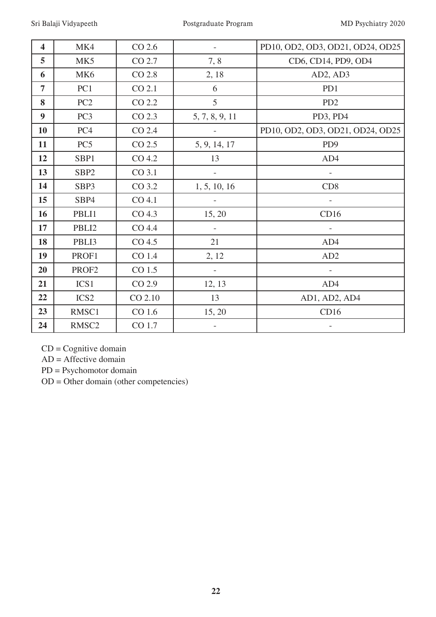| $\overline{\mathbf{4}}$ | MK4               | $CO$ 2.6          |                          | PD10, OD2, OD3, OD21, OD24, OD25 |
|-------------------------|-------------------|-------------------|--------------------------|----------------------------------|
| 5                       | MK5               | CO 2.7            | 7, 8                     | CD6, CD14, PD9, OD4              |
| 6                       | MK <sub>6</sub>   | CO 2.8            | 2, 18                    | AD2, AD3                         |
| $\overline{7}$          | PC1               | CO 2.1            | 6                        | PD1                              |
| 8                       | PC2               | CO 2.2            | 5                        | PD <sub>2</sub>                  |
| $\boldsymbol{9}$        | PC <sub>3</sub>   | CO 2.3            | 5, 7, 8, 9, 11           | PD3, PD4                         |
| 10                      | PC4               | CO 2.4            |                          | PD10, OD2, OD3, OD21, OD24, OD25 |
| 11                      | PC <sub>5</sub>   | CO 2.5            | 5, 9, 14, 17             | PD <sub>9</sub>                  |
| 12                      | SBP1              | CO 4.2            | 13                       | AD4                              |
| 13                      | SBP <sub>2</sub>  | CO 3.1            |                          |                                  |
| 14                      | SBP3              | CO 3.2            | 1, 5, 10, 16             | CD <sub>8</sub>                  |
| 15                      | SBP4              | CO 4.1            |                          |                                  |
| 16                      | PBLI1             | CO <sub>4.3</sub> | 15, 20                   | CD16                             |
| 17                      | PBLI2             | CO 4.4            |                          |                                  |
| 18                      | PBLI3             | CO 4.5            | 21                       | AD4                              |
| 19                      | PROF1             | CO 1.4            | 2, 12                    | AD2                              |
| 20                      | PROF2             | CO 1.5            | $\overline{\phantom{a}}$ |                                  |
| 21                      | ICS1              | CO 2.9            | 12, 13                   | AD4                              |
| 22                      | ICS <sub>2</sub>  | CO 2.10           | 13                       | AD1, AD2, AD4                    |
| 23                      | RMSC1             | CO 1.6            | 15, 20                   | CD16                             |
| 24                      | RMSC <sub>2</sub> | CO 1.7            |                          |                                  |

CD = Cognitive domain

AD = Affective domain

PD = Psychomotor domain

OD = Other domain (other competencies)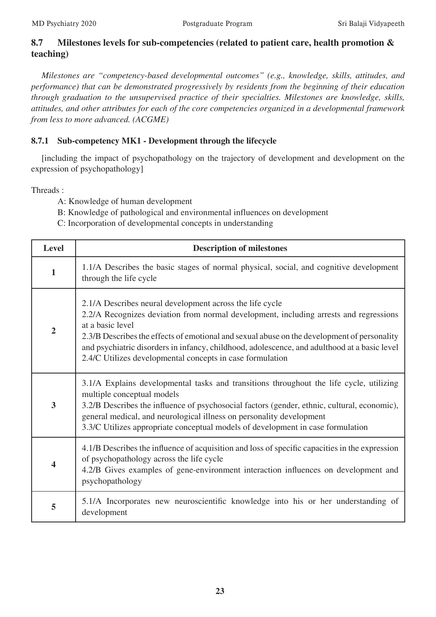# **8.7 Milestones levels for sub-competencies (related to patient care, health promotion & teaching)**

*Milestones are "competency-based developmental outcomes" (e.g., knowledge, skills, attitudes, and performance) that can be demonstrated progressively by residents from the beginning of their education through graduation to the unsupervised practice of their specialties. Milestones are knowledge, skills, attitudes, and other attributes for each of the core competencies organized in a developmental framework from less to more advanced. (ACGME)*

# **8.7.1 Sub-competency MK1 - Development through the lifecycle**

[including the impact of psychopathology on the trajectory of development and development on the expression of psychopathology]

- A: Knowledge of human development
- B: Knowledge of pathological and environmental influences on development
- C: Incorporation of developmental concepts in understanding

| <b>Level</b>            | <b>Description of milestones</b>                                                                                                                                                                                                                                                                                                                                                                                                  |
|-------------------------|-----------------------------------------------------------------------------------------------------------------------------------------------------------------------------------------------------------------------------------------------------------------------------------------------------------------------------------------------------------------------------------------------------------------------------------|
| $\mathbf{1}$            | 1.1/A Describes the basic stages of normal physical, social, and cognitive development<br>through the life cycle                                                                                                                                                                                                                                                                                                                  |
| $\overline{2}$          | 2.1/A Describes neural development across the life cycle<br>2.2/A Recognizes deviation from normal development, including arrests and regressions<br>at a basic level<br>2.3/B Describes the effects of emotional and sexual abuse on the development of personality<br>and psychiatric disorders in infancy, childhood, adolescence, and adulthood at a basic level<br>2.4/C Utilizes developmental concepts in case formulation |
| $\overline{\mathbf{3}}$ | 3.1/A Explains developmental tasks and transitions throughout the life cycle, utilizing<br>multiple conceptual models<br>3.2/B Describes the influence of psychosocial factors (gender, ethnic, cultural, economic),<br>general medical, and neurological illness on personality development<br>3.3/C Utilizes appropriate conceptual models of development in case formulation                                                   |
| $\overline{\mathbf{4}}$ | 4.1/B Describes the influence of acquisition and loss of specific capacities in the expression<br>of psychopathology across the life cycle<br>4.2/B Gives examples of gene-environment interaction influences on development and<br>psychopathology                                                                                                                                                                               |
| 5                       | 5.1/A Incorporates new neuroscientific knowledge into his or her understanding of<br>development                                                                                                                                                                                                                                                                                                                                  |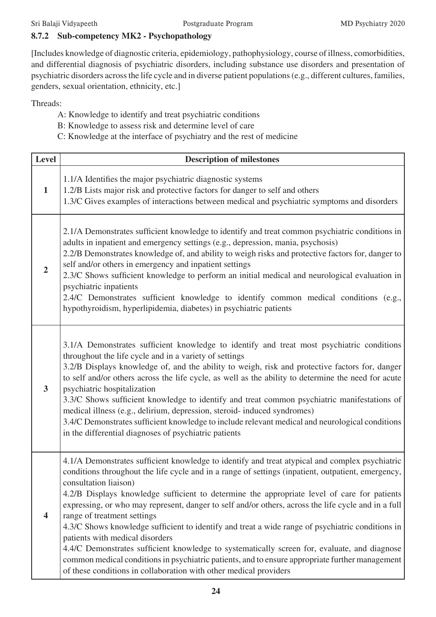# **8.7.2 Sub-competency MK2 - Psychopathology**

[Includes knowledge of diagnostic criteria, epidemiology, pathophysiology, course of illness, comorbidities, and differential diagnosis of psychiatric disorders, including substance use disorders and presentation of psychiatric disorders across the life cycle and in diverse patient populations (e.g., different cultures, families, genders, sexual orientation, ethnicity, etc.]

- A: Knowledge to identify and treat psychiatric conditions
- B: Knowledge to assess risk and determine level of care
- C: Knowledge at the interface of psychiatry and the rest of medicine

| Level                   | <b>Description of milestones</b>                                                                                                                                                                                                                                                                                                                                                                                                                                                                                                                                                                                                                                                                                                                                                                                                                                                  |
|-------------------------|-----------------------------------------------------------------------------------------------------------------------------------------------------------------------------------------------------------------------------------------------------------------------------------------------------------------------------------------------------------------------------------------------------------------------------------------------------------------------------------------------------------------------------------------------------------------------------------------------------------------------------------------------------------------------------------------------------------------------------------------------------------------------------------------------------------------------------------------------------------------------------------|
| $\mathbf{1}$            | 1.1/A Identifies the major psychiatric diagnostic systems<br>1.2/B Lists major risk and protective factors for danger to self and others<br>1.3/C Gives examples of interactions between medical and psychiatric symptoms and disorders                                                                                                                                                                                                                                                                                                                                                                                                                                                                                                                                                                                                                                           |
| $\overline{2}$          | 2.1/A Demonstrates sufficient knowledge to identify and treat common psychiatric conditions in<br>adults in inpatient and emergency settings (e.g., depression, mania, psychosis)<br>2.2/B Demonstrates knowledge of, and ability to weigh risks and protective factors for, danger to<br>self and/or others in emergency and inpatient settings<br>2.3/C Shows sufficient knowledge to perform an initial medical and neurological evaluation in<br>psychiatric inpatients<br>2.4/C Demonstrates sufficient knowledge to identify common medical conditions (e.g.,<br>hypothyroidism, hyperlipidemia, diabetes) in psychiatric patients                                                                                                                                                                                                                                          |
| $\mathbf{3}$            | 3.1/A Demonstrates sufficient knowledge to identify and treat most psychiatric conditions<br>throughout the life cycle and in a variety of settings<br>3.2/B Displays knowledge of, and the ability to weigh, risk and protective factors for, danger<br>to self and/or others across the life cycle, as well as the ability to determine the need for acute<br>psychiatric hospitalization<br>3.3/C Shows sufficient knowledge to identify and treat common psychiatric manifestations of<br>medical illness (e.g., delirium, depression, steroid- induced syndromes)<br>3.4/C Demonstrates sufficient knowledge to include relevant medical and neurological conditions<br>in the differential diagnoses of psychiatric patients                                                                                                                                                |
| $\overline{\mathbf{4}}$ | 4.1/A Demonstrates sufficient knowledge to identify and treat atypical and complex psychiatric<br>conditions throughout the life cycle and in a range of settings (inpatient, outpatient, emergency,<br>consultation liaison)<br>4.2/B Displays knowledge sufficient to determine the appropriate level of care for patients<br>expressing, or who may represent, danger to self and/or others, across the life cycle and in a full<br>range of treatment settings<br>4.3/C Shows knowledge sufficient to identify and treat a wide range of psychiatric conditions in<br>patients with medical disorders<br>4.4/C Demonstrates sufficient knowledge to systematically screen for, evaluate, and diagnose<br>common medical conditions in psychiatric patients, and to ensure appropriate further management<br>of these conditions in collaboration with other medical providers |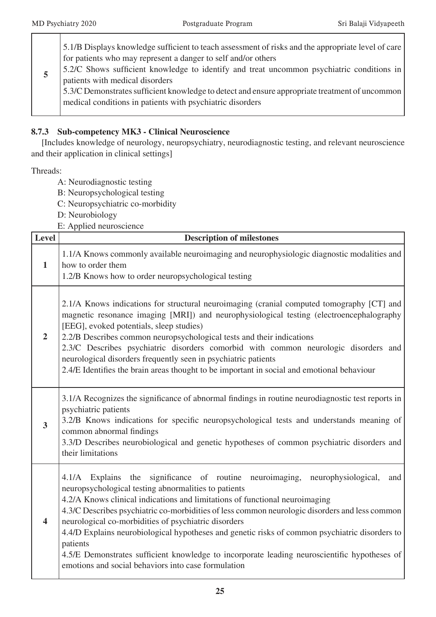|  | 5.1/B Displays knowledge sufficient to teach assessment of risks and the appropriate level of care<br>for patients who may represent a danger to self and/or others<br>5.2/C Shows sufficient knowledge to identify and treat uncommon psychiatric conditions in<br>patients with medical disorders<br>5.3/C Demonstrates sufficient knowledge to detect and ensure appropriate treatment of uncommon<br>medical conditions in patients with psychiatric disorders |
|--|--------------------------------------------------------------------------------------------------------------------------------------------------------------------------------------------------------------------------------------------------------------------------------------------------------------------------------------------------------------------------------------------------------------------------------------------------------------------|
|--|--------------------------------------------------------------------------------------------------------------------------------------------------------------------------------------------------------------------------------------------------------------------------------------------------------------------------------------------------------------------------------------------------------------------------------------------------------------------|

#### **8.7.3 Sub-competency MK3 - Clinical Neuroscience**

[Includes knowledge of neurology, neuropsychiatry, neurodiagnostic testing, and relevant neuroscience and their application in clinical settings]

- A: Neurodiagnostic testing
- B: Neuropsychological testing
- C: Neuropsychiatric co-morbidity
- D: Neurobiology
- E: Applied neuroscience

| <b>Level</b>            | <b>Description of milestones</b>                                                                                                                                                                                                                                                                                                                                                                                                                                                                                                                                                                                                                             |
|-------------------------|--------------------------------------------------------------------------------------------------------------------------------------------------------------------------------------------------------------------------------------------------------------------------------------------------------------------------------------------------------------------------------------------------------------------------------------------------------------------------------------------------------------------------------------------------------------------------------------------------------------------------------------------------------------|
| $\mathbf{1}$            | 1.1/A Knows commonly available neuroimaging and neurophysiologic diagnostic modalities and<br>how to order them<br>1.2/B Knows how to order neuropsychological testing                                                                                                                                                                                                                                                                                                                                                                                                                                                                                       |
| $\overline{2}$          | 2.1/A Knows indications for structural neuroimaging (cranial computed tomography [CT] and<br>magnetic resonance imaging [MRI]) and neurophysiological testing (electroencephalography<br>[EEG], evoked potentials, sleep studies)<br>2.2/B Describes common neuropsychological tests and their indications<br>2.3/C Describes psychiatric disorders comorbid with common neurologic disorders and<br>neurological disorders frequently seen in psychiatric patients<br>2.4/E Identifies the brain areas thought to be important in social and emotional behaviour                                                                                            |
| 3                       | 3.1/A Recognizes the significance of abnormal findings in routine neurodiagnostic test reports in<br>psychiatric patients<br>3.2/B Knows indications for specific neuropsychological tests and understands meaning of<br>common abnormal findings<br>3.3/D Describes neurobiological and genetic hypotheses of common psychiatric disorders and<br>their limitations                                                                                                                                                                                                                                                                                         |
| $\overline{\mathbf{4}}$ | the significance of routine neuroimaging, neurophysiological,<br>4.1/A Explains<br>and<br>neuropsychological testing abnormalities to patients<br>4.2/A Knows clinical indications and limitations of functional neuroimaging<br>4.3/C Describes psychiatric co-morbidities of less common neurologic disorders and less common<br>neurological co-morbidities of psychiatric disorders<br>4.4/D Explains neurobiological hypotheses and genetic risks of common psychiatric disorders to<br>patients<br>4.5/E Demonstrates sufficient knowledge to incorporate leading neuroscientific hypotheses of<br>emotions and social behaviors into case formulation |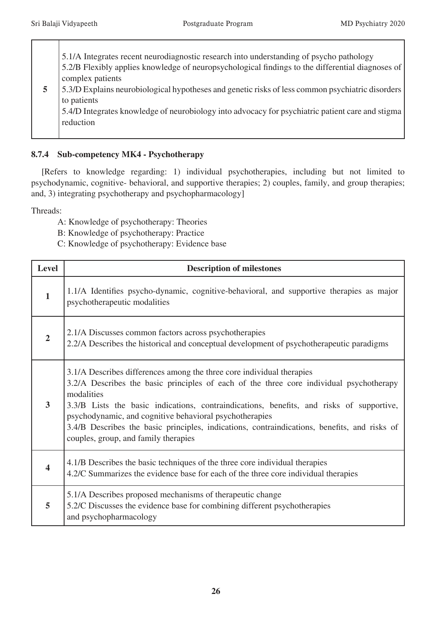**5** 5.1/A Integrates recent neurodiagnostic research into understanding of psycho pathology 5.2/B Flexibly applies knowledge of neuropsychological findings to the differential diagnoses of complex patients 5.3/D Explains neurobiological hypotheses and genetic risks of less common psychiatric disorders to patients 5.4/D Integrates knowledge of neurobiology into advocacy for psychiatric patient care and stigma reduction

### **8.7.4 Sub-competency MK4 - Psychotherapy**

[Refers to knowledge regarding: 1) individual psychotherapies, including but not limited to psychodynamic, cognitive- behavioral, and supportive therapies; 2) couples, family, and group therapies; and, 3) integrating psychotherapy and psychopharmacology]

- A: Knowledge of psychotherapy: Theories
- B: Knowledge of psychotherapy: Practice
- C: Knowledge of psychotherapy: Evidence base

| Level          | <b>Description of milestones</b>                                                                                                                                                                                                                                                                                                                                                                                                                                              |
|----------------|-------------------------------------------------------------------------------------------------------------------------------------------------------------------------------------------------------------------------------------------------------------------------------------------------------------------------------------------------------------------------------------------------------------------------------------------------------------------------------|
| $\mathbf{1}$   | 1.1/A Identifies psycho-dynamic, cognitive-behavioral, and supportive therapies as major<br>psychotherapeutic modalities                                                                                                                                                                                                                                                                                                                                                      |
| $\overline{2}$ | 2.1/A Discusses common factors across psychotherapies<br>2.2/A Describes the historical and conceptual development of psychotherapeutic paradigms                                                                                                                                                                                                                                                                                                                             |
| 3              | 3.1/A Describes differences among the three core individual therapies<br>3.2/A Describes the basic principles of each of the three core individual psychotherapy<br>modalities<br>3.3/B Lists the basic indications, contraindications, benefits, and risks of supportive,<br>psychodynamic, and cognitive behavioral psychotherapies<br>3.4/B Describes the basic principles, indications, contraindications, benefits, and risks of<br>couples, group, and family therapies |
| 4              | 4.1/B Describes the basic techniques of the three core individual therapies<br>4.2/C Summarizes the evidence base for each of the three core individual therapies                                                                                                                                                                                                                                                                                                             |
| 5              | 5.1/A Describes proposed mechanisms of therapeutic change<br>5.2/C Discusses the evidence base for combining different psychotherapies<br>and psychopharmacology                                                                                                                                                                                                                                                                                                              |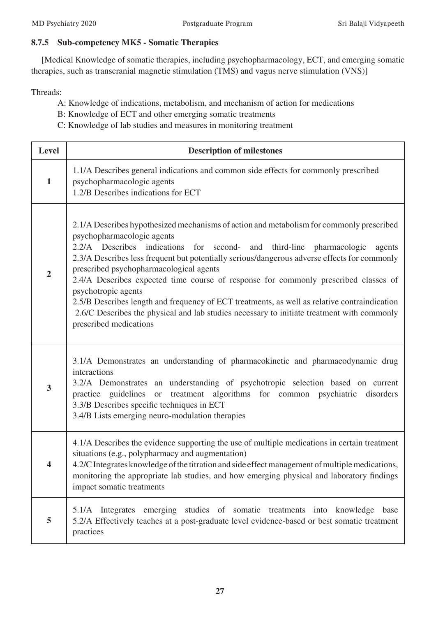#### **8.7.5 Sub-competency MK5 - Somatic Therapies**

[Medical Knowledge of somatic therapies, including psychopharmacology, ECT, and emerging somatic therapies, such as transcranial magnetic stimulation (TMS) and vagus nerve stimulation (VNS)]

Threads:

A: Knowledge of indications, metabolism, and mechanism of action for medications

B: Knowledge of ECT and other emerging somatic treatments

C: Knowledge of lab studies and measures in monitoring treatment

| <b>Level</b>   | <b>Description of milestones</b>                                                                                                                                                                                                                                                                                                                                                                                                                                                                                                                                                                                                                                                                   |
|----------------|----------------------------------------------------------------------------------------------------------------------------------------------------------------------------------------------------------------------------------------------------------------------------------------------------------------------------------------------------------------------------------------------------------------------------------------------------------------------------------------------------------------------------------------------------------------------------------------------------------------------------------------------------------------------------------------------------|
| $\mathbf{1}$   | 1.1/A Describes general indications and common side effects for commonly prescribed<br>psychopharmacologic agents<br>1.2/B Describes indications for ECT                                                                                                                                                                                                                                                                                                                                                                                                                                                                                                                                           |
| $\overline{2}$ | 2.1/A Describes hypothesized mechanisms of action and metabolism for commonly prescribed<br>psychopharmacologic agents<br>2.2/A Describes indications<br>for second-<br>and third-line<br>pharmacologic<br>agents<br>2.3/A Describes less frequent but potentially serious/dangerous adverse effects for commonly<br>prescribed psychopharmacological agents<br>2.4/A Describes expected time course of response for commonly prescribed classes of<br>psychotropic agents<br>2.5/B Describes length and frequency of ECT treatments, as well as relative contraindication<br>2.6/C Describes the physical and lab studies necessary to initiate treatment with commonly<br>prescribed medications |
| 3              | 3.1/A Demonstrates an understanding of pharmacokinetic and pharmacodynamic drug<br>interactions<br>3.2/A Demonstrates an understanding of psychotropic selection based on current<br>practice guidelines or treatment algorithms for common psychiatric disorders<br>3.3/B Describes specific techniques in ECT<br>3.4/B Lists emerging neuro-modulation therapies                                                                                                                                                                                                                                                                                                                                 |
| 4              | 4.1/A Describes the evidence supporting the use of multiple medications in certain treatment<br>situations (e.g., polypharmacy and augmentation)<br>4.2/C Integrates knowledge of the titration and side effect management of multiple medications,<br>monitoring the appropriate lab studies, and how emerging physical and laboratory findings<br>impact somatic treatments                                                                                                                                                                                                                                                                                                                      |
| 5              | 5.1/A Integrates emerging studies of somatic treatments into<br>knowledge<br>base<br>5.2/A Effectively teaches at a post-graduate level evidence-based or best somatic treatment<br>practices                                                                                                                                                                                                                                                                                                                                                                                                                                                                                                      |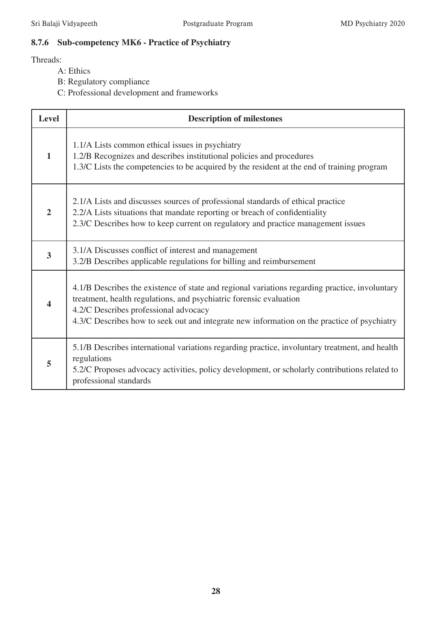# **8.7.6 Sub-competency MK6 - Practice of Psychiatry**

- A: Ethics
- B: Regulatory compliance
- C: Professional development and frameworks

| <b>Level</b>   | <b>Description of milestones</b>                                                                                                                                                                                                                                                                             |
|----------------|--------------------------------------------------------------------------------------------------------------------------------------------------------------------------------------------------------------------------------------------------------------------------------------------------------------|
| $\mathbf{1}$   | 1.1/A Lists common ethical issues in psychiatry<br>1.2/B Recognizes and describes institutional policies and procedures<br>1.3/C Lists the competencies to be acquired by the resident at the end of training program                                                                                        |
| $\overline{2}$ | 2.1/A Lists and discusses sources of professional standards of ethical practice<br>2.2/A Lists situations that mandate reporting or breach of confidentiality<br>2.3/C Describes how to keep current on regulatory and practice management issues                                                            |
| 3              | 3.1/A Discusses conflict of interest and management<br>3.2/B Describes applicable regulations for billing and reimbursement                                                                                                                                                                                  |
| 4              | 4.1/B Describes the existence of state and regional variations regarding practice, involuntary<br>treatment, health regulations, and psychiatric forensic evaluation<br>4.2/C Describes professional advocacy<br>4.3/C Describes how to seek out and integrate new information on the practice of psychiatry |
| 5              | 5.1/B Describes international variations regarding practice, involuntary treatment, and health<br>regulations<br>5.2/C Proposes advocacy activities, policy development, or scholarly contributions related to<br>professional standards                                                                     |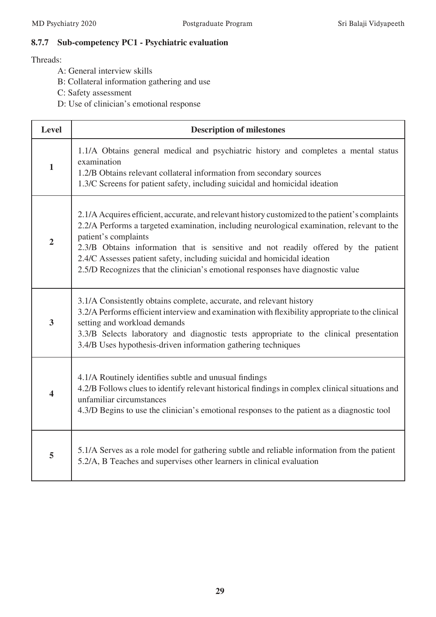# **8.7.7 Sub-competency PC1 - Psychiatric evaluation**

- A: General interview skills
- B: Collateral information gathering and use
- C: Safety assessment
- D: Use of clinician's emotional response

| Level                   | <b>Description of milestones</b>                                                                                                                                                                                                                                                                                                                                                                                                                                           |
|-------------------------|----------------------------------------------------------------------------------------------------------------------------------------------------------------------------------------------------------------------------------------------------------------------------------------------------------------------------------------------------------------------------------------------------------------------------------------------------------------------------|
| $\mathbf{1}$            | 1.1/A Obtains general medical and psychiatric history and completes a mental status<br>examination<br>1.2/B Obtains relevant collateral information from secondary sources<br>1.3/C Screens for patient safety, including suicidal and homicidal ideation                                                                                                                                                                                                                  |
| $\overline{2}$          | 2.1/A Acquires efficient, accurate, and relevant history customized to the patient's complaints<br>2.2/A Performs a targeted examination, including neurological examination, relevant to the<br>patient's complaints<br>2.3/B Obtains information that is sensitive and not readily offered by the patient<br>2.4/C Assesses patient safety, including suicidal and homicidal ideation<br>2.5/D Recognizes that the clinician's emotional responses have diagnostic value |
| 3                       | 3.1/A Consistently obtains complete, accurate, and relevant history<br>3.2/A Performs efficient interview and examination with flexibility appropriate to the clinical<br>setting and workload demands<br>3.3/B Selects laboratory and diagnostic tests appropriate to the clinical presentation<br>3.4/B Uses hypothesis-driven information gathering techniques                                                                                                          |
| $\overline{\mathbf{4}}$ | 4.1/A Routinely identifies subtle and unusual findings<br>4.2/B Follows clues to identify relevant historical findings in complex clinical situations and<br>unfamiliar circumstances<br>4.3/D Begins to use the clinician's emotional responses to the patient as a diagnostic tool                                                                                                                                                                                       |
| 5                       | 5.1/A Serves as a role model for gathering subtle and reliable information from the patient<br>5.2/A, B Teaches and supervises other learners in clinical evaluation                                                                                                                                                                                                                                                                                                       |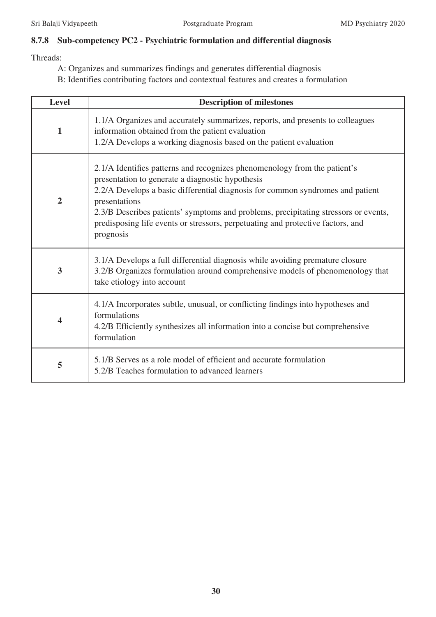# **8.7.8 Sub-competency PC2 - Psychiatric formulation and differential diagnosis**

- A: Organizes and summarizes findings and generates differential diagnosis
- B: Identifies contributing factors and contextual features and creates a formulation

| <b>Level</b>            | <b>Description of milestones</b>                                                                                                                                                                                                                                                                                                                                                                                        |
|-------------------------|-------------------------------------------------------------------------------------------------------------------------------------------------------------------------------------------------------------------------------------------------------------------------------------------------------------------------------------------------------------------------------------------------------------------------|
| 1                       | 1.1/A Organizes and accurately summarizes, reports, and presents to colleagues<br>information obtained from the patient evaluation<br>1.2/A Develops a working diagnosis based on the patient evaluation                                                                                                                                                                                                                |
| $\overline{2}$          | 2.1/A Identifies patterns and recognizes phenomenology from the patient's<br>presentation to generate a diagnostic hypothesis<br>2.2/A Develops a basic differential diagnosis for common syndromes and patient<br>presentations<br>2.3/B Describes patients' symptoms and problems, precipitating stressors or events,<br>predisposing life events or stressors, perpetuating and protective factors, and<br>prognosis |
| 3                       | 3.1/A Develops a full differential diagnosis while avoiding premature closure<br>3.2/B Organizes formulation around comprehensive models of phenomenology that<br>take etiology into account                                                                                                                                                                                                                            |
| $\overline{\mathbf{4}}$ | 4.1/A Incorporates subtle, unusual, or conflicting findings into hypotheses and<br>formulations<br>4.2/B Efficiently synthesizes all information into a concise but comprehensive<br>formulation                                                                                                                                                                                                                        |
| 5                       | 5.1/B Serves as a role model of efficient and accurate formulation<br>5.2/B Teaches formulation to advanced learners                                                                                                                                                                                                                                                                                                    |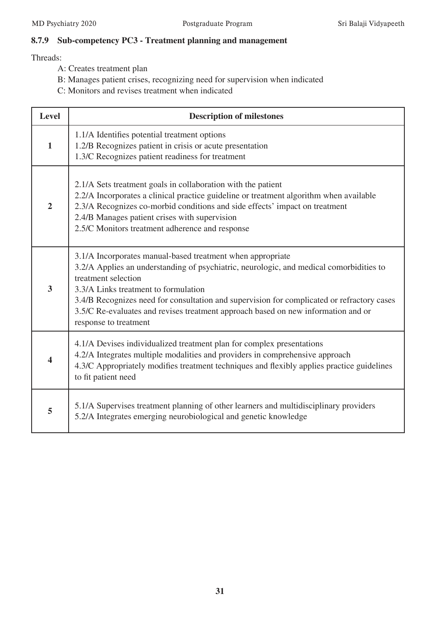# **8.7.9 Sub-competency PC3 - Treatment planning and management**

- A: Creates treatment plan
- B: Manages patient crises, recognizing need for supervision when indicated
- C: Monitors and revises treatment when indicated

| <b>Level</b>   | <b>Description of milestones</b>                                                                                                                                                                                                                                                                                                                                                                                                 |
|----------------|----------------------------------------------------------------------------------------------------------------------------------------------------------------------------------------------------------------------------------------------------------------------------------------------------------------------------------------------------------------------------------------------------------------------------------|
| $\mathbf{1}$   | 1.1/A Identifies potential treatment options<br>1.2/B Recognizes patient in crisis or acute presentation<br>1.3/C Recognizes patient readiness for treatment                                                                                                                                                                                                                                                                     |
| $\overline{2}$ | 2.1/A Sets treatment goals in collaboration with the patient<br>2.2/A Incorporates a clinical practice guideline or treatment algorithm when available<br>2.3/A Recognizes co-morbid conditions and side effects' impact on treatment<br>2.4/B Manages patient crises with supervision<br>2.5/C Monitors treatment adherence and response                                                                                        |
| 3              | 3.1/A Incorporates manual-based treatment when appropriate<br>3.2/A Applies an understanding of psychiatric, neurologic, and medical comorbidities to<br>treatment selection<br>3.3/A Links treatment to formulation<br>3.4/B Recognizes need for consultation and supervision for complicated or refractory cases<br>3.5/C Re-evaluates and revises treatment approach based on new information and or<br>response to treatment |
| 4              | 4.1/A Devises individualized treatment plan for complex presentations<br>4.2/A Integrates multiple modalities and providers in comprehensive approach<br>4.3/C Appropriately modifies treatment techniques and flexibly applies practice guidelines<br>to fit patient need                                                                                                                                                       |
| 5              | 5.1/A Supervises treatment planning of other learners and multidisciplinary providers<br>5.2/A Integrates emerging neurobiological and genetic knowledge                                                                                                                                                                                                                                                                         |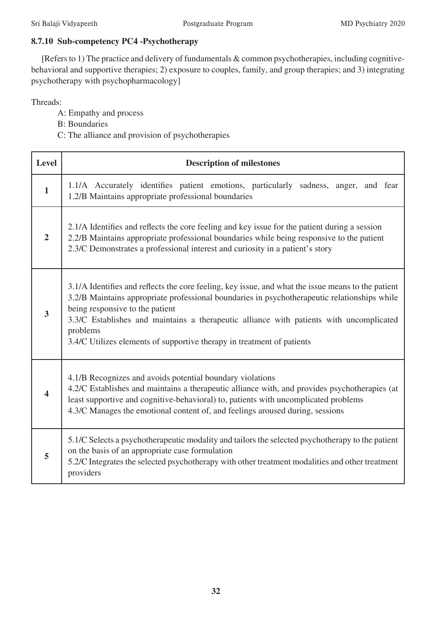# **8.7.10 Sub-competency PC4 -Psychotherapy**

[Refers to 1) The practice and delivery of fundamentals & common psychotherapies, including cognitivebehavioral and supportive therapies; 2) exposure to couples, family, and group therapies; and 3) integrating psychotherapy with psychopharmacology]

- A: Empathy and process
- B: Boundaries
- C: The alliance and provision of psychotherapies

| Level                   | <b>Description of milestones</b>                                                                                                                                                                                                                                                                                                                                                                                       |
|-------------------------|------------------------------------------------------------------------------------------------------------------------------------------------------------------------------------------------------------------------------------------------------------------------------------------------------------------------------------------------------------------------------------------------------------------------|
| $\mathbf{1}$            | 1.1/A Accurately identifies patient emotions, particularly sadness, anger, and fear<br>1.2/B Maintains appropriate professional boundaries                                                                                                                                                                                                                                                                             |
| $\overline{2}$          | 2.1/A Identifies and reflects the core feeling and key issue for the patient during a session<br>2.2/B Maintains appropriate professional boundaries while being responsive to the patient<br>2.3/C Demonstrates a professional interest and curiosity in a patient's story                                                                                                                                            |
| $\overline{\mathbf{3}}$ | 3.1/A Identifies and reflects the core feeling, key issue, and what the issue means to the patient<br>3.2/B Maintains appropriate professional boundaries in psychotherapeutic relationships while<br>being responsive to the patient<br>3.3/C Establishes and maintains a therapeutic alliance with patients with uncomplicated<br>problems<br>3.4/C Utilizes elements of supportive therapy in treatment of patients |
|                         | 4.1/B Recognizes and avoids potential boundary violations<br>4.2/C Establishes and maintains a therapeutic alliance with, and provides psychotherapies (at<br>least supportive and cognitive-behavioral) to, patients with uncomplicated problems<br>4.3/C Manages the emotional content of, and feelings aroused during, sessions                                                                                     |
| 5                       | 5.1/C Selects a psychotherapeutic modality and tailors the selected psychotherapy to the patient<br>on the basis of an appropriate case formulation<br>5.2/C Integrates the selected psychotherapy with other treatment modalities and other treatment<br>providers                                                                                                                                                    |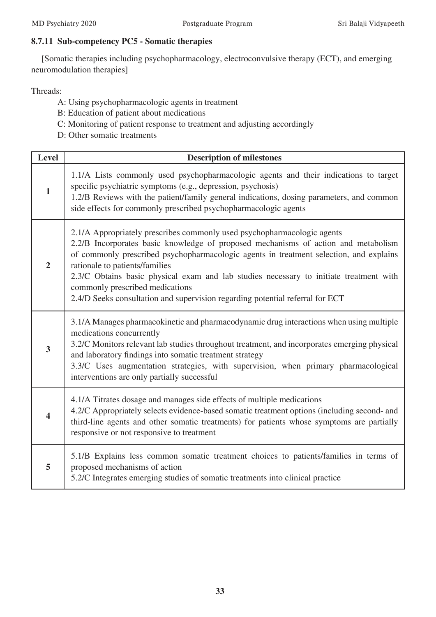# **8.7.11 Sub-competency PC5 - Somatic therapies**

[Somatic therapies including psychopharmacology, electroconvulsive therapy (ECT), and emerging neuromodulation therapies]

- A: Using psychopharmacologic agents in treatment
- B: Education of patient about medications
- C: Monitoring of patient response to treatment and adjusting accordingly
- D: Other somatic treatments

| <b>Level</b>            | <b>Description of milestones</b>                                                                                                                                                                                                                                                                                                                                                                                                                                                                        |
|-------------------------|---------------------------------------------------------------------------------------------------------------------------------------------------------------------------------------------------------------------------------------------------------------------------------------------------------------------------------------------------------------------------------------------------------------------------------------------------------------------------------------------------------|
| $\mathbf{1}$            | 1.1/A Lists commonly used psychopharmacologic agents and their indications to target<br>specific psychiatric symptoms (e.g., depression, psychosis)<br>1.2/B Reviews with the patient/family general indications, dosing parameters, and common<br>side effects for commonly prescribed psychopharmacologic agents                                                                                                                                                                                      |
| $\overline{2}$          | 2.1/A Appropriately prescribes commonly used psychopharmacologic agents<br>2.2/B Incorporates basic knowledge of proposed mechanisms of action and metabolism<br>of commonly prescribed psychopharmacologic agents in treatment selection, and explains<br>rationale to patients/families<br>2.3/C Obtains basic physical exam and lab studies necessary to initiate treatment with<br>commonly prescribed medications<br>2.4/D Seeks consultation and supervision regarding potential referral for ECT |
| $\overline{\mathbf{3}}$ | 3.1/A Manages pharmacokinetic and pharmacodynamic drug interactions when using multiple<br>medications concurrently<br>3.2/C Monitors relevant lab studies throughout treatment, and incorporates emerging physical<br>and laboratory findings into somatic treatment strategy<br>3.3/C Uses augmentation strategies, with supervision, when primary pharmacological<br>interventions are only partially successful                                                                                     |
| 4                       | 4.1/A Titrates dosage and manages side effects of multiple medications<br>4.2/C Appropriately selects evidence-based somatic treatment options (including second- and<br>third-line agents and other somatic treatments) for patients whose symptoms are partially<br>responsive or not responsive to treatment                                                                                                                                                                                         |
| 5                       | 5.1/B Explains less common somatic treatment choices to patients/families in terms of<br>proposed mechanisms of action<br>5.2/C Integrates emerging studies of somatic treatments into clinical practice                                                                                                                                                                                                                                                                                                |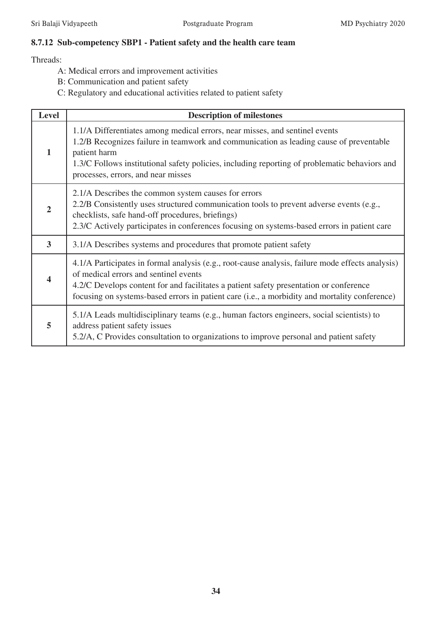# **8.7.12 Sub-competency SBP1 - Patient safety and the health care team**

- A: Medical errors and improvement activities
- B: Communication and patient safety
- C: Regulatory and educational activities related to patient safety

| <b>Level</b>   | <b>Description of milestones</b>                                                                                                                                                                                                                                                                                                     |
|----------------|--------------------------------------------------------------------------------------------------------------------------------------------------------------------------------------------------------------------------------------------------------------------------------------------------------------------------------------|
| $\mathbf{1}$   | 1.1/A Differentiates among medical errors, near misses, and sentinel events<br>1.2/B Recognizes failure in teamwork and communication as leading cause of preventable<br>patient harm<br>1.3/C Follows institutional safety policies, including reporting of problematic behaviors and<br>processes, errors, and near misses         |
| $\mathbf{2}$   | 2.1/A Describes the common system causes for errors<br>2.2/B Consistently uses structured communication tools to prevent adverse events (e.g.,<br>checklists, safe hand-off procedures, briefings)<br>2.3/C Actively participates in conferences focusing on systems-based errors in patient care                                    |
| $\overline{3}$ | 3.1/A Describes systems and procedures that promote patient safety                                                                                                                                                                                                                                                                   |
|                | 4.1/A Participates in formal analysis (e.g., root-cause analysis, failure mode effects analysis)<br>of medical errors and sentinel events<br>4.2/C Develops content for and facilitates a patient safety presentation or conference<br>focusing on systems-based errors in patient care (i.e., a morbidity and mortality conference) |
| 5              | 5.1/A Leads multidisciplinary teams (e.g., human factors engineers, social scientists) to<br>address patient safety issues<br>5.2/A, C Provides consultation to organizations to improve personal and patient safety                                                                                                                 |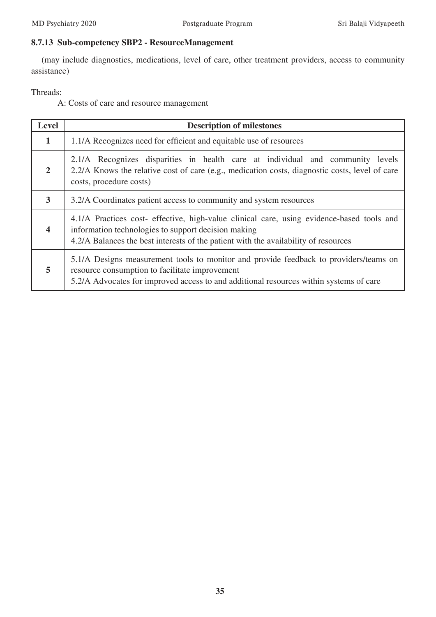# **8.7.13 Sub-competency SBP2 - ResourceManagement**

(may include diagnostics, medications, level of care, other treatment providers, access to community assistance)

Threads:

A: Costs of care and resource management

| <b>Level</b>            | <b>Description of milestones</b>                                                                                                                                                                                                        |
|-------------------------|-----------------------------------------------------------------------------------------------------------------------------------------------------------------------------------------------------------------------------------------|
| 1                       | 1.1/A Recognizes need for efficient and equitable use of resources                                                                                                                                                                      |
| $\overline{2}$          | 2.1/A Recognizes disparities in health care at individual and community levels<br>2.2/A Knows the relative cost of care (e.g., medication costs, diagnostic costs, level of care<br>costs, procedure costs)                             |
| 3                       | 3.2/A Coordinates patient access to community and system resources                                                                                                                                                                      |
| $\overline{\mathbf{4}}$ | 4.1/A Practices cost- effective, high-value clinical care, using evidence-based tools and<br>information technologies to support decision making<br>4.2/A Balances the best interests of the patient with the availability of resources |
| 5                       | 5.1/A Designs measurement tools to monitor and provide feedback to providers/teams on<br>resource consumption to facilitate improvement<br>5.2/A Advocates for improved access to and additional resources within systems of care       |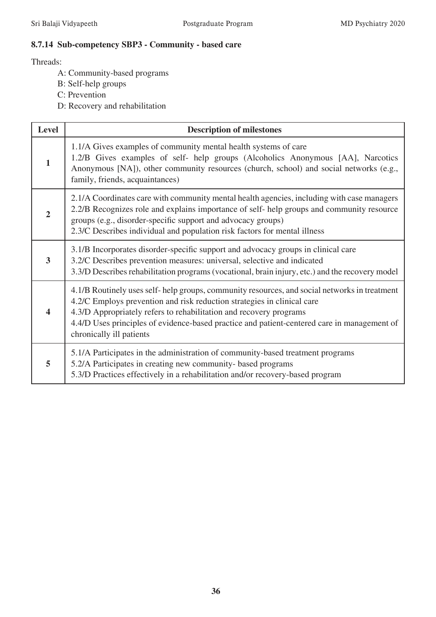### **8.7.14 Sub-competency SBP3 - Community - based care**

- A: Community-based programs
- B: Self-help groups
- C: Prevention
- D: Recovery and rehabilitation

| <b>Level</b> | <b>Description of milestones</b>                                                                                                                                                                                                                                                                                                                                         |
|--------------|--------------------------------------------------------------------------------------------------------------------------------------------------------------------------------------------------------------------------------------------------------------------------------------------------------------------------------------------------------------------------|
| 1            | 1.1/A Gives examples of community mental health systems of care<br>1.2/B Gives examples of self- help groups (Alcoholics Anonymous [AA], Narcotics<br>Anonymous [NA]), other community resources (church, school) and social networks (e.g.,<br>family, friends, acquaintances)                                                                                          |
| 2            | 2.1/A Coordinates care with community mental health agencies, including with case managers<br>2.2/B Recognizes role and explains importance of self-help groups and community resource<br>groups (e.g., disorder-specific support and advocacy groups)<br>2.3/C Describes individual and population risk factors for mental illness                                      |
| 3            | 3.1/B Incorporates disorder-specific support and advocacy groups in clinical care<br>3.2/C Describes prevention measures: universal, selective and indicated<br>3.3/D Describes rehabilitation programs (vocational, brain injury, etc.) and the recovery model                                                                                                          |
| 4            | 4.1/B Routinely uses self-help groups, community resources, and social networks in treatment<br>4.2/C Employs prevention and risk reduction strategies in clinical care<br>4.3/D Appropriately refers to rehabilitation and recovery programs<br>4.4/D Uses principles of evidence-based practice and patient-centered care in management of<br>chronically ill patients |
| 5            | 5.1/A Participates in the administration of community-based treatment programs<br>5.2/A Participates in creating new community- based programs<br>5.3/D Practices effectively in a rehabilitation and/or recovery-based program                                                                                                                                          |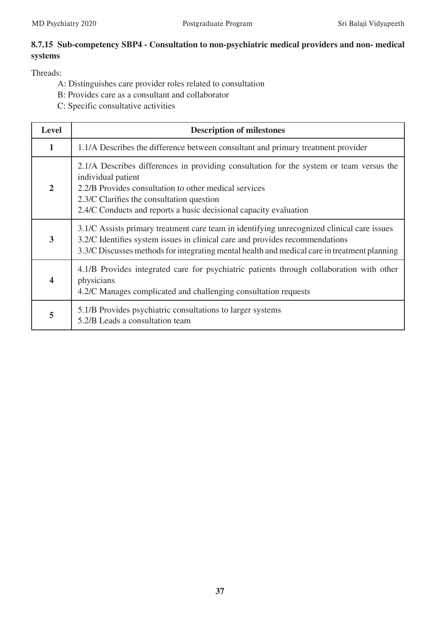# **8.7.15 Sub-competency SBP4 - Consultation to non-psychiatric medical providers and non- medical systems**

- A: Distinguishes care provider roles related to consultation
- B: Provides care as a consultant and collaborator
- C: Specific consultative activities

| <b>Level</b>   | <b>Description of milestones</b>                                                                                                                                                                                                                                                         |  |  |  |  |  |
|----------------|------------------------------------------------------------------------------------------------------------------------------------------------------------------------------------------------------------------------------------------------------------------------------------------|--|--|--|--|--|
| $\mathbf{1}$   | 1.1/A Describes the difference between consultant and primary treatment provider                                                                                                                                                                                                         |  |  |  |  |  |
| $\overline{2}$ | 2.1/A Describes differences in providing consultation for the system or team versus the<br>individual patient<br>2.2/B Provides consultation to other medical services<br>2.3/C Clarifies the consultation question<br>2.4/C Conducts and reports a basic decisional capacity evaluation |  |  |  |  |  |
| 3              | 3.1/C Assists primary treatment care team in identifying unrecognized clinical care issues<br>3.2/C Identifies system issues in clinical care and provides recommendations<br>3.3/C Discusses methods for integrating mental health and medical care in treatment planning               |  |  |  |  |  |
| 4              | 4.1/B Provides integrated care for psychiatric patients through collaboration with other<br>physicians<br>4.2/C Manages complicated and challenging consultation requests                                                                                                                |  |  |  |  |  |
| 5              | 5.1/B Provides psychiatric consultations to larger systems<br>5.2/B Leads a consultation team                                                                                                                                                                                            |  |  |  |  |  |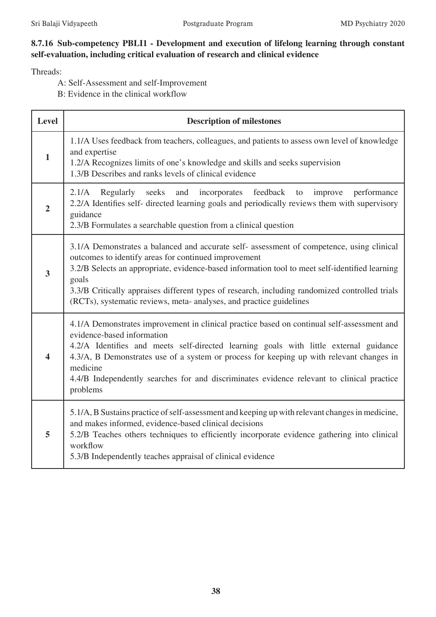### **8.7.16 Sub-competency PBLI1 - Development and execution of lifelong learning through constant self-evaluation, including critical evaluation of research and clinical evidence**

- A: Self-Assessment and self-Improvement
- B: Evidence in the clinical workflow

| <b>Level</b>            | <b>Description of milestones</b>                                                                                                                                                                                                                                                                                                                                                                                                      |  |  |  |  |  |
|-------------------------|---------------------------------------------------------------------------------------------------------------------------------------------------------------------------------------------------------------------------------------------------------------------------------------------------------------------------------------------------------------------------------------------------------------------------------------|--|--|--|--|--|
| $\mathbf{1}$            | 1.1/A Uses feedback from teachers, colleagues, and patients to assess own level of knowledge<br>and expertise<br>1.2/A Recognizes limits of one's knowledge and skills and seeks supervision<br>1.3/B Describes and ranks levels of clinical evidence                                                                                                                                                                                 |  |  |  |  |  |
| $\overline{2}$          | Regularly seeks and incorporates feedback<br>performance<br>2.1/A<br>improve<br>to<br>2.2/A Identifies self- directed learning goals and periodically reviews them with supervisory<br>guidance<br>2.3/B Formulates a searchable question from a clinical question                                                                                                                                                                    |  |  |  |  |  |
| $\overline{\mathbf{3}}$ | 3.1/A Demonstrates a balanced and accurate self- assessment of competence, using clinical<br>outcomes to identify areas for continued improvement<br>3.2/B Selects an appropriate, evidence-based information tool to meet self-identified learning<br>goals<br>3.3/B Critically appraises different types of research, including randomized controlled trials<br>(RCTs), systematic reviews, meta- analyses, and practice guidelines |  |  |  |  |  |
| $\overline{\mathbf{4}}$ | 4.1/A Demonstrates improvement in clinical practice based on continual self-assessment and<br>evidence-based information<br>4.2/A Identifies and meets self-directed learning goals with little external guidance<br>4.3/A, B Demonstrates use of a system or process for keeping up with relevant changes in<br>medicine<br>4.4/B Independently searches for and discriminates evidence relevant to clinical practice<br>problems    |  |  |  |  |  |
| 5                       | 5.1/A, B Sustains practice of self-assessment and keeping up with relevant changes in medicine,<br>and makes informed, evidence-based clinical decisions<br>5.2/B Teaches others techniques to efficiently incorporate evidence gathering into clinical<br>workflow<br>5.3/B Independently teaches appraisal of clinical evidence                                                                                                     |  |  |  |  |  |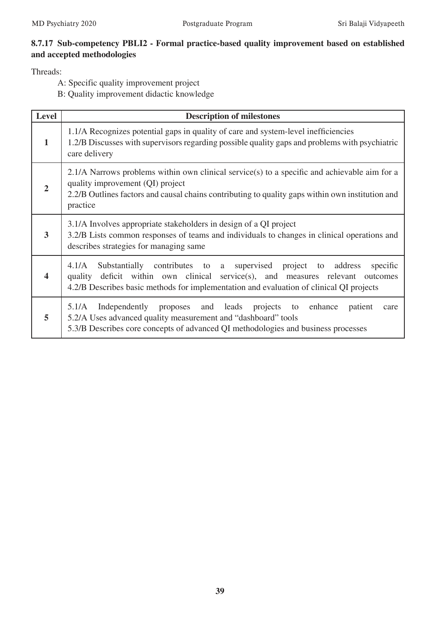# **8.7.17 Sub-competency PBLI2 - Formal practice-based quality improvement based on established and accepted methodologies**

Threads:

A: Specific quality improvement project

B: Quality improvement didactic knowledge

| <b>Level</b>            | <b>Description of milestones</b>                                                                                                                                                                                                                                  |  |  |  |  |
|-------------------------|-------------------------------------------------------------------------------------------------------------------------------------------------------------------------------------------------------------------------------------------------------------------|--|--|--|--|
| 1                       | 1.1/A Recognizes potential gaps in quality of care and system-level inefficiencies<br>1.2/B Discusses with supervisors regarding possible quality gaps and problems with psychiatric<br>care delivery                                                             |  |  |  |  |
| $\overline{2}$          | 2.1/A Narrows problems within own clinical service(s) to a specific and achievable aim for a<br>quality improvement (QI) project<br>2.2/B Outlines factors and causal chains contributing to quality gaps within own institution and<br>practice                  |  |  |  |  |
| 3                       | 3.1/A Involves appropriate stakeholders in design of a QI project<br>3.2/B Lists common responses of teams and individuals to changes in clinical operations and<br>describes strategies for managing same                                                        |  |  |  |  |
| $\overline{\mathbf{4}}$ | Substantially contributes to a supervised project to address<br>4.1/A<br>specific<br>deficit within own clinical service(s), and measures relevant outcomes<br>quality<br>4.2/B Describes basic methods for implementation and evaluation of clinical QI projects |  |  |  |  |
| 5                       | Independently proposes and leads projects to<br>5.1/A<br>enhance<br>patient<br>care<br>5.2/A Uses advanced quality measurement and "dashboard" tools<br>5.3/B Describes core concepts of advanced QI methodologies and business processes                         |  |  |  |  |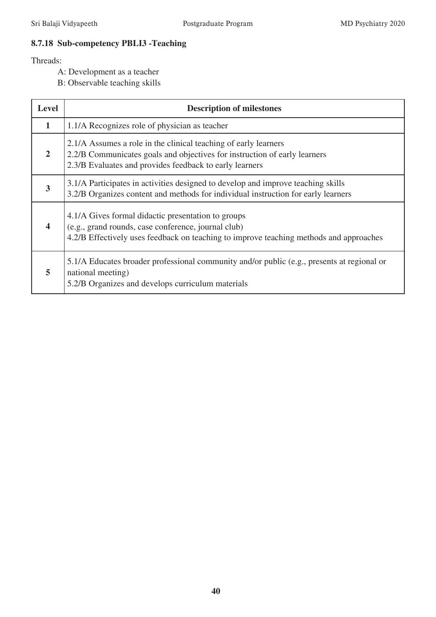# **8.7.18 Sub-competency PBLI3 -Teaching**

- A: Development as a teacher
- B: Observable teaching skills

| <b>Level</b>            | <b>Description of milestones</b>                                                                                                                                                                        |  |  |  |  |  |
|-------------------------|---------------------------------------------------------------------------------------------------------------------------------------------------------------------------------------------------------|--|--|--|--|--|
| $\mathbf{1}$            | 1.1/A Recognizes role of physician as teacher                                                                                                                                                           |  |  |  |  |  |
| $\overline{2}$          | 2.1/A Assumes a role in the clinical teaching of early learners<br>2.2/B Communicates goals and objectives for instruction of early learners<br>2.3/B Evaluates and provides feedback to early learners |  |  |  |  |  |
| 3                       | 3.1/A Participates in activities designed to develop and improve teaching skills<br>3.2/B Organizes content and methods for individual instruction for early learners                                   |  |  |  |  |  |
| $\overline{\mathbf{4}}$ | 4.1/A Gives formal didactic presentation to groups<br>(e.g., grand rounds, case conference, journal club)<br>4.2/B Effectively uses feedback on teaching to improve teaching methods and approaches     |  |  |  |  |  |
| 5                       | 5.1/A Educates broader professional community and/or public (e.g., presents at regional or<br>national meeting)<br>5.2/B Organizes and develops curriculum materials                                    |  |  |  |  |  |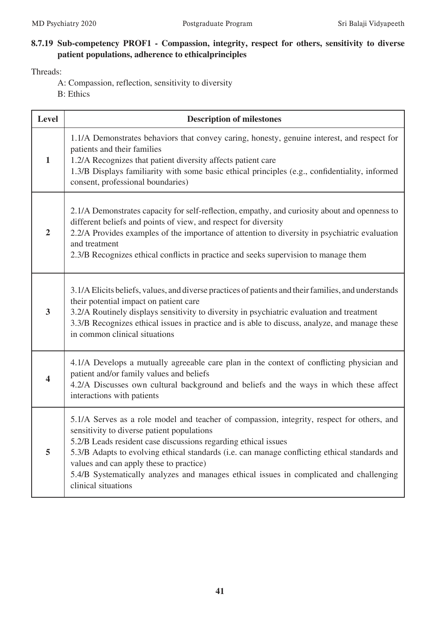# **8.7.19 Sub-competency PROF1 - Compassion, integrity, respect for others, sensitivity to diverse patient populations, adherence to ethicalprinciples**

- A: Compassion, reflection, sensitivity to diversity
- B: Ethics

| <b>Level</b>            | <b>Description of milestones</b>                                                                                                                                                                                                                                                                                                                                                                                                                                         |  |  |  |  |  |  |
|-------------------------|--------------------------------------------------------------------------------------------------------------------------------------------------------------------------------------------------------------------------------------------------------------------------------------------------------------------------------------------------------------------------------------------------------------------------------------------------------------------------|--|--|--|--|--|--|
| $\mathbf{1}$            | 1.1/A Demonstrates behaviors that convey caring, honesty, genuine interest, and respect for<br>patients and their families<br>1.2/A Recognizes that patient diversity affects patient care<br>1.3/B Displays familiarity with some basic ethical principles (e.g., confidentiality, informed<br>consent, professional boundaries)                                                                                                                                        |  |  |  |  |  |  |
| $\overline{2}$          | 2.1/A Demonstrates capacity for self-reflection, empathy, and curiosity about and openness to<br>different beliefs and points of view, and respect for diversity<br>2.2/A Provides examples of the importance of attention to diversity in psychiatric evaluation<br>and treatment<br>2.3/B Recognizes ethical conflicts in practice and seeks supervision to manage them                                                                                                |  |  |  |  |  |  |
| 3                       | 3.1/A Elicits beliefs, values, and diverse practices of patients and their families, and understands<br>their potential impact on patient care<br>3.2/A Routinely displays sensitivity to diversity in psychiatric evaluation and treatment<br>3.3/B Recognizes ethical issues in practice and is able to discuss, analyze, and manage these<br>in common clinical situations                                                                                            |  |  |  |  |  |  |
| $\overline{\mathbf{4}}$ | 4.1/A Develops a mutually agreeable care plan in the context of conflicting physician and<br>patient and/or family values and beliefs<br>4.2/A Discusses own cultural background and beliefs and the ways in which these affect<br>interactions with patients                                                                                                                                                                                                            |  |  |  |  |  |  |
| 5                       | 5.1/A Serves as a role model and teacher of compassion, integrity, respect for others, and<br>sensitivity to diverse patient populations<br>5.2/B Leads resident case discussions regarding ethical issues<br>5.3/B Adapts to evolving ethical standards (i.e. can manage conflicting ethical standards and<br>values and can apply these to practice)<br>5.4/B Systematically analyzes and manages ethical issues in complicated and challenging<br>clinical situations |  |  |  |  |  |  |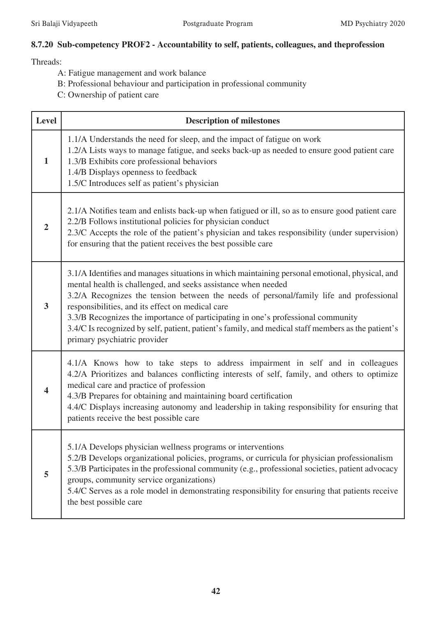# **8.7.20 Sub-competency PROF2 - Accountability to self, patients, colleagues, and theprofession**

- A: Fatigue management and work balance
- B: Professional behaviour and participation in professional community
- C: Ownership of patient care

| <b>Level</b>            | <b>Description of milestones</b>                                                                                                                                                                                                                                                                                                                                                                                                                                                                                                         |  |  |  |  |  |
|-------------------------|------------------------------------------------------------------------------------------------------------------------------------------------------------------------------------------------------------------------------------------------------------------------------------------------------------------------------------------------------------------------------------------------------------------------------------------------------------------------------------------------------------------------------------------|--|--|--|--|--|
| $\mathbf{1}$            | 1.1/A Understands the need for sleep, and the impact of fatigue on work<br>1.2/A Lists ways to manage fatigue, and seeks back-up as needed to ensure good patient care<br>1.3/B Exhibits core professional behaviors<br>1.4/B Displays openness to feedback<br>1.5/C Introduces self as patient's physician                                                                                                                                                                                                                              |  |  |  |  |  |
| $\overline{2}$          | 2.1/A Notifies team and enlists back-up when fatigued or ill, so as to ensure good patient care<br>2.2/B Follows institutional policies for physician conduct<br>2.3/C Accepts the role of the patient's physician and takes responsibility (under supervision)<br>for ensuring that the patient receives the best possible care                                                                                                                                                                                                         |  |  |  |  |  |
| 3                       | 3.1/A Identifies and manages situations in which maintaining personal emotional, physical, and<br>mental health is challenged, and seeks assistance when needed<br>3.2/A Recognizes the tension between the needs of personal/family life and professional<br>responsibilities, and its effect on medical care<br>3.3/B Recognizes the importance of participating in one's professional community<br>3.4/C Is recognized by self, patient, patient's family, and medical staff members as the patient's<br>primary psychiatric provider |  |  |  |  |  |
| $\overline{\mathbf{4}}$ | 4.1/A Knows how to take steps to address impairment in self and in colleagues<br>4.2/A Prioritizes and balances conflicting interests of self, family, and others to optimize<br>medical care and practice of profession<br>4.3/B Prepares for obtaining and maintaining board certification<br>4.4/C Displays increasing autonomy and leadership in taking responsibility for ensuring that<br>patients receive the best possible care                                                                                                  |  |  |  |  |  |
| 5                       | 5.1/A Develops physician wellness programs or interventions<br>5.2/B Develops organizational policies, programs, or curricula for physician professionalism<br>5.3/B Participates in the professional community (e.g., professional societies, patient advocacy<br>groups, community service organizations)<br>5.4/C Serves as a role model in demonstrating responsibility for ensuring that patients receive<br>the best possible care                                                                                                 |  |  |  |  |  |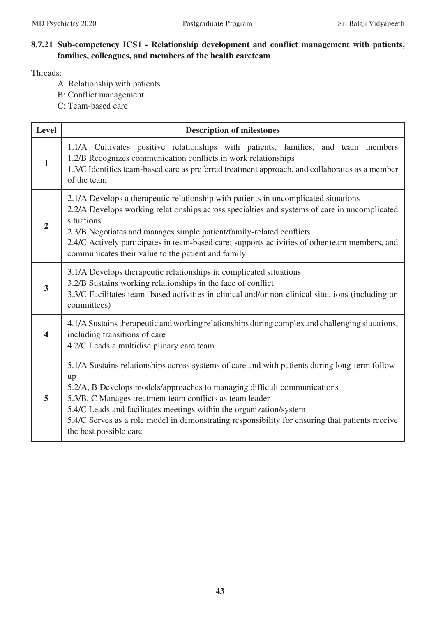### **8.7.21 Sub-competency ICS1 - Relationship development and conflict management with patients, families, colleagues, and members of the health careteam**

- A: Relationship with patients
- B: Conflict management
- C: Team-based care

| <b>Level</b>            | <b>Description of milestones</b>                                                                                                                                                                                                                                                                                                                                                                                                                 |  |  |  |  |  |
|-------------------------|--------------------------------------------------------------------------------------------------------------------------------------------------------------------------------------------------------------------------------------------------------------------------------------------------------------------------------------------------------------------------------------------------------------------------------------------------|--|--|--|--|--|
| $\mathbf{1}$            | 1.1/A Cultivates positive relationships with patients, families, and team members<br>1.2/B Recognizes communication conflicts in work relationships<br>1.3/C Identifies team-based care as preferred treatment approach, and collaborates as a member<br>of the team                                                                                                                                                                             |  |  |  |  |  |
| $\overline{2}$          | 2.1/A Develops a therapeutic relationship with patients in uncomplicated situations<br>2.2/A Develops working relationships across specialties and systems of care in uncomplicated<br>situations<br>2.3/B Negotiates and manages simple patient/family-related conflicts<br>2.4/C Actively participates in team-based care; supports activities of other team members, and<br>communicates their value to the patient and family                |  |  |  |  |  |
| $\overline{\mathbf{3}}$ | 3.1/A Develops therapeutic relationships in complicated situations<br>3.2/B Sustains working relationships in the face of conflict<br>3.3/C Facilitates team- based activities in clinical and/or non-clinical situations (including on<br>committees)                                                                                                                                                                                           |  |  |  |  |  |
| $\overline{\mathbf{4}}$ | 4.1/A Sustains therapeutic and working relationships during complex and challenging situations,<br>including transitions of care<br>4.2/C Leads a multidisciplinary care team                                                                                                                                                                                                                                                                    |  |  |  |  |  |
| 5                       | 5.1/A Sustains relationships across systems of care and with patients during long-term follow-<br>up<br>5.2/A, B Develops models/approaches to managing difficult communications<br>5.3/B, C Manages treatment team conflicts as team leader<br>5.4/C Leads and facilitates meetings within the organization/system<br>5.4/C Serves as a role model in demonstrating responsibility for ensuring that patients receive<br>the best possible care |  |  |  |  |  |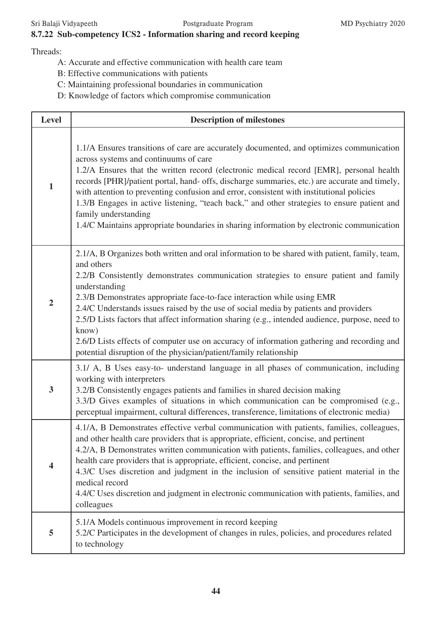## **8.7.22 Sub-competency ICS2 - Information sharing and record keeping**

- A: Accurate and effective communication with health care team
- B: Effective communications with patients
- C: Maintaining professional boundaries in communication
- D: Knowledge of factors which compromise communication

| <b>Level</b>            | <b>Description of milestones</b>                                                                                                                                                                                                                                                                                                                                                                                                                                                                                                                                                                                                                                       |  |  |  |  |  |
|-------------------------|------------------------------------------------------------------------------------------------------------------------------------------------------------------------------------------------------------------------------------------------------------------------------------------------------------------------------------------------------------------------------------------------------------------------------------------------------------------------------------------------------------------------------------------------------------------------------------------------------------------------------------------------------------------------|--|--|--|--|--|
| $\mathbf{1}$            | 1.1/A Ensures transitions of care are accurately documented, and optimizes communication<br>across systems and continuums of care<br>1.2/A Ensures that the written record (electronic medical record [EMR], personal health<br>records [PHR]/patient portal, hand- offs, discharge summaries, etc.) are accurate and timely,<br>with attention to preventing confusion and error, consistent with institutional policies<br>1.3/B Engages in active listening, "teach back," and other strategies to ensure patient and<br>family understanding<br>1.4/C Maintains appropriate boundaries in sharing information by electronic communication                          |  |  |  |  |  |
| $\overline{2}$          | 2.1/A, B Organizes both written and oral information to be shared with patient, family, team,<br>and others<br>2.2/B Consistently demonstrates communication strategies to ensure patient and family<br>understanding<br>2.3/B Demonstrates appropriate face-to-face interaction while using EMR<br>2.4/C Understands issues raised by the use of social media by patients and providers<br>2.5/D Lists factors that affect information sharing (e.g., intended audience, purpose, need to<br>know)<br>2.6/D Lists effects of computer use on accuracy of information gathering and recording and<br>potential disruption of the physician/patient/family relationship |  |  |  |  |  |
| $\overline{\mathbf{3}}$ | 3.1/ A, B Uses easy-to- understand language in all phases of communication, including<br>working with interpreters<br>3.2/B Consistently engages patients and families in shared decision making<br>3.3/D Gives examples of situations in which communication can be compromised (e.g.,<br>perceptual impairment, cultural differences, transference, limitations of electronic media)                                                                                                                                                                                                                                                                                 |  |  |  |  |  |
| 4                       | 4.1/A, B Demonstrates effective verbal communication with patients, families, colleagues,<br>and other health care providers that is appropriate, efficient, concise, and pertinent<br>4.2/A, B Demonstrates written communication with patients, families, colleagues, and other<br>health care providers that is appropriate, efficient, concise, and pertinent<br>4.3/C Uses discretion and judgment in the inclusion of sensitive patient material in the<br>medical record<br>4.4/C Uses discretion and judgment in electronic communication with patients, families, and<br>colleagues                                                                           |  |  |  |  |  |
| 5                       | 5.1/A Models continuous improvement in record keeping<br>5.2/C Participates in the development of changes in rules, policies, and procedures related<br>to technology                                                                                                                                                                                                                                                                                                                                                                                                                                                                                                  |  |  |  |  |  |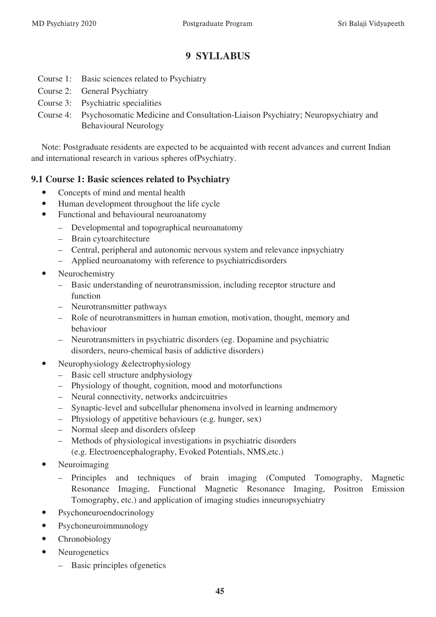# **9 SYLLABUS**

- Course 1: Basic sciences related to Psychiatry
- Course 2: General Psychiatry
- Course 3: Psychiatric specialities
- Course 4: Psychosomatic Medicine and Consultation-Liaison Psychiatry; Neuropsychiatry and Behavioural Neurology

Note: Postgraduate residents are expected to be acquainted with recent advances and current Indian and international research in various spheres ofPsychiatry.

### **9.1 Course 1: Basic sciences related to Psychiatry**

- Concepts of mind and mental health
- Human development throughout the life cycle
- Functional and behavioural neuroanatomy
	- Developmental and topographical neuroanatomy
	- Brain cytoarchitecture
	- Central, peripheral and autonomic nervous system and relevance inpsychiatry
	- Applied neuroanatomy with reference to psychiatricdisorders
- Neurochemistry
	- Basic understanding of neurotransmission, including receptor structure and function
	- Neurotransmitter pathways
	- Role of neurotransmitters in human emotion, motivation, thought, memory and behaviour
	- Neurotransmitters in psychiatric disorders (eg. Dopamine and psychiatric disorders, neuro-chemical basis of addictive disorders)
- Neurophysiology &electrophysiology
	- Basic cell structure andphysiology
	- Physiology of thought, cognition, mood and motorfunctions
	- Neural connectivity, networks andcircuitries
	- Synaptic-level and subcellular phenomena involved in learning andmemory
	- Physiology of appetitive behaviours (e.g. hunger, sex)
	- Normal sleep and disorders ofsleep
	- Methods of physiological investigations in psychiatric disorders (e.g. Electroencephalography, Evoked Potentials, NMS,etc.)
- Neuroimaging
	- Principles and techniques of brain imaging (Computed Tomography, Magnetic Resonance Imaging, Functional Magnetic Resonance Imaging, Positron Emission Tomography, etc.) and application of imaging studies inneuropsychiatry
- Psychoneuroendocrinology
- Psychoneuroimmunology
- Chronobiology
- Neurogenetics
	- Basic principles ofgenetics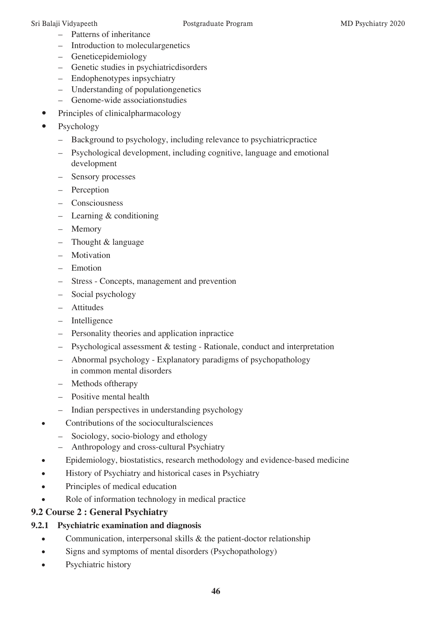- Patterns of inheritance
- Introduction to moleculargenetics
- Geneticepidemiology
- Genetic studies in psychiatricdisorders
- Endophenotypes inpsychiatry
- Understanding of populationgenetics
- Genome-wide associationstudies
- Principles of clinicalpharmacology
- Psychology
	- Background to psychology, including relevance to psychiatricpractice
	- Psychological development, including cognitive, language and emotional development
	- Sensory processes
	- Perception
	- Consciousness
	- Learning & conditioning
	- Memory
	- Thought & language
	- Motivation
	- Emotion
	- Stress Concepts, management and prevention
	- Social psychology
	- Attitudes
	- Intelligence
	- Personality theories and application inpractice
	- Psychological assessment & testing Rationale, conduct and interpretation
	- Abnormal psychology Explanatory paradigms of psychopathology in common mental disorders
	- Methods oftherapy
	- Positive mental health
	- Indian perspectives in understanding psychology
- Contributions of the socioculturalsciences
	- Sociology, socio-biology and ethology
	- Anthropology and cross-cultural Psychiatry
- Epidemiology, biostatistics, research methodology and evidence-based medicine
- History of Psychiatry and historical cases in Psychiatry
- Principles of medical education
- Role of information technology in medical practice

# **9.2 Course 2 : General Psychiatry**

# **9.2.1 Psychiatric examination and diagnosis**

- Communication, interpersonal skills & the patient-doctor relationship
- Signs and symptoms of mental disorders (Psychopathology)
- Psychiatric history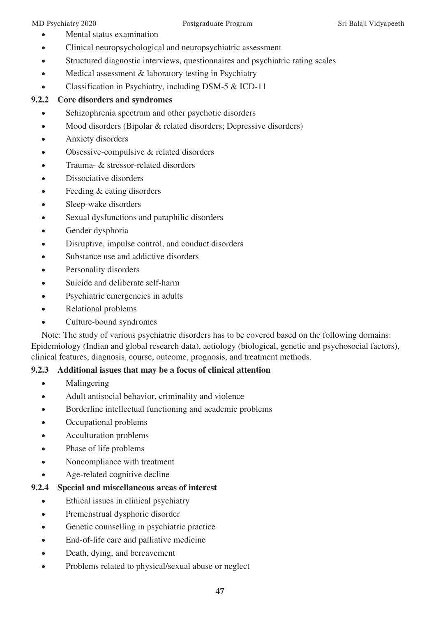- Mental status examination
- Clinical neuropsychological and neuropsychiatric assessment
- Structured diagnostic interviews, questionnaires and psychiatric rating scales
- Medical assessment & laboratory testing in Psychiatry
- Classification in Psychiatry, including DSM-5 & ICD-11

# **9.2.2 Core disorders and syndromes**

- Schizophrenia spectrum and other psychotic disorders
- Mood disorders (Bipolar & related disorders; Depressive disorders)
- Anxiety disorders
- Obsessive-compulsive & related disorders
- Trauma- & stressor-related disorders
- Dissociative disorders
- Feeding & eating disorders
- Sleep-wake disorders
- Sexual dysfunctions and paraphilic disorders
- Gender dysphoria
- Disruptive, impulse control, and conduct disorders
- Substance use and addictive disorders
- Personality disorders
- Suicide and deliberate self-harm
- Psychiatric emergencies in adults
- Relational problems
- Culture-bound syndromes

Note: The study of various psychiatric disorders has to be covered based on the following domains: Epidemiology (Indian and global research data), aetiology (biological, genetic and psychosocial factors), clinical features, diagnosis, course, outcome, prognosis, and treatment methods.

# **9.2.3 Additional issues that may be a focus of clinical attention**

- Malingering
- Adult antisocial behavior, criminality and violence
- Borderline intellectual functioning and academic problems
- Occupational problems
- Acculturation problems
- Phase of life problems
- Noncompliance with treatment
- Age-related cognitive decline

# **9.2.4 Special and miscellaneous areas of interest**

- Ethical issues in clinical psychiatry
- Premenstrual dysphoric disorder
- Genetic counselling in psychiatric practice
- End-of-life care and palliative medicine
- Death, dying, and bereavement
- Problems related to physical/sexual abuse or neglect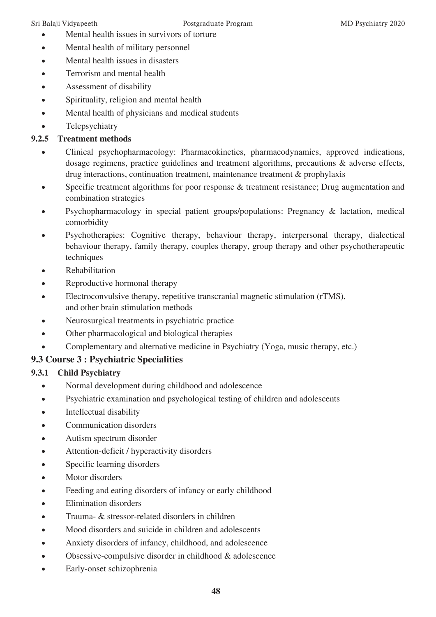- Mental health issues in survivors of torture
- Mental health of military personnel
- Mental health issues in disasters
- Terrorism and mental health
- Assessment of disability
- Spirituality, religion and mental health
- Mental health of physicians and medical students
- Telepsychiatry

# **9.2.5 Treatment methods**

- • Clinical psychopharmacology: Pharmacokinetics, pharmacodynamics, approved indications, dosage regimens, practice guidelines and treatment algorithms, precautions & adverse effects, drug interactions, continuation treatment, maintenance treatment & prophylaxis
- Specific treatment algorithms for poor response & treatment resistance; Drug augmentation and combination strategies
- Psychopharmacology in special patient groups/populations: Pregnancy & lactation, medical comorbidity
- Psychotherapies: Cognitive therapy, behaviour therapy, interpersonal therapy, dialectical behaviour therapy, family therapy, couples therapy, group therapy and other psychotherapeutic techniques
- Rehabilitation
- Reproductive hormonal therapy
- Electroconvulsive therapy, repetitive transcranial magnetic stimulation (rTMS), and other brain stimulation methods
- Neurosurgical treatments in psychiatric practice
- Other pharmacological and biological therapies
- Complementary and alternative medicine in Psychiatry (Yoga, music therapy, etc.)

# **9.3 Course 3 : Psychiatric Specialities**

# **9.3.1 Child Psychiatry**

- Normal development during childhood and adolescence
- Psychiatric examination and psychological testing of children and adolescents
- Intellectual disability
- Communication disorders
- Autism spectrum disorder
- Attention-deficit / hyperactivity disorders
- Specific learning disorders
- Motor disorders
- Feeding and eating disorders of infancy or early childhood
- Elimination disorders
- Trauma-  $\&$  stressor-related disorders in children
- Mood disorders and suicide in children and adolescents
- Anxiety disorders of infancy, childhood, and adolescence
- Obsessive-compulsive disorder in childhood & adolescence
- • Early-onset schizophrenia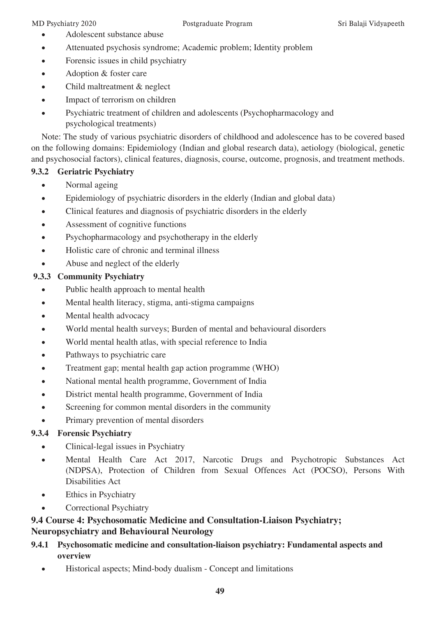- Adolescent substance abuse
- Attenuated psychosis syndrome; Academic problem; Identity problem
- Forensic issues in child psychiatry
- Adoption & foster care
- Child maltreatment & neglect
- Impact of terrorism on children
- Psychiatric treatment of children and adolescents (Psychopharmacology and psychological treatments)

Note: The study of various psychiatric disorders of childhood and adolescence has to be covered based on the following domains: Epidemiology (Indian and global research data), aetiology (biological, genetic and psychosocial factors), clinical features, diagnosis, course, outcome, prognosis, and treatment methods.

# **9.3.2 Geriatric Psychiatry**

- Normal ageing
- Epidemiology of psychiatric disorders in the elderly (Indian and global data)
- Clinical features and diagnosis of psychiatric disorders in the elderly
- Assessment of cognitive functions
- Psychopharmacology and psychotherapy in the elderly
- Holistic care of chronic and terminal illness
- Abuse and neglect of the elderly

# **9.3.3 Community Psychiatry**

- Public health approach to mental health
- Mental health literacy, stigma, anti-stigma campaigns
- Mental health advocacy
- World mental health surveys; Burden of mental and behavioural disorders
- World mental health atlas, with special reference to India
- Pathways to psychiatric care
- Treatment gap; mental health gap action programme (WHO)
- • National mental health programme, Government of India
- District mental health programme, Government of India
- Screening for common mental disorders in the community
- Primary prevention of mental disorders

# **9.3.4 Forensic Psychiatry**

- Clinical-legal issues in Psychiatry
- Mental Health Care Act 2017, Narcotic Drugs and Psychotropic Substances Act (NDPSA), Protection of Children from Sexual Offences Act (POCSO), Persons With Disabilities Act
- Ethics in Psychiatry
- Correctional Psychiatry

# **9.4 Course 4: Psychosomatic Medicine and Consultation-Liaison Psychiatry; Neuropsychiatry and Behavioural Neurology**

- **9.4.1 Psychosomatic medicine and consultation-liaison psychiatry: Fundamental aspects and overview**
	- Historical aspects; Mind-body dualism Concept and limitations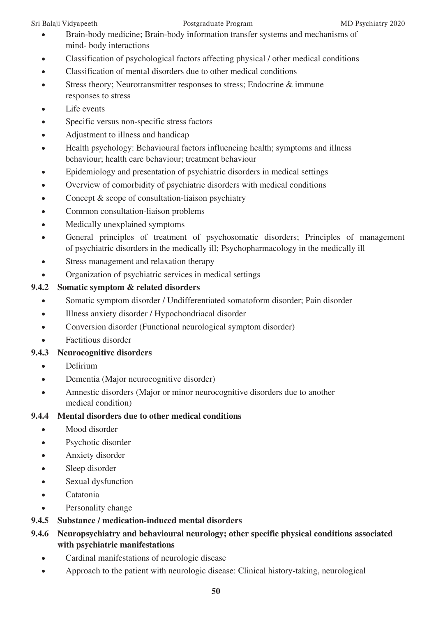- Brain-body medicine; Brain-body information transfer systems and mechanisms of mind- body interactions
- Classification of psychological factors affecting physical / other medical conditions
- Classification of mental disorders due to other medical conditions
- Stress theory; Neurotransmitter responses to stress; Endocrine & immune responses to stress
- Life events
- Specific versus non-specific stress factors
- Adjustment to illness and handicap
- Health psychology: Behavioural factors influencing health; symptoms and illness behaviour; health care behaviour; treatment behaviour
- Epidemiology and presentation of psychiatric disorders in medical settings
- Overview of comorbidity of psychiatric disorders with medical conditions
- Concept & scope of consultation-liaison psychiatry
- Common consultation-liaison problems
- Medically unexplained symptoms
- General principles of treatment of psychosomatic disorders; Principles of management of psychiatric disorders in the medically ill; Psychopharmacology in the medically ill
- Stress management and relaxation therapy
- Organization of psychiatric services in medical settings

# **9.4.2 Somatic symptom & related disorders**

- Somatic symptom disorder / Undifferentiated somatoform disorder; Pain disorder
- Illness anxiety disorder / Hypochondriacal disorder
- Conversion disorder (Functional neurological symptom disorder)
- Factitious disorder

# **9.4.3 Neurocognitive disorders**

- Delirium
- Dementia (Major neurocognitive disorder)
- Amnestic disorders (Major or minor neurocognitive disorders due to another medical condition)

# **9.4.4 Mental disorders due to other medical conditions**

- Mood disorder
- Psychotic disorder
- Anxiety disorder
- Sleep disorder
- Sexual dysfunction
- Catatonia
- Personality change
- **9.4.5 Substance / medication-induced mental disorders**

# **9.4.6 Neuropsychiatry and behavioural neurology; other specific physical conditions associated with psychiatric manifestations**

- Cardinal manifestations of neurologic disease
- Approach to the patient with neurologic disease: Clinical history-taking, neurological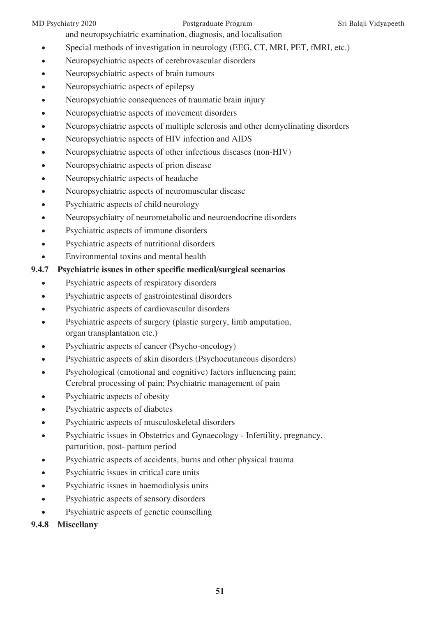and neuropsychiatric examination, diagnosis, and localisation

- Special methods of investigation in neurology (EEG, CT, MRI, PET, fMRI, etc.)
- Neuropsychiatric aspects of cerebrovascular disorders
- Neuropsychiatric aspects of brain tumours
- Neuropsychiatric aspects of epilepsy
- Neuropsychiatric consequences of traumatic brain injury
- Neuropsychiatric aspects of movement disorders
- Neuropsychiatric aspects of multiple sclerosis and other demyelinating disorders
- Neuropsychiatric aspects of HIV infection and AIDS
- Neuropsychiatric aspects of other infectious diseases (non-HIV)
- Neuropsychiatric aspects of prion disease
- Neuropsychiatric aspects of headache
- Neuropsychiatric aspects of neuromuscular disease
- Psychiatric aspects of child neurology
- Neuropsychiatry of neurometabolic and neuroendocrine disorders
- Psychiatric aspects of immune disorders
- Psychiatric aspects of nutritional disorders
- Environmental toxins and mental health

### **9.4.7 Psychiatric issues in other specific medical/surgical scenarios**

- Psychiatric aspects of respiratory disorders
- Psychiatric aspects of gastrointestinal disorders
- Psychiatric aspects of cardiovascular disorders
- Psychiatric aspects of surgery (plastic surgery, limb amputation, organ transplantation etc.)
- Psychiatric aspects of cancer (Psycho-oncology)
- Psychiatric aspects of skin disorders (Psychocutaneous disorders)
- Psychological (emotional and cognitive) factors influencing pain; Cerebral processing of pain; Psychiatric management of pain
- Psychiatric aspects of obesity
- Psychiatric aspects of diabetes
- Psychiatric aspects of musculoskeletal disorders
- Psychiatric issues in Obstetrics and Gynaecology Infertility, pregnancy, parturition, post- partum period
- Psychiatric aspects of accidents, burns and other physical trauma
- Psychiatric issues in critical care units
- Psychiatric issues in haemodialysis units
- Psychiatric aspects of sensory disorders
- Psychiatric aspects of genetic counselling
- **9.4.8 Miscellany**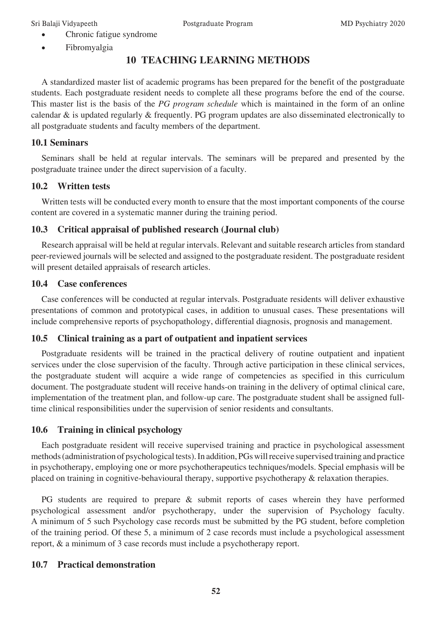- Chronic fatigue syndrome
- Fibromyalgia

# **10 TEACHING LEARNING METHODS**

A standardized master list of academic programs has been prepared for the benefit of the postgraduate students. Each postgraduate resident needs to complete all these programs before the end of the course. This master list is the basis of the *PG program schedule* which is maintained in the form of an online calendar & is updated regularly & frequently. PG program updates are also disseminated electronically to all postgraduate students and faculty members of the department.

### **10.1 Seminars**

Seminars shall be held at regular intervals. The seminars will be prepared and presented by the postgraduate trainee under the direct supervision of a faculty.

# **10.2 Written tests**

Written tests will be conducted every month to ensure that the most important components of the course content are covered in a systematic manner during the training period.

### **10.3 Critical appraisal of published research (Journal club)**

Research appraisal will be held at regular intervals. Relevant and suitable research articles from standard peer-reviewed journals will be selected and assigned to the postgraduate resident. The postgraduate resident will present detailed appraisals of research articles.

### **10.4 Case conferences**

Case conferences will be conducted at regular intervals. Postgraduate residents will deliver exhaustive presentations of common and prototypical cases, in addition to unusual cases. These presentations will include comprehensive reports of psychopathology, differential diagnosis, prognosis and management.

# **10.5 Clinical training as a part of outpatient and inpatient services**

Postgraduate residents will be trained in the practical delivery of routine outpatient and inpatient services under the close supervision of the faculty. Through active participation in these clinical services, the postgraduate student will acquire a wide range of competencies as specified in this curriculum document. The postgraduate student will receive hands-on training in the delivery of optimal clinical care, implementation of the treatment plan, and follow-up care. The postgraduate student shall be assigned fulltime clinical responsibilities under the supervision of senior residents and consultants.

### **10.6 Training in clinical psychology**

Each postgraduate resident will receive supervised training and practice in psychological assessment methods (administration of psychological tests). In addition, PGs will receive supervised training and practice in psychotherapy, employing one or more psychotherapeutics techniques/models. Special emphasis will be placed on training in cognitive-behavioural therapy, supportive psychotherapy & relaxation therapies.

PG students are required to prepare & submit reports of cases wherein they have performed psychological assessment and/or psychotherapy, under the supervision of Psychology faculty. A minimum of 5 such Psychology case records must be submitted by the PG student, before completion of the training period. Of these 5, a minimum of 2 case records must include a psychological assessment report, & a minimum of 3 case records must include a psychotherapy report.

# **10.7 Practical demonstration**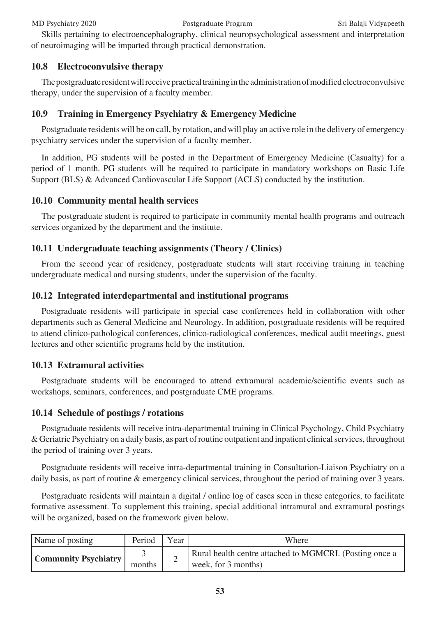### MD Psychiatry 2020 Postgraduate Program Sri Balaji Vidyapeeth

Skills pertaining to electroencephalography, clinical neuropsychological assessment and interpretation of neuroimaging will be imparted through practical demonstration.

### **10.8 Electroconvulsive therapy**

The postgraduate resident will receive practical training in the administration of modified electroconvulsive therapy, under the supervision of a faculty member.

# **10.9 Training in Emergency Psychiatry & Emergency Medicine**

Postgraduate residents will be on call, by rotation, and will play an active role in the delivery of emergency psychiatry services under the supervision of a faculty member.

In addition, PG students will be posted in the Department of Emergency Medicine (Casualty) for a period of 1 month. PG students will be required to participate in mandatory workshops on Basic Life Support (BLS) & Advanced Cardiovascular Life Support (ACLS) conducted by the institution.

### **10.10 Community mental health services**

The postgraduate student is required to participate in community mental health programs and outreach services organized by the department and the institute.

### **10.11 Undergraduate teaching assignments (Theory / Clinics)**

From the second year of residency, postgraduate students will start receiving training in teaching undergraduate medical and nursing students, under the supervision of the faculty.

### **10.12 Integrated interdepartmental and institutional programs**

Postgraduate residents will participate in special case conferences held in collaboration with other departments such as General Medicine and Neurology. In addition, postgraduate residents will be required to attend clinico-pathological conferences, clinico-radiological conferences, medical audit meetings, guest lectures and other scientific programs held by the institution.

# **10.13 Extramural activities**

Postgraduate students will be encouraged to attend extramural academic/scientific events such as workshops, seminars, conferences, and postgraduate CME programs.

### **10.14 Schedule of postings / rotations**

Postgraduate residents will receive intra-departmental training in Clinical Psychology, Child Psychiatry & Geriatric Psychiatry on a daily basis, as part of routine outpatient and inpatient clinical services, throughout the period of training over 3 years.

Postgraduate residents will receive intra-departmental training in Consultation-Liaison Psychiatry on a daily basis, as part of routine & emergency clinical services, throughout the period of training over 3 years.

Postgraduate residents will maintain a digital / online log of cases seen in these categories, to facilitate formative assessment. To supplement this training, special additional intramural and extramural postings will be organized, based on the framework given below.

| Name of posting             | Period | Year | Where                                                                            |
|-----------------------------|--------|------|----------------------------------------------------------------------------------|
| <b>Community Psychiatry</b> | months | ∸    | Rural health centre attached to MGMCRI. (Posting once a<br>week, for $3$ months) |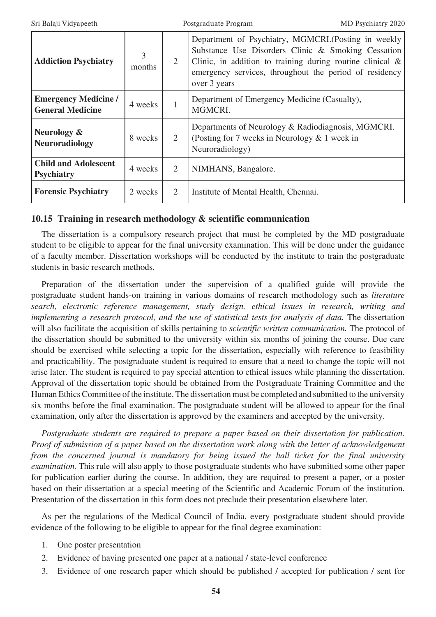| <b>Addiction Psychiatry</b>                            | 3<br>months | $\overline{2}$ | Department of Psychiatry, MGMCRI.(Posting in weekly<br>Substance Use Disorders Clinic & Smoking Cessation<br>Clinic, in addition to training during routine clinical $\&$<br>emergency services, throughout the period of residency<br>over 3 years |
|--------------------------------------------------------|-------------|----------------|-----------------------------------------------------------------------------------------------------------------------------------------------------------------------------------------------------------------------------------------------------|
| <b>Emergency Medicine /</b><br><b>General Medicine</b> | 4 weeks     | $\mathbf{1}$   | Department of Emergency Medicine (Casualty),<br>MGMCRI.                                                                                                                                                                                             |
| Neurology &<br><b>Neuroradiology</b>                   | 8 weeks     | $\overline{2}$ | Departments of Neurology & Radiodiagnosis, MGMCRI.<br>(Posting for 7 weeks in Neurology $& 1$ week in<br>Neuroradiology)                                                                                                                            |
| <b>Child and Adolescent</b><br><b>Psychiatry</b>       | 4 weeks     | 2              | NIMHANS, Bangalore.                                                                                                                                                                                                                                 |
| <b>Forensic Psychiatry</b>                             | 2 weeks     | 2              | Institute of Mental Health, Chennai.                                                                                                                                                                                                                |

### **10.15 Training in research methodology & scientific communication**

The dissertation is a compulsory research project that must be completed by the MD postgraduate student to be eligible to appear for the final university examination. This will be done under the guidance of a faculty member. Dissertation workshops will be conducted by the institute to train the postgraduate students in basic research methods.

Preparation of the dissertation under the supervision of a qualified guide will provide the postgraduate student hands-on training in various domains of research methodology such as *literature search, electronic reference management, study design, ethical issues in research, writing and implementing a research protocol, and the use of statistical tests for analysis of data. The dissertation* will also facilitate the acquisition of skills pertaining to *scientific written communication.* The protocol of the dissertation should be submitted to the university within six months of joining the course. Due care should be exercised while selecting a topic for the dissertation, especially with reference to feasibility and practicability. The postgraduate student is required to ensure that a need to change the topic will not arise later. The student is required to pay special attention to ethical issues while planning the dissertation. Approval of the dissertation topic should be obtained from the Postgraduate Training Committee and the Human Ethics Committee of the institute. The dissertation must be completed and submitted to the university six months before the final examination. The postgraduate student will be allowed to appear for the final examination, only after the dissertation is approved by the examiners and accepted by the university.

*Postgraduate students are required to prepare a paper based on their dissertation for publication. Proof of submission of a paper based on the dissertation work along with the letter of acknowledgement from the concerned journal is mandatory for being issued the hall ticket for the final university examination.* This rule will also apply to those postgraduate students who have submitted some other paper for publication earlier during the course. In addition, they are required to present a paper, or a poster based on their dissertation at a special meeting of the Scientific and Academic Forum of the institution. Presentation of the dissertation in this form does not preclude their presentation elsewhere later.

As per the regulations of the Medical Council of India, every postgraduate student should provide evidence of the following to be eligible to appear for the final degree examination:

- 1. One poster presentation
- 2. Evidence of having presented one paper at a national / state-level conference
- 3. Evidence of one research paper which should be published / accepted for publication / sent for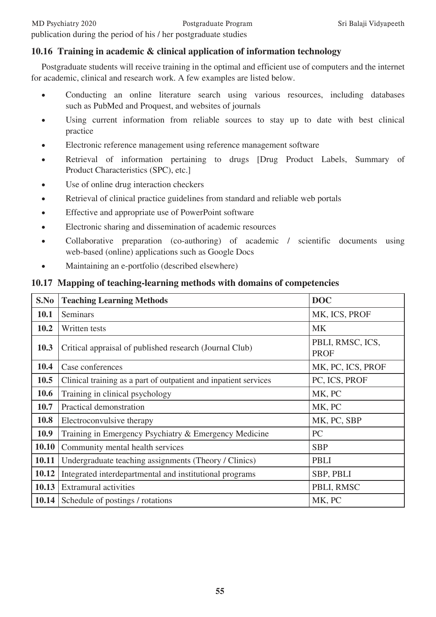# **10.16 Training in academic & clinical application of information technology**

Postgraduate students will receive training in the optimal and efficient use of computers and the internet for academic, clinical and research work. A few examples are listed below.

- Conducting an online literature search using various resources, including databases such as PubMed and Proquest, and websites of journals
- Using current information from reliable sources to stay up to date with best clinical practice
- Electronic reference management using reference management software
- Retrieval of information pertaining to drugs [Drug Product Labels, Summary of Product Characteristics (SPC), etc.]
- Use of online drug interaction checkers
- Retrieval of clinical practice guidelines from standard and reliable web portals
- Effective and appropriate use of PowerPoint software
- Electronic sharing and dissemination of academic resources
- Collaborative preparation (co-authoring) of academic / scientific documents using web-based (online) applications such as Google Docs
- Maintaining an e-portfolio (described elsewhere)

### **10.17 Mapping of teaching-learning methods with domains of competencies**

| S.No  | <b>Teaching Learning Methods</b>                                 | <b>DOC</b>                      |
|-------|------------------------------------------------------------------|---------------------------------|
| 10.1  | Seminars                                                         | MK, ICS, PROF                   |
| 10.2  | Written tests                                                    | <b>MK</b>                       |
| 10.3  | Critical appraisal of published research (Journal Club)          | PBLI, RMSC, ICS,<br><b>PROF</b> |
| 10.4  | Case conferences                                                 | MK, PC, ICS, PROF               |
| 10.5  | Clinical training as a part of outpatient and inpatient services | PC, ICS, PROF                   |
| 10.6  | Training in clinical psychology                                  | MK, PC                          |
| 10.7  | Practical demonstration                                          | MK, PC                          |
| 10.8  | Electroconvulsive therapy                                        | MK, PC, SBP                     |
| 10.9  | Training in Emergency Psychiatry & Emergency Medicine            | PC                              |
| 10.10 | Community mental health services                                 | <b>SBP</b>                      |
| 10.11 | Undergraduate teaching assignments (Theory / Clinics)            | <b>PBLI</b>                     |
| 10.12 | Integrated interdepartmental and institutional programs          | SBP, PBLI                       |
| 10.13 | Extramural activities                                            | PBLI, RMSC                      |
|       | <b>10.14</b> Schedule of postings / rotations                    | MK, PC                          |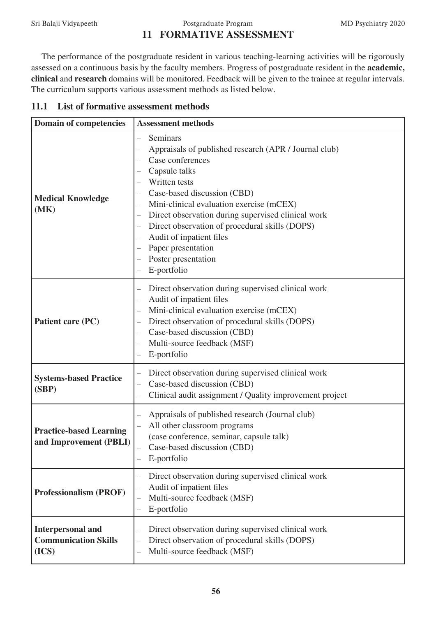### Sri Balaji Vidyapeeth Postgraduate Program MD Psychiatry 2020 **11 FORMATIVE ASSESSMENT**

The performance of the postgraduate resident in various teaching-learning activities will be rigorously assessed on a continuous basis by the faculty members. Progress of postgraduate resident in the **academic, clinical** and **research** domains will be monitored. Feedback will be given to the trainee at regular intervals. The curriculum supports various assessment methods as listed below.

|  | 11.1 List of formative assessment methods |
|--|-------------------------------------------|
|--|-------------------------------------------|

| <b>Domain of competencies</b>                                    | <b>Assessment methods</b>                                                                                                                                                                                                                                                                                                                                                                                                      |
|------------------------------------------------------------------|--------------------------------------------------------------------------------------------------------------------------------------------------------------------------------------------------------------------------------------------------------------------------------------------------------------------------------------------------------------------------------------------------------------------------------|
| <b>Medical Knowledge</b><br>(MK)                                 | Seminars<br>$\overline{\phantom{0}}$<br>Appraisals of published research (APR / Journal club)<br>Case conferences<br>Capsule talks<br>Written tests<br>Case-based discussion (CBD)<br>Mini-clinical evaluation exercise (mCEX)<br>Direct observation during supervised clinical work<br>Direct observation of procedural skills (DOPS)<br>Audit of inpatient files<br>Paper presentation<br>Poster presentation<br>E-portfolio |
| Patient care (PC)                                                | Direct observation during supervised clinical work<br>—<br>Audit of inpatient files<br>Mini-clinical evaluation exercise (mCEX)<br>—<br>Direct observation of procedural skills (DOPS)<br>Case-based discussion (CBD)<br>Multi-source feedback (MSF)<br>E-portfolio                                                                                                                                                            |
| <b>Systems-based Practice</b><br>(SBP)                           | Direct observation during supervised clinical work<br>Case-based discussion (CBD)<br>Clinical audit assignment / Quality improvement project                                                                                                                                                                                                                                                                                   |
| <b>Practice-based Learning</b><br>and Improvement (PBLI)         | Appraisals of published research (Journal club)<br>All other classroom programs<br>(case conference, seminar, capsule talk)<br>Case-based discussion (CBD)<br>E-portfolio                                                                                                                                                                                                                                                      |
| <b>Professionalism (PROF)</b>                                    | Direct observation during supervised clinical work<br>Audit of inpatient files<br>Multi-source feedback (MSF)<br>E-portfolio                                                                                                                                                                                                                                                                                                   |
| <b>Interpersonal and</b><br><b>Communication Skills</b><br>(ICS) | Direct observation during supervised clinical work<br>Direct observation of procedural skills (DOPS)<br>Multi-source feedback (MSF)                                                                                                                                                                                                                                                                                            |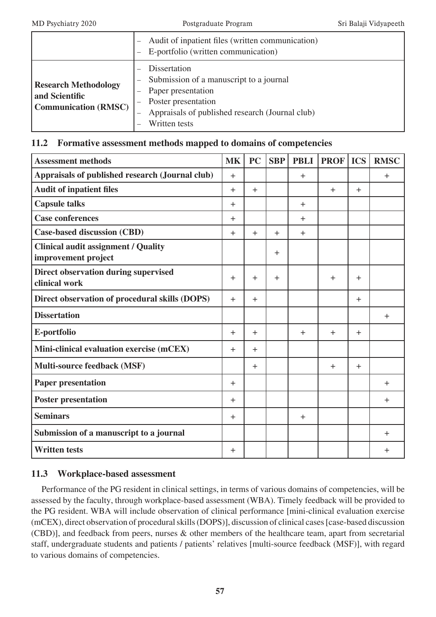|                                                                              | Audit of inpatient files (written communication)<br>E-portfolio (written communication)                                                                                  |
|------------------------------------------------------------------------------|--------------------------------------------------------------------------------------------------------------------------------------------------------------------------|
| <b>Research Methodology</b><br>and Scientific<br><b>Communication (RMSC)</b> | Dissertation<br>Submission of a manuscript to a journal<br>Paper presentation<br>Poster presentation<br>Appraisals of published research (Journal club)<br>Written tests |

### **11.2 Formative assessment methods mapped to domains of competencies**

| <b>Assessment methods</b>                                         | <b>MK</b> | <b>PC</b> | <b>SBP</b> | <b>PBLI</b> | <b>PROF</b> | <b>ICS</b> | <b>RMSC</b> |
|-------------------------------------------------------------------|-----------|-----------|------------|-------------|-------------|------------|-------------|
| Appraisals of published research (Journal club)                   | $+$       |           |            | $+$         |             |            | $+$         |
| <b>Audit of inpatient files</b>                                   | $+$       | $+$       |            |             | $+$         | $\ddot{}$  |             |
| <b>Capsule talks</b>                                              | $+$       |           |            | $+$         |             |            |             |
| <b>Case conferences</b>                                           | $\pm$     |           |            | $+$         |             |            |             |
| <b>Case-based discussion (CBD)</b>                                | $\pm$     | $\ddot{}$ | $+$        | $+$         |             |            |             |
| <b>Clinical audit assignment / Quality</b><br>improvement project |           |           | $+$        |             |             |            |             |
| Direct observation during supervised<br>clinical work             | $\pm$     | $\ddot{}$ | $+$        |             | $+$         | $\ddot{}$  |             |
| Direct observation of procedural skills (DOPS)                    | $+$       | $+$       |            |             |             | $+$        |             |
| <b>Dissertation</b>                                               |           |           |            |             |             |            | $\ddot{}$   |
| E-portfolio                                                       | $+$       | $+$       |            | $+$         | $+$         | $\ddot{}$  |             |
| Mini-clinical evaluation exercise (mCEX)                          | $+$       | $+$       |            |             |             |            |             |
| Multi-source feedback (MSF)                                       |           | $+$       |            |             | $+$         | $+$        |             |
| <b>Paper presentation</b>                                         | $+$       |           |            |             |             |            | $\pm$       |
| <b>Poster presentation</b>                                        | $+$       |           |            |             |             |            | $\ddot{}$   |
| <b>Seminars</b>                                                   | $+$       |           |            | $+$         |             |            |             |
| Submission of a manuscript to a journal                           |           |           |            |             |             |            | $+$         |
| <b>Written tests</b>                                              | $+$       |           |            |             |             |            | $\ddot{}$   |

# **11.3 Workplace-based assessment**

Performance of the PG resident in clinical settings, in terms of various domains of competencies, will be assessed by the faculty, through workplace-based assessment (WBA). Timely feedback will be provided to the PG resident. WBA will include observation of clinical performance [mini-clinical evaluation exercise (mCEX), direct observation of procedural skills (DOPS)], discussion of clinical cases [case-based discussion (CBD)], and feedback from peers, nurses & other members of the healthcare team, apart from secretarial staff, undergraduate students and patients / patients' relatives [multi-source feedback (MSF)], with regard to various domains of competencies.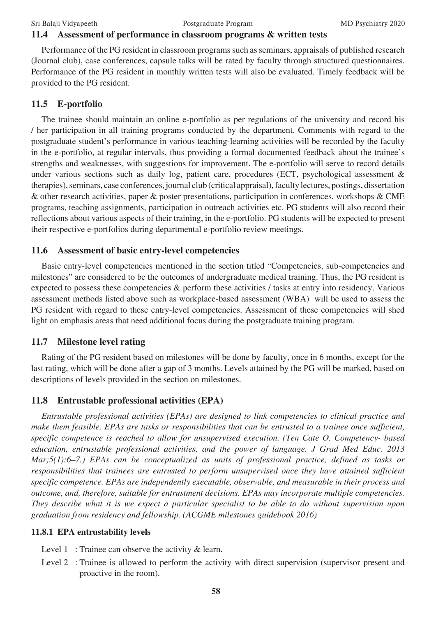### **11.4 Assessment of performance in classroom programs & written tests**

Performance of the PG resident in classroom programs such as seminars, appraisals of published research (Journal club), case conferences, capsule talks will be rated by faculty through structured questionnaires. Performance of the PG resident in monthly written tests will also be evaluated. Timely feedback will be provided to the PG resident.

### **11.5 E-portfolio**

The trainee should maintain an online e-portfolio as per regulations of the university and record his / her participation in all training programs conducted by the department. Comments with regard to the postgraduate student's performance in various teaching-learning activities will be recorded by the faculty in the e-portfolio, at regular intervals, thus providing a formal documented feedback about the trainee's strengths and weaknesses, with suggestions for improvement. The e-portfolio will serve to record details under various sections such as daily log, patient care, procedures (ECT, psychological assessment & therapies), seminars, case conferences, journal club (critical appraisal), faculty lectures, postings, dissertation & other research activities, paper & poster presentations, participation in conferences, workshops & CME programs, teaching assignments, participation in outreach activities etc. PG students will also record their reflections about various aspects of their training, in the e-portfolio. PG students will be expected to present their respective e-portfolios during departmental e-portfolio review meetings.

### **11.6 Assessment of basic entry-level competencies**

Basic entry-level competencies mentioned in the section titled "Competencies, sub-competencies and milestones" are considered to be the outcomes of undergraduate medical training. Thus, the PG resident is expected to possess these competencies & perform these activities / tasks at entry into residency. Various assessment methods listed above such as workplace-based assessment (WBA) will be used to assess the PG resident with regard to these entry-level competencies. Assessment of these competencies will shed light on emphasis areas that need additional focus during the postgraduate training program.

### **11.7 Milestone level rating**

Rating of the PG resident based on milestones will be done by faculty, once in 6 months, except for the last rating, which will be done after a gap of 3 months. Levels attained by the PG will be marked, based on descriptions of levels provided in the section on milestones.

### **11.8 Entrustable professional activities (EPA)**

*Entrustable professional activities (EPAs) are designed to link competencies to clinical practice and make them feasible. EPAs are tasks or responsibilities that can be entrusted to a trainee once sufficient, specific competence is reached to allow for unsupervised execution. (Ten Cate O. Competency- based education, entrustable professional activities, and the power of language. J Grad Med Educ. 2013 Mar;5(1):6–7.) EPAs can be conceptualized as units of professional practice, defined as tasks or responsibilities that trainees are entrusted to perform unsupervised once they have attained sufficient specific competence. EPAs are independently executable, observable, and measurable in their process and outcome, and, therefore, suitable for entrustment decisions. EPAs may incorporate multiple competencies. They describe what it is we expect a particular specialist to be able to do without supervision upon graduation from residency and fellowship. (ACGME milestones guidebook 2016)*

### **11.8.1 EPA entrustability levels**

- Level 1 : Trainee can observe the activity & learn.
- Level 2 : Trainee is allowed to perform the activity with direct supervision (supervisor present and proactive in the room).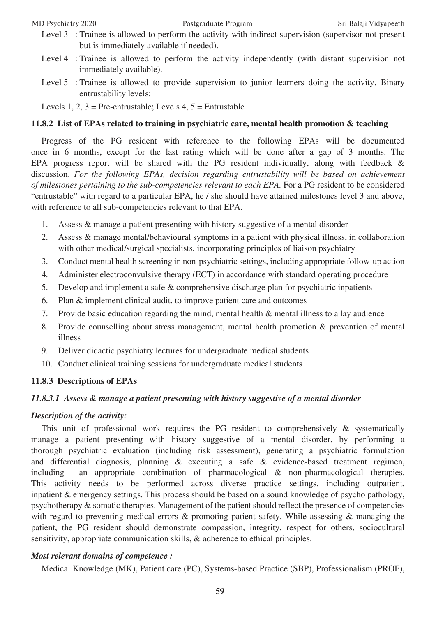- Level 3 : Trainee is allowed to perform the activity with indirect supervision (supervisor not present but is immediately available if needed).
- Level 4 : Trainee is allowed to perform the activity independently (with distant supervision not immediately available).
- Level 5 : Trainee is allowed to provide supervision to junior learners doing the activity. Binary entrustability levels:

Levels 1, 2,  $3$  = Pre-entrustable; Levels 4,  $5$  = Entrustable

### **11.8.2 List of EPAs related to training in psychiatric care, mental health promotion & teaching**

Progress of the PG resident with reference to the following EPAs will be documented once in 6 months, except for the last rating which will be done after a gap of 3 months. The EPA progress report will be shared with the PG resident individually, along with feedback & discussion. *For the following EPAs, decision regarding entrustability will be based on achievement of milestones pertaining to the sub-competencies relevant to each EPA.* For a PG resident to be considered "entrustable" with regard to a particular EPA, he / she should have attained milestones level 3 and above, with reference to all sub-competencies relevant to that EPA.

- 1. Assess & manage a patient presenting with history suggestive of a mental disorder
- 2. Assess & manage mental/behavioural symptoms in a patient with physical illness, in collaboration with other medical/surgical specialists, incorporating principles of liaison psychiatry
- 3. Conduct mental health screening in non-psychiatric settings, including appropriate follow-up action
- 4. Administer electroconvulsive therapy (ECT) in accordance with standard operating procedure
- 5. Develop and implement a safe & comprehensive discharge plan for psychiatric inpatients
- 6. Plan & implement clinical audit, to improve patient care and outcomes
- 7. Provide basic education regarding the mind, mental health & mental illness to a lay audience
- 8. Provide counselling about stress management, mental health promotion & prevention of mental illness
- 9. Deliver didactic psychiatry lectures for undergraduate medical students
- 10. Conduct clinical training sessions for undergraduate medical students

### **11.8.3 Descriptions of EPAs**

### *11.8.3.1 Assess & manage a patient presenting with history suggestive of a mental disorder*

### *Description of the activity:*

This unit of professional work requires the PG resident to comprehensively & systematically manage a patient presenting with history suggestive of a mental disorder, by performing a thorough psychiatric evaluation (including risk assessment), generating a psychiatric formulation and differential diagnosis, planning & executing a safe & evidence-based treatment regimen, including an appropriate combination of pharmacological & non-pharmacological therapies. This activity needs to be performed across diverse practice settings, including outpatient, inpatient & emergency settings. This process should be based on a sound knowledge of psycho pathology, psychotherapy & somatic therapies. Management of the patient should reflect the presence of competencies with regard to preventing medical errors  $\&$  promoting patient safety. While assessing  $\&$  managing the patient, the PG resident should demonstrate compassion, integrity, respect for others, sociocultural sensitivity, appropriate communication skills, & adherence to ethical principles.

### *Most relevant domains of competence :*

Medical Knowledge (MK), Patient care (PC), Systems-based Practice (SBP), Professionalism (PROF),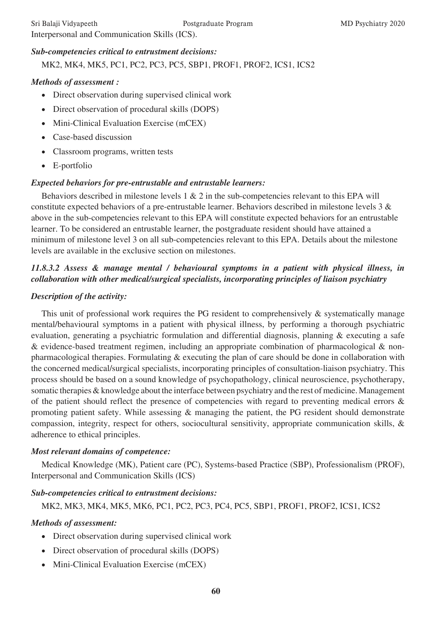### *Sub-competencies critical to entrustment decisions:*

MK2, MK4, MK5, PC1, PC2, PC3, PC5, SBP1, PROF1, PROF2, ICS1, ICS2

### *Methods of assessment :*

- Direct observation during supervised clinical work
- Direct observation of procedural skills (DOPS)
- Mini-Clinical Evaluation Exercise (mCEX)
- Case-based discussion
- • Classroom programs, written tests
- • E-portfolio

### *Expected behaviors for pre-entrustable and entrustable learners:*

Behaviors described in milestone levels 1 & 2 in the sub-competencies relevant to this EPA will constitute expected behaviors of a pre-entrustable learner. Behaviors described in milestone levels 3 & above in the sub-competencies relevant to this EPA will constitute expected behaviors for an entrustable learner. To be considered an entrustable learner, the postgraduate resident should have attained a minimum of milestone level 3 on all sub-competencies relevant to this EPA. Details about the milestone levels are available in the exclusive section on milestones.

# *11.8.3.2 Assess & manage mental / behavioural symptoms in a patient with physical illness, in collaboration with other medical/surgical specialists, incorporating principles of liaison psychiatry*

### *Description of the activity:*

This unit of professional work requires the PG resident to comprehensively & systematically manage mental/behavioural symptoms in a patient with physical illness, by performing a thorough psychiatric evaluation, generating a psychiatric formulation and differential diagnosis, planning & executing a safe & evidence-based treatment regimen, including an appropriate combination of pharmacological & nonpharmacological therapies. Formulating & executing the plan of care should be done in collaboration with the concerned medical/surgical specialists, incorporating principles of consultation-liaison psychiatry. This process should be based on a sound knowledge of psychopathology, clinical neuroscience, psychotherapy, somatic therapies & knowledge about the interface between psychiatry and the rest of medicine. Management of the patient should reflect the presence of competencies with regard to preventing medical errors & promoting patient safety. While assessing & managing the patient, the PG resident should demonstrate compassion, integrity, respect for others, sociocultural sensitivity, appropriate communication skills, & adherence to ethical principles.

### *Most relevant domains of competence:*

Medical Knowledge (MK), Patient care (PC), Systems-based Practice (SBP), Professionalism (PROF), Interpersonal and Communication Skills (ICS)

### *Sub-competencies critical to entrustment decisions:*

MK2, MK3, MK4, MK5, MK6, PC1, PC2, PC3, PC4, PC5, SBP1, PROF1, PROF2, ICS1, ICS2

### *Methods of assessment:*

- Direct observation during supervised clinical work
- Direct observation of procedural skills (DOPS)
- Mini-Clinical Evaluation Exercise (mCEX)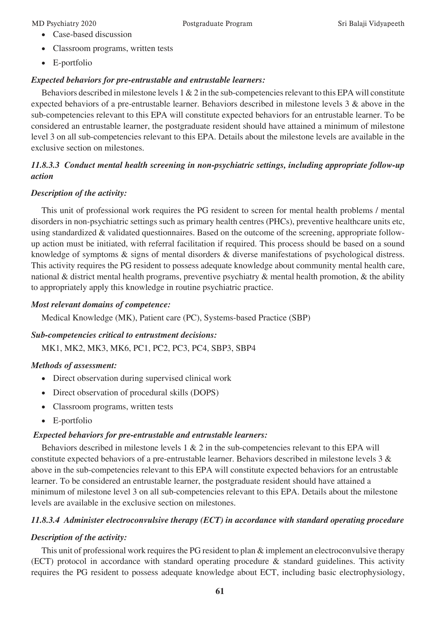- • Case-based discussion
- Classroom programs, written tests
- • E-portfolio

### *Expected behaviors for pre-entrustable and entrustable learners:*

Behaviors described in milestone levels  $1 \& 2$  in the sub-competencies relevant to this EPA will constitute expected behaviors of a pre-entrustable learner. Behaviors described in milestone levels 3 & above in the sub-competencies relevant to this EPA will constitute expected behaviors for an entrustable learner. To be considered an entrustable learner, the postgraduate resident should have attained a minimum of milestone level 3 on all sub-competencies relevant to this EPA. Details about the milestone levels are available in the exclusive section on milestones.

# *11.8.3.3 Conduct mental health screening in non-psychiatric settings, including appropriate follow-up action*

### *Description of the activity:*

This unit of professional work requires the PG resident to screen for mental health problems / mental disorders in non-psychiatric settings such as primary health centres (PHCs), preventive healthcare units etc, using standardized & validated questionnaires. Based on the outcome of the screening, appropriate followup action must be initiated, with referral facilitation if required. This process should be based on a sound knowledge of symptoms & signs of mental disorders & diverse manifestations of psychological distress. This activity requires the PG resident to possess adequate knowledge about community mental health care, national & district mental health programs, preventive psychiatry & mental health promotion, & the ability to appropriately apply this knowledge in routine psychiatric practice.

### *Most relevant domains of competence:*

Medical Knowledge (MK), Patient care (PC), Systems-based Practice (SBP)

# *Sub-competencies critical to entrustment decisions:*

MK1, MK2, MK3, MK6, PC1, PC2, PC3, PC4, SBP3, SBP4

### *Methods of assessment:*

- • Direct observation during supervised clinical work
- Direct observation of procedural skills (DOPS)
- Classroom programs, written tests
- • E-portfolio

### *Expected behaviors for pre-entrustable and entrustable learners:*

Behaviors described in milestone levels 1 & 2 in the sub-competencies relevant to this EPA will constitute expected behaviors of a pre-entrustable learner. Behaviors described in milestone levels 3 & above in the sub-competencies relevant to this EPA will constitute expected behaviors for an entrustable learner. To be considered an entrustable learner, the postgraduate resident should have attained a minimum of milestone level 3 on all sub-competencies relevant to this EPA. Details about the milestone levels are available in the exclusive section on milestones.

# *11.8.3.4 Administer electroconvulsive therapy (ECT) in accordance with standard operating procedure*

# *Description of the activity:*

This unit of professional work requires the PG resident to plan & implement an electroconvulsive therapy (ECT) protocol in accordance with standard operating procedure & standard guidelines. This activity requires the PG resident to possess adequate knowledge about ECT, including basic electrophysiology,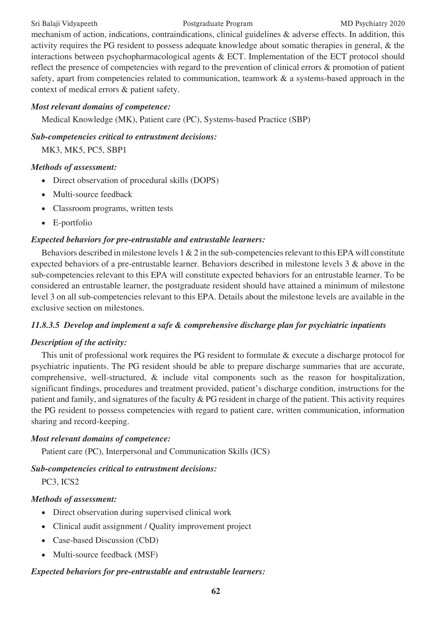mechanism of action, indications, contraindications, clinical guidelines & adverse effects. In addition, this activity requires the PG resident to possess adequate knowledge about somatic therapies in general, & the interactions between psychopharmacological agents & ECT. Implementation of the ECT protocol should reflect the presence of competencies with regard to the prevention of clinical errors & promotion of patient safety, apart from competencies related to communication, teamwork & a systems-based approach in the context of medical errors & patient safety.

### *Most relevant domains of competence:*

Medical Knowledge (MK), Patient care (PC), Systems-based Practice (SBP)

### *Sub-competencies critical to entrustment decisions:*

MK3, MK5, PC5, SBP1

### *Methods of assessment:*

- Direct observation of procedural skills (DOPS)
- Multi-source feedback
- Classroom programs, written tests
- • E-portfolio

### *Expected behaviors for pre-entrustable and entrustable learners:*

Behaviors described in milestone levels 1 & 2 in the sub-competencies relevant to this EPA will constitute expected behaviors of a pre-entrustable learner. Behaviors described in milestone levels 3 & above in the sub-competencies relevant to this EPA will constitute expected behaviors for an entrustable learner. To be considered an entrustable learner, the postgraduate resident should have attained a minimum of milestone level 3 on all sub-competencies relevant to this EPA. Details about the milestone levels are available in the exclusive section on milestones.

### *11.8.3.5 Develop and implement a safe & comprehensive discharge plan for psychiatric inpatients*

### *Description of the activity:*

This unit of professional work requires the PG resident to formulate & execute a discharge protocol for psychiatric inpatients. The PG resident should be able to prepare discharge summaries that are accurate, comprehensive, well-structured, & include vital components such as the reason for hospitalization, significant findings, procedures and treatment provided, patient's discharge condition, instructions for the patient and family, and signatures of the faculty & PG resident in charge of the patient. This activity requires the PG resident to possess competencies with regard to patient care, written communication, information sharing and record-keeping.

### *Most relevant domains of competence:*

Patient care (PC), Interpersonal and Communication Skills (ICS)

### *Sub-competencies critical to entrustment decisions:*

PC3, ICS2

### *Methods of assessment:*

- Direct observation during supervised clinical work
- Clinical audit assignment / Quality improvement project
- Case-based Discussion (CbD)
- Multi-source feedback (MSF)

### *Expected behaviors for pre-entrustable and entrustable learners:*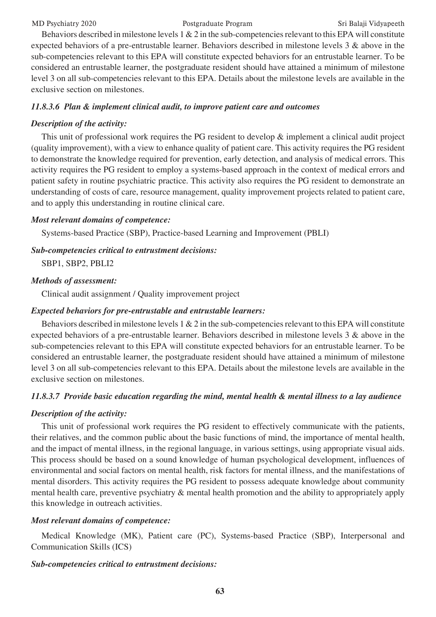MD Psychiatry 2020 Postgraduate Program Sri Balaji Vidyapeeth

Behaviors described in milestone levels  $1 \& 2$  in the sub-competencies relevant to this EPA will constitute expected behaviors of a pre-entrustable learner. Behaviors described in milestone levels 3 & above in the sub-competencies relevant to this EPA will constitute expected behaviors for an entrustable learner. To be considered an entrustable learner, the postgraduate resident should have attained a minimum of milestone level 3 on all sub-competencies relevant to this EPA. Details about the milestone levels are available in the exclusive section on milestones.

### *11.8.3.6 Plan & implement clinical audit, to improve patient care and outcomes*

### *Description of the activity:*

This unit of professional work requires the PG resident to develop & implement a clinical audit project (quality improvement), with a view to enhance quality of patient care. This activity requires the PG resident to demonstrate the knowledge required for prevention, early detection, and analysis of medical errors. This activity requires the PG resident to employ a systems-based approach in the context of medical errors and patient safety in routine psychiatric practice. This activity also requires the PG resident to demonstrate an understanding of costs of care, resource management, quality improvement projects related to patient care, and to apply this understanding in routine clinical care.

### *Most relevant domains of competence:*

Systems-based Practice (SBP), Practice-based Learning and Improvement (PBLI)

### *Sub-competencies critical to entrustment decisions:*

SBP1, SBP2, PBLI2

### *Methods of assessment:*

Clinical audit assignment / Quality improvement project

### *Expected behaviors for pre-entrustable and entrustable learners:*

Behaviors described in milestone levels  $1 \& 2$  in the sub-competencies relevant to this EPA will constitute expected behaviors of a pre-entrustable learner. Behaviors described in milestone levels 3 & above in the sub-competencies relevant to this EPA will constitute expected behaviors for an entrustable learner. To be considered an entrustable learner, the postgraduate resident should have attained a minimum of milestone level 3 on all sub-competencies relevant to this EPA. Details about the milestone levels are available in the exclusive section on milestones.

### *11.8.3.7 Provide basic education regarding the mind, mental health & mental illness to a lay audience*

### *Description of the activity:*

This unit of professional work requires the PG resident to effectively communicate with the patients, their relatives, and the common public about the basic functions of mind, the importance of mental health, and the impact of mental illness, in the regional language, in various settings, using appropriate visual aids. This process should be based on a sound knowledge of human psychological development, influences of environmental and social factors on mental health, risk factors for mental illness, and the manifestations of mental disorders. This activity requires the PG resident to possess adequate knowledge about community mental health care, preventive psychiatry & mental health promotion and the ability to appropriately apply this knowledge in outreach activities.

### *Most relevant domains of competence:*

Medical Knowledge (MK), Patient care (PC), Systems-based Practice (SBP), Interpersonal and Communication Skills (ICS)

### *Sub-competencies critical to entrustment decisions:*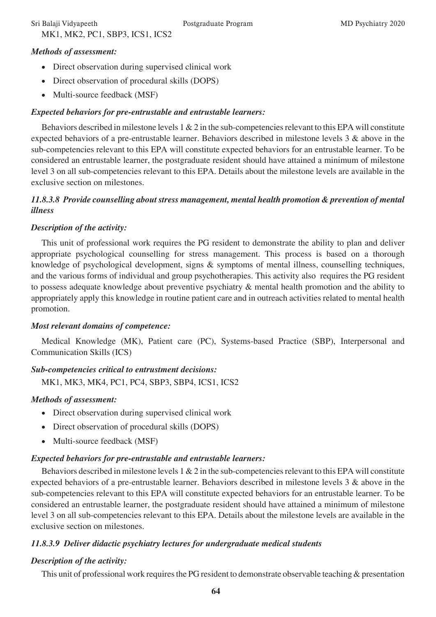# MK1, MK2, PC1, SBP3, ICS1, ICS2

### *Methods of assessment:*

- Direct observation during supervised clinical work
- Direct observation of procedural skills (DOPS)
- Multi-source feedback (MSF)

### *Expected behaviors for pre-entrustable and entrustable learners:*

Behaviors described in milestone levels  $1 \& 2$  in the sub-competencies relevant to this EPA will constitute expected behaviors of a pre-entrustable learner. Behaviors described in milestone levels 3 & above in the sub-competencies relevant to this EPA will constitute expected behaviors for an entrustable learner. To be considered an entrustable learner, the postgraduate resident should have attained a minimum of milestone level 3 on all sub-competencies relevant to this EPA. Details about the milestone levels are available in the exclusive section on milestones.

### *11.8.3.8 Provide counselling about stress management, mental health promotion & prevention of mental illness*

### *Description of the activity:*

This unit of professional work requires the PG resident to demonstrate the ability to plan and deliver appropriate psychological counselling for stress management. This process is based on a thorough knowledge of psychological development, signs & symptoms of mental illness, counselling techniques, and the various forms of individual and group psychotherapies. This activity also requires the PG resident to possess adequate knowledge about preventive psychiatry & mental health promotion and the ability to appropriately apply this knowledge in routine patient care and in outreach activities related to mental health promotion.

### *Most relevant domains of competence:*

Medical Knowledge (MK), Patient care (PC), Systems-based Practice (SBP), Interpersonal and Communication Skills (ICS)

### *Sub-competencies critical to entrustment decisions:*

MK1, MK3, MK4, PC1, PC4, SBP3, SBP4, ICS1, ICS2

### *Methods of assessment:*

- Direct observation during supervised clinical work
- Direct observation of procedural skills (DOPS)
- Multi-source feedback (MSF)

# *Expected behaviors for pre-entrustable and entrustable learners:*

Behaviors described in milestone levels  $1 \& 2$  in the sub-competencies relevant to this EPA will constitute expected behaviors of a pre-entrustable learner. Behaviors described in milestone levels 3 & above in the sub-competencies relevant to this EPA will constitute expected behaviors for an entrustable learner. To be considered an entrustable learner, the postgraduate resident should have attained a minimum of milestone level 3 on all sub-competencies relevant to this EPA. Details about the milestone levels are available in the exclusive section on milestones.

# *11.8.3.9 Deliver didactic psychiatry lectures for undergraduate medical students*

# *Description of the activity:*

This unit of professional work requires the PG resident to demonstrate observable teaching & presentation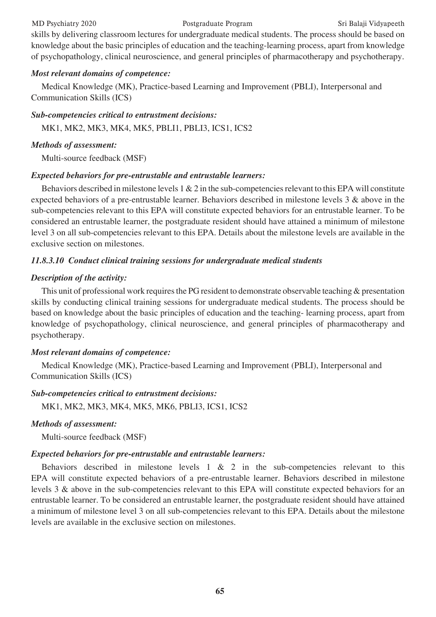### MD Psychiatry 2020 Postgraduate Program Sri Balaji Vidyapeeth

skills by delivering classroom lectures for undergraduate medical students. The process should be based on knowledge about the basic principles of education and the teaching-learning process, apart from knowledge of psychopathology, clinical neuroscience, and general principles of pharmacotherapy and psychotherapy.

### *Most relevant domains of competence:*

Medical Knowledge (MK), Practice-based Learning and Improvement (PBLI), Interpersonal and Communication Skills (ICS)

### *Sub-competencies critical to entrustment decisions:*

MK1, MK2, MK3, MK4, MK5, PBLI1, PBLI3, ICS1, ICS2

### *Methods of assessment:*

Multi-source feedback (MSF)

### *Expected behaviors for pre-entrustable and entrustable learners:*

Behaviors described in milestone levels 1 & 2 in the sub-competencies relevant to this EPA will constitute expected behaviors of a pre-entrustable learner. Behaviors described in milestone levels 3 & above in the sub-competencies relevant to this EPA will constitute expected behaviors for an entrustable learner. To be considered an entrustable learner, the postgraduate resident should have attained a minimum of milestone level 3 on all sub-competencies relevant to this EPA. Details about the milestone levels are available in the exclusive section on milestones.

### *11.8.3.10 Conduct clinical training sessions for undergraduate medical students*

### *Description of the activity:*

This unit of professional work requires the PG resident to demonstrate observable teaching & presentation skills by conducting clinical training sessions for undergraduate medical students. The process should be based on knowledge about the basic principles of education and the teaching- learning process, apart from knowledge of psychopathology, clinical neuroscience, and general principles of pharmacotherapy and psychotherapy.

### *Most relevant domains of competence:*

Medical Knowledge (MK), Practice-based Learning and Improvement (PBLI), Interpersonal and Communication Skills (ICS)

### *Sub-competencies critical to entrustment decisions:*

MK1, MK2, MK3, MK4, MK5, MK6, PBLI3, ICS1, ICS2

### *Methods of assessment:*

Multi-source feedback (MSF)

### *Expected behaviors for pre-entrustable and entrustable learners:*

Behaviors described in milestone levels  $1 \& 2$  in the sub-competencies relevant to this EPA will constitute expected behaviors of a pre-entrustable learner. Behaviors described in milestone levels 3 & above in the sub-competencies relevant to this EPA will constitute expected behaviors for an entrustable learner. To be considered an entrustable learner, the postgraduate resident should have attained a minimum of milestone level 3 on all sub-competencies relevant to this EPA. Details about the milestone levels are available in the exclusive section on milestones.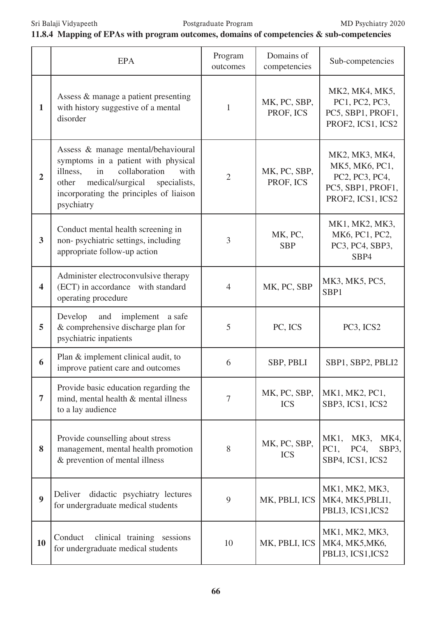# **11.8.4 Mapping of EPAs with program outcomes, domains of competencies & sub-competencies**

|                         | <b>EPA</b>                                                                                                                                                                                                                 | Program<br>outcomes | Domains of<br>competencies | Sub-competencies                                                                             |
|-------------------------|----------------------------------------------------------------------------------------------------------------------------------------------------------------------------------------------------------------------------|---------------------|----------------------------|----------------------------------------------------------------------------------------------|
| $\mathbf{1}$            | Assess & manage a patient presenting<br>with history suggestive of a mental<br>disorder                                                                                                                                    | $\mathbf{1}$        | MK, PC, SBP,<br>PROF, ICS  | MK2, MK4, MK5,<br>PC1, PC2, PC3,<br>PC5, SBP1, PROF1,<br>PROF2, ICS1, ICS2                   |
| $\overline{2}$          | Assess & manage mental/behavioural<br>symptoms in a patient with physical<br>illness,<br>collaboration<br>in<br>with<br>medical/surgical<br>specialists,<br>other<br>incorporating the principles of liaison<br>psychiatry | $\overline{2}$      | MK, PC, SBP,<br>PROF, ICS  | MK2, MK3, MK4,<br>MK5, MK6, PC1,<br>PC2, PC3, PC4,<br>PC5, SBP1, PROF1,<br>PROF2, ICS1, ICS2 |
| 3                       | Conduct mental health screening in<br>non-psychiatric settings, including<br>appropriate follow-up action                                                                                                                  | 3                   | MK, PC,<br><b>SBP</b>      | MK1, MK2, MK3,<br>MK6, PC1, PC2,<br>PC3, PC4, SBP3,<br>SBP4                                  |
| $\overline{\mathbf{4}}$ | Administer electroconvulsive therapy<br>(ECT) in accordance with standard<br>operating procedure                                                                                                                           | $\overline{4}$      | MK, PC, SBP                | MK3, MK5, PC5,<br>SBP1                                                                       |
| 5                       | implement<br>Develop<br>and<br>a safe<br>& comprehensive discharge plan for<br>psychiatric inpatients                                                                                                                      | 5                   | PC, ICS                    | PC3, ICS2                                                                                    |
| 6                       | Plan & implement clinical audit, to<br>improve patient care and outcomes                                                                                                                                                   | 6                   | SBP, PBLI                  | SBP1, SBP2, PBLI2                                                                            |
| $\overline{7}$          | Provide basic education regarding the<br>mind, mental health & mental illness<br>to a lay audience                                                                                                                         | 7                   | MK, PC, SBP,<br><b>ICS</b> | MK1, MK2, PC1,<br>SBP3, ICS1, ICS2                                                           |
| 8                       | Provide counselling about stress<br>management, mental health promotion<br>& prevention of mental illness                                                                                                                  | 8                   | MK, PC, SBP,<br><b>ICS</b> | MK <sub>1</sub> ,<br>MK3,<br>MK4,<br>PC1,<br>PC4,<br>SBP3,<br>SBP4, ICS1, ICS2               |
| $\boldsymbol{9}$        | didactic psychiatry lectures<br>Deliver<br>for undergraduate medical students                                                                                                                                              | 9                   | MK, PBLI, ICS              | MK1, MK2, MK3,<br>MK4, MK5, PBLI1,<br>PBLI3, ICS1, ICS2                                      |
| 10                      | clinical training sessions<br>Conduct<br>for undergraduate medical students                                                                                                                                                | 10                  | MK, PBLI, ICS              | MK1, MK2, MK3,<br>MK4, MK5, MK6,<br>PBLI3, ICS1, ICS2                                        |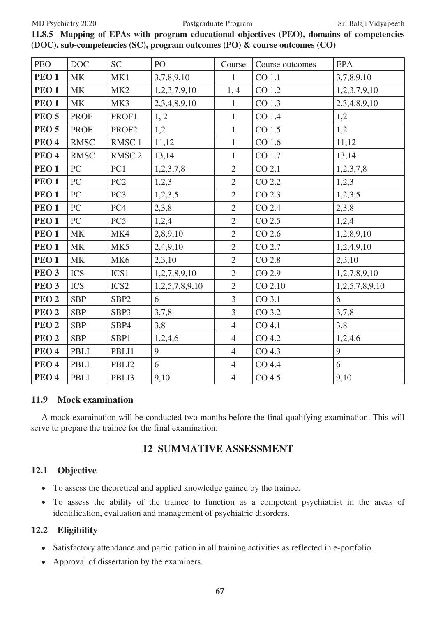### MD Psychiatry 2020 Postgraduate Program Sri Balaji Vidyapeeth

| <b>PEO</b>       | <b>DOC</b>  | <b>SC</b>         | PO             | Course         | Course outcomes   | <b>EPA</b>     |
|------------------|-------------|-------------------|----------------|----------------|-------------------|----------------|
| PEO <sub>1</sub> | MK          | MK1               | 3,7,8,9,10     | $\mathbf{1}$   | CO 1.1            | 3,7,8,9,10     |
| PEO <sub>1</sub> | <b>MK</b>   | MK <sub>2</sub>   | 1,2,3,7,9,10   | 1,4            | CO 1.2            | 1,2,3,7,9,10   |
| PEO <sub>1</sub> | MK          | MK3               | 2,3,4,8,9,10   | $\mathbf{1}$   | CO 1.3            | 2,3,4,8,9,10   |
| <b>PEO 5</b>     | <b>PROF</b> | PROF1             | 1, 2           | $\mathbf{1}$   | CO 1.4            | 1,2            |
| PEO <sub>5</sub> | <b>PROF</b> | PROF2             | 1,2            | $\mathbf{1}$   | CO 1.5            | 1,2            |
| PEO <sub>4</sub> | <b>RMSC</b> | RMSC <sub>1</sub> | 11,12          | $\mathbf{1}$   | CO 1.6            | 11,12          |
| PEO <sub>4</sub> | <b>RMSC</b> | RMSC <sub>2</sub> | 13,14          | $\mathbf{1}$   | CO 1.7            | 13,14          |
| PEO <sub>1</sub> | PC          | PC1               | 1,2,3,7,8      | $\overline{2}$ | CO 2.1            | 1,2,3,7,8      |
| PEO <sub>1</sub> | PC          | PC <sub>2</sub>   | 1,2,3          | $\overline{2}$ | CO 2.2            | 1,2,3          |
| PEO <sub>1</sub> | PC          | PC <sub>3</sub>   | 1,2,3,5        | $\overline{2}$ | CO 2.3            | 1,2,3,5        |
| PEO <sub>1</sub> | PC          | PC4               | 2,3,8          | $\overline{2}$ | CO 2.4            | 2,3,8          |
| PEO <sub>1</sub> | PC          | PC <sub>5</sub>   | 1,2,4          | $\overline{2}$ | CO 2.5            | 1,2,4          |
| PEO <sub>1</sub> | <b>MK</b>   | MK4               | 2,8,9,10       | $\overline{2}$ | CO 2.6            | 1,2,8,9,10     |
| PEO <sub>1</sub> | <b>MK</b>   | MK5               | 2,4,9,10       | $\overline{2}$ | CO 2.7            | 1,2,4,9,10     |
| PEO <sub>1</sub> | <b>MK</b>   | MK <sub>6</sub>   | 2,3,10         | $\overline{2}$ | CO 2.8            | 2,3,10         |
| PEO <sub>3</sub> | <b>ICS</b>  | ICS1              | 1,2,7,8,9,10   | $\overline{2}$ | CO 2.9            | 1,2,7,8,9,10   |
| PEO <sub>3</sub> | <b>ICS</b>  | ICS <sub>2</sub>  | 1,2,5,7,8,9,10 | $\overline{2}$ | CO 2.10           | 1,2,5,7,8,9,10 |
| PEO <sub>2</sub> | <b>SBP</b>  | SBP <sub>2</sub>  | 6              | $\overline{3}$ | CO 3.1            | 6              |
| PEO <sub>2</sub> | <b>SBP</b>  | SBP3              | 3,7,8          | $\overline{3}$ | CO 3.2            | 3,7,8          |
| PEO <sub>2</sub> | <b>SBP</b>  | SBP4              | 3,8            | $\overline{4}$ | CO 4.1            | 3,8            |
| PEO <sub>2</sub> | <b>SBP</b>  | SBP1              | 1,2,4,6        | $\overline{4}$ | CO 4.2            | 1,2,4,6        |
| PEO <sub>4</sub> | PBLI        | PBLI1             | 9              | $\overline{4}$ | CO <sub>4.3</sub> | 9              |
| PEO <sub>4</sub> | <b>PBLI</b> | PBLI2             | 6              | $\overline{4}$ | CO 4.4            | 6              |
| PEO <sub>4</sub> | <b>PBLI</b> | PBLI3             | 9,10           | $\overline{4}$ | CO <sub>4.5</sub> | 9,10           |

**11.8.5 Mapping of EPAs with program educational objectives (PEO), domains of competencies (DOC), sub-competencies (SC), program outcomes (PO) & course outcomes (CO)**

### **11.9 Mock examination**

A mock examination will be conducted two months before the final qualifying examination. This will serve to prepare the trainee for the final examination.

# **12 SUMMATIVE ASSESSMENT**

### **12.1 Objective**

- • To assess the theoretical and applied knowledge gained by the trainee.
- To assess the ability of the trainee to function as a competent psychiatrist in the areas of identification, evaluation and management of psychiatric disorders.

### **12.2 Eligibility**

- Satisfactory attendance and participation in all training activities as reflected in e-portfolio.
- • Approval of dissertation by the examiners.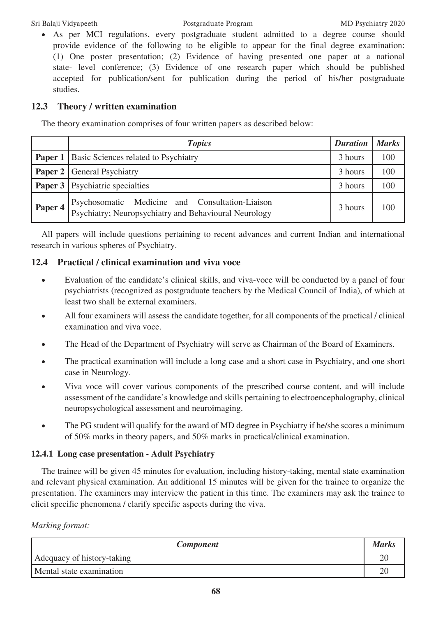• As per MCI regulations, every postgraduate student admitted to a degree course should provide evidence of the following to be eligible to appear for the final degree examination: (1) One poster presentation; (2) Evidence of having presented one paper at a national state- level conference; (3) Evidence of one research paper which should be published accepted for publication/sent for publication during the period of his/her postgraduate studies.

# **12.3 Theory / written examination**

The theory examination comprises of four written papers as described below:

|         | <b>Topics</b>                                                                                            | <b>Duration</b> | <b>Marks</b> |
|---------|----------------------------------------------------------------------------------------------------------|-----------------|--------------|
|         | <b>Paper 1</b> Basic Sciences related to Psychiatry                                                      |                 | 100          |
|         | <b>Paper 2</b> General Psychiatry                                                                        | 3 hours         | 100          |
|         | <b>Paper 3</b> Psychiatric specialties                                                                   | 3 hours         | 100          |
| Paper 4 | Psychosomatic Medicine and Consultation-Liaison<br>Psychiatry; Neuropsychiatry and Behavioural Neurology | 3 hours         | 100          |

All papers will include questions pertaining to recent advances and current Indian and international research in various spheres of Psychiatry.

# **12.4 Practical / clinical examination and viva voce**

- Evaluation of the candidate's clinical skills, and viva-voce will be conducted by a panel of four psychiatrists (recognized as postgraduate teachers by the Medical Council of India), of which at least two shall be external examiners.
- All four examiners will assess the candidate together, for all components of the practical / clinical examination and viva voce.
- The Head of the Department of Psychiatry will serve as Chairman of the Board of Examiners.
- The practical examination will include a long case and a short case in Psychiatry, and one short case in Neurology.
- Viva voce will cover various components of the prescribed course content, and will include assessment of the candidate's knowledge and skills pertaining to electroencephalography, clinical neuropsychological assessment and neuroimaging.
- The PG student will qualify for the award of MD degree in Psychiatry if he/she scores a minimum of 50% marks in theory papers, and 50% marks in practical/clinical examination.

### **12.4.1 Long case presentation - Adult Psychiatry**

The trainee will be given 45 minutes for evaluation, including history-taking, mental state examination and relevant physical examination. An additional 15 minutes will be given for the trainee to organize the presentation. The examiners may interview the patient in this time. The examiners may ask the trainee to elicit specific phenomena / clarify specific aspects during the viva.

### *Marking format:*

| <b>Component</b>           | <b>Marks</b> |
|----------------------------|--------------|
| Adequacy of history-taking |              |
| Mental state examination   |              |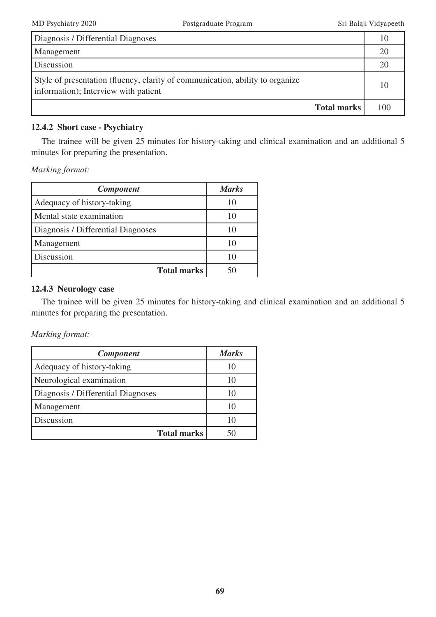| Diagnosis / Differential Diagnoses                                                                                    | 10  |
|-----------------------------------------------------------------------------------------------------------------------|-----|
| Management                                                                                                            | 20  |
| Discussion                                                                                                            | 20  |
| Style of presentation (fluency, clarity of communication, ability to organize<br>information); Interview with patient | 10  |
| <b>Total marks</b>                                                                                                    | 100 |

### **12.4.2 Short case - Psychiatry**

The trainee will be given 25 minutes for history-taking and clinical examination and an additional 5 minutes for preparing the presentation.

*Marking format:*

| <b>Component</b>                   | <b>Marks</b> |
|------------------------------------|--------------|
| Adequacy of history-taking         | 10           |
| Mental state examination           | 10           |
| Diagnosis / Differential Diagnoses | 10           |
| Management                         | 10           |
| Discussion                         | 10           |
| <b>Total marks</b>                 |              |

### **12.4.3 Neurology case**

The trainee will be given 25 minutes for history-taking and clinical examination and an additional 5 minutes for preparing the presentation.

*Marking format:*

| <b>Component</b>                   | <b>Marks</b> |
|------------------------------------|--------------|
| Adequacy of history-taking         |              |
| Neurological examination           | 10           |
| Diagnosis / Differential Diagnoses | 10           |
| Management                         |              |
| Discussion                         |              |
| <b>Total marks</b>                 |              |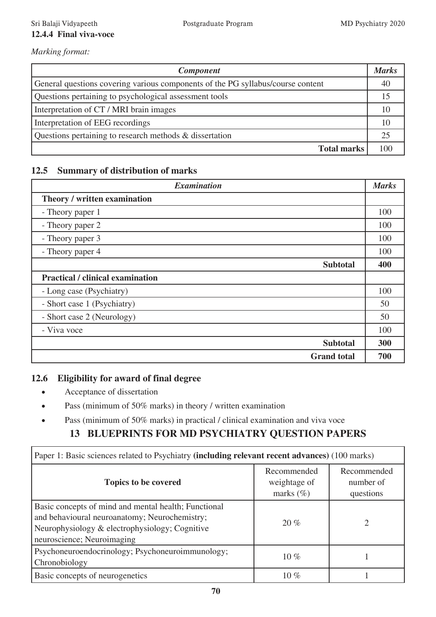### Sri Balaji Vidyapeeth Postgraduate Program MD Psychiatry 2020 **12.4.4 Final viva-voce**

*Marking format:*

| <b>Component</b>                                                                | <b>Marks</b> |
|---------------------------------------------------------------------------------|--------------|
| General questions covering various components of the PG syllabus/course content | 40           |
| Questions pertaining to psychological assessment tools                          |              |
| Interpretation of CT / MRI brain images                                         |              |
| Interpretation of EEG recordings                                                | 10           |
| Questions pertaining to research methods & dissertation                         |              |
| <b>Total marks</b>                                                              | 100          |

# **12.5 Summary of distribution of marks**

| <b>Examination</b>                      | <b>Marks</b> |
|-----------------------------------------|--------------|
| Theory / written examination            |              |
| - Theory paper 1                        | 100          |
| - Theory paper 2                        | 100          |
| - Theory paper 3                        | 100          |
| - Theory paper 4                        | 100          |
| <b>Subtotal</b>                         | 400          |
| <b>Practical / clinical examination</b> |              |
| - Long case (Psychiatry)                | 100          |
| - Short case 1 (Psychiatry)             | 50           |
| - Short case 2 (Neurology)              | 50           |
| - Viva voce                             | 100          |
| <b>Subtotal</b>                         | 300          |
| <b>Grand</b> total                      | 700          |

# **12.6 Eligibility for award of final degree**

- Acceptance of dissertation
- Pass (minimum of 50% marks) in theory / written examination
- Pass (minimum of 50% marks) in practical / clinical examination and viva voce

# **13 BLUEPRINTS FOR MD PSYCHIATRY QUESTION PAPERS**

| Paper 1: Basic sciences related to Psychiatry (including relevant recent advances) (100 marks)                                                                                        |                                              |                                       |  |  |
|---------------------------------------------------------------------------------------------------------------------------------------------------------------------------------------|----------------------------------------------|---------------------------------------|--|--|
| <b>Topics to be covered</b>                                                                                                                                                           | Recommended<br>weightage of<br>marks $(\% )$ | Recommended<br>number of<br>questions |  |  |
| Basic concepts of mind and mental health; Functional<br>and behavioural neuroanatomy; Neurochemistry;<br>Neurophysiology & electrophysiology; Cognitive<br>neuroscience; Neuroimaging | 20%                                          | ∍                                     |  |  |
| Psychoneuroendocrinology; Psychoneuroimmunology;<br>Chronobiology                                                                                                                     | 10 $%$                                       |                                       |  |  |
| Basic concepts of neurogenetics                                                                                                                                                       | 10 $\%$                                      |                                       |  |  |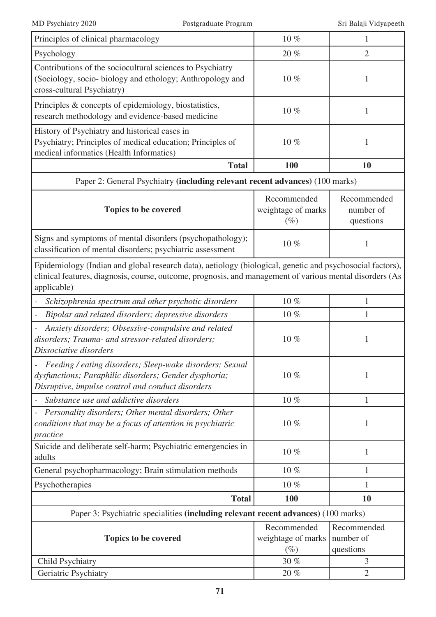| Principles of clinical pharmacology                                                                                                                                                                                                  | $10\%$                                      | $\mathbf{1}$                          |  |  |  |
|--------------------------------------------------------------------------------------------------------------------------------------------------------------------------------------------------------------------------------------|---------------------------------------------|---------------------------------------|--|--|--|
| Psychology                                                                                                                                                                                                                           | 20%                                         | $\overline{2}$                        |  |  |  |
| Contributions of the sociocultural sciences to Psychiatry<br>(Sociology, socio- biology and ethology; Anthropology and<br>cross-cultural Psychiatry)                                                                                 | 10%                                         | 1                                     |  |  |  |
| Principles & concepts of epidemiology, biostatistics,<br>research methodology and evidence-based medicine                                                                                                                            | 10%                                         | 1                                     |  |  |  |
| History of Psychiatry and historical cases in<br>Psychiatry; Principles of medical education; Principles of<br>medical informatics (Health Informatics)                                                                              | 10%                                         | 1                                     |  |  |  |
| <b>Total</b>                                                                                                                                                                                                                         | <b>100</b>                                  | <b>10</b>                             |  |  |  |
| Paper 2: General Psychiatry (including relevant recent advances) (100 marks)                                                                                                                                                         |                                             |                                       |  |  |  |
| <b>Topics to be covered</b>                                                                                                                                                                                                          | Recommended<br>weightage of marks<br>$(\%)$ | Recommended<br>number of<br>questions |  |  |  |
| Signs and symptoms of mental disorders (psychopathology);<br>classification of mental disorders; psychiatric assessment                                                                                                              | 10%                                         |                                       |  |  |  |
| Epidemiology (Indian and global research data), aetiology (biological, genetic and psychosocial factors),<br>clinical features, diagnosis, course, outcome, prognosis, and management of various mental disorders (As<br>applicable) |                                             |                                       |  |  |  |
| Schizophrenia spectrum and other psychotic disorders                                                                                                                                                                                 | 10%                                         | 1                                     |  |  |  |
| Bipolar and related disorders; depressive disorders                                                                                                                                                                                  | 10%                                         |                                       |  |  |  |
| Anxiety disorders; Obsessive-compulsive and related<br>disorders; Trauma- and stressor-related disorders;<br>Dissociative disorders                                                                                                  | 10%                                         | 1                                     |  |  |  |
| Feeding / eating disorders; Sleep-wake disorders; Sexual<br>dysfunctions; Paraphilic disorders; Gender dysphoria;<br>Disruptive, impulse control and conduct disorders                                                               | 10%                                         | 1                                     |  |  |  |
| Substance use and addictive disorders                                                                                                                                                                                                | $10\%$                                      | 1                                     |  |  |  |
| Personality disorders; Other mental disorders; Other<br>conditions that may be a focus of attention in psychiatric<br>practice                                                                                                       | 10%                                         | 1                                     |  |  |  |
| Suicide and deliberate self-harm; Psychiatric emergencies in<br>adults                                                                                                                                                               | 10%                                         | 1                                     |  |  |  |
| General psychopharmacology; Brain stimulation methods                                                                                                                                                                                | $10\%$                                      | 1                                     |  |  |  |
| Psychotherapies                                                                                                                                                                                                                      | $10\%$                                      | 1                                     |  |  |  |
| <b>Total</b>                                                                                                                                                                                                                         | 100                                         | <b>10</b>                             |  |  |  |
| Paper 3: Psychiatric specialities (including relevant recent advances) (100 marks)                                                                                                                                                   |                                             |                                       |  |  |  |
| <b>Topics to be covered</b>                                                                                                                                                                                                          | Recommended<br>weightage of marks<br>$(\%)$ | Recommended<br>number of<br>questions |  |  |  |
| <b>Child Psychiatry</b>                                                                                                                                                                                                              | 30 %                                        | 3                                     |  |  |  |
| Geriatric Psychiatry                                                                                                                                                                                                                 | 20%                                         | $\overline{2}$                        |  |  |  |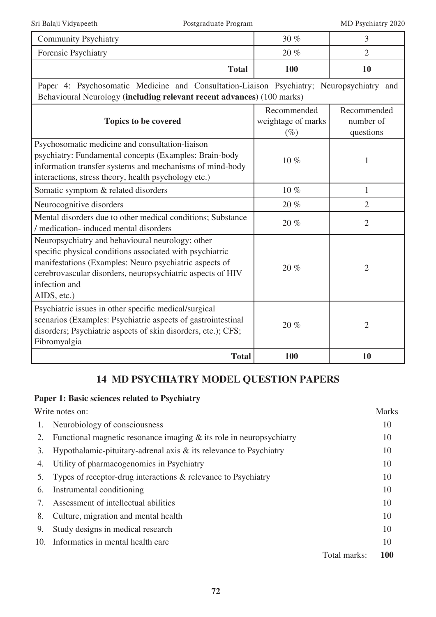| <b>Community Psychiatry</b>                                                                                                                                                                                                                                          | 30 %                                        | 3                                     |  |  |
|----------------------------------------------------------------------------------------------------------------------------------------------------------------------------------------------------------------------------------------------------------------------|---------------------------------------------|---------------------------------------|--|--|
| Forensic Psychiatry                                                                                                                                                                                                                                                  | 20%                                         | $\overline{2}$                        |  |  |
| <b>Total</b>                                                                                                                                                                                                                                                         | 100                                         | 10                                    |  |  |
| Paper 4: Psychosomatic Medicine and Consultation-Liaison Psychiatry; Neuropsychiatry and<br>Behavioural Neurology (including relevant recent advances) (100 marks)                                                                                                   |                                             |                                       |  |  |
| Topics to be covered                                                                                                                                                                                                                                                 | Recommended<br>weightage of marks<br>$(\%)$ | Recommended<br>number of<br>questions |  |  |
| Psychosomatic medicine and consultation-liaison<br>psychiatry: Fundamental concepts (Examples: Brain-body<br>information transfer systems and mechanisms of mind-body<br>interactions, stress theory, health psychology etc.)                                        | 10%                                         | 1                                     |  |  |
| Somatic symptom & related disorders                                                                                                                                                                                                                                  | $10\ \%$                                    | $\mathbf{1}$                          |  |  |
| Neurocognitive disorders                                                                                                                                                                                                                                             | 20%                                         | $\overline{2}$                        |  |  |
| Mental disorders due to other medical conditions; Substance<br>/ medication- induced mental disorders                                                                                                                                                                | 20%                                         | $\overline{2}$                        |  |  |
| Neuropsychiatry and behavioural neurology; other<br>specific physical conditions associated with psychiatric<br>manifestations (Examples: Neuro psychiatric aspects of<br>cerebrovascular disorders, neuropsychiatric aspects of HIV<br>infection and<br>AIDS, etc.) | 20%                                         | $\overline{2}$                        |  |  |
| Psychiatric issues in other specific medical/surgical<br>scenarios (Examples: Psychiatric aspects of gastrointestinal<br>disorders; Psychiatric aspects of skin disorders, etc.); CFS;<br>Fibromyalgia                                                               | 20%                                         | $\overline{2}$                        |  |  |
| <b>Total</b>                                                                                                                                                                                                                                                         | 100                                         | 10                                    |  |  |

# **14 MD PSYCHIATRY MODEL QUESTION PAPERS**

# **Paper 1: Basic sciences related to Psychiatry**

Write notes on: Marks

| 1.  | Neurobiology of consciousness                                         |              | 10         |
|-----|-----------------------------------------------------------------------|--------------|------------|
| 2.  | Functional magnetic resonance imaging $&$ its role in neuropsychiatry |              | 10         |
| 3.  | Hypothalamic-pituitary-adrenal axis $\&$ its relevance to Psychiatry  |              | 10         |
| 4.  | Utility of pharmacogenomics in Psychiatry                             |              | 10         |
| 5.  | Types of receptor-drug interactions $\&$ relevance to Psychiatry      |              | 10         |
| 6.  | Instrumental conditioning                                             |              | 10         |
|     | Assessment of intellectual abilities                                  |              | 10         |
| 8.  | Culture, migration and mental health                                  |              | 10         |
| 9.  | Study designs in medical research                                     |              | 10         |
| 10. | Informatics in mental health care                                     |              | 10         |
|     |                                                                       | Total marks: | <b>100</b> |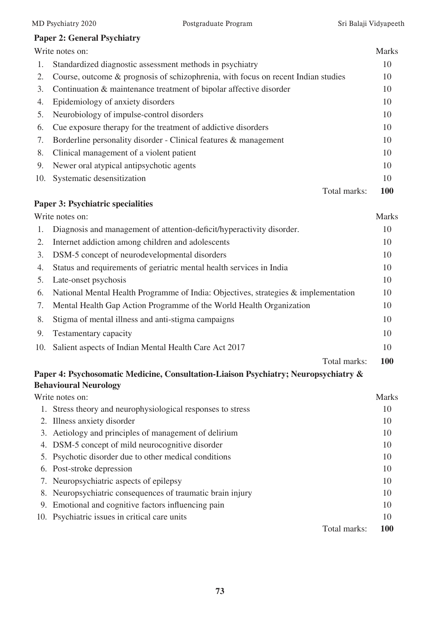Total marks: **100**

# **Paper 2: General Psychiatry**

**Paper 3: Psychiatric specialities**

|     | Write notes on:                                                                   |              | <b>Marks</b> |
|-----|-----------------------------------------------------------------------------------|--------------|--------------|
| 1.  | Standardized diagnostic assessment methods in psychiatry                          |              | 10           |
| 2.  | Course, outcome & prognosis of schizophrenia, with focus on recent Indian studies |              | 10           |
| 3.  | Continuation & maintenance treatment of bipolar affective disorder                |              | 10           |
| 4.  | Epidemiology of anxiety disorders                                                 |              | 10           |
| 5.  | Neurobiology of impulse-control disorders                                         |              | 10           |
| 6.  | Cue exposure therapy for the treatment of addictive disorders                     |              | 10           |
| 7.  | Borderline personality disorder - Clinical features & management                  |              | 10           |
| 8.  | Clinical management of a violent patient                                          |              | 10           |
| 9.  | Newer oral atypical antipsychotic agents                                          |              | 10           |
| 10. | Systematic desensitization                                                        |              | 10           |
|     |                                                                                   | Total marks: | <b>100</b>   |
|     |                                                                                   |              |              |

|     | Write notes on:                                                                    | <b>Marks</b> |
|-----|------------------------------------------------------------------------------------|--------------|
|     | Diagnosis and management of attention-deficit/hyperactivity disorder.              | 10           |
| 2.  | Internet addiction among children and adolescents                                  | 10           |
| 3.  | DSM-5 concept of neurodevelopmental disorders                                      | 10           |
| 4.  | Status and requirements of geriatric mental health services in India               | 10           |
| 5.  | Late-onset psychosis                                                               | 10           |
| 6.  | National Mental Health Programme of India: Objectives, strategies & implementation | 10           |
| 7.  | Mental Health Gap Action Programme of the World Health Organization                | 10           |
| 8.  | Stigma of mental illness and anti-stigma campaigns                                 | 10           |
| 9.  | Testamentary capacity                                                              | 10           |
| 10. | Salient aspects of Indian Mental Health Care Act 2017                              | 10           |

# **Paper 4: Psychosomatic Medicine, Consultation-Liaison Psychiatry; Neuropsychiatry & Behavioural Neurology**

|                                                                                                                                                                                                                                                                                                                                                                                                                                                                                                                                   | Marks      |
|-----------------------------------------------------------------------------------------------------------------------------------------------------------------------------------------------------------------------------------------------------------------------------------------------------------------------------------------------------------------------------------------------------------------------------------------------------------------------------------------------------------------------------------|------------|
|                                                                                                                                                                                                                                                                                                                                                                                                                                                                                                                                   | 10         |
|                                                                                                                                                                                                                                                                                                                                                                                                                                                                                                                                   | 10         |
|                                                                                                                                                                                                                                                                                                                                                                                                                                                                                                                                   | 10         |
|                                                                                                                                                                                                                                                                                                                                                                                                                                                                                                                                   | 10         |
|                                                                                                                                                                                                                                                                                                                                                                                                                                                                                                                                   | 10         |
|                                                                                                                                                                                                                                                                                                                                                                                                                                                                                                                                   | 10         |
|                                                                                                                                                                                                                                                                                                                                                                                                                                                                                                                                   | 10         |
|                                                                                                                                                                                                                                                                                                                                                                                                                                                                                                                                   | 10         |
|                                                                                                                                                                                                                                                                                                                                                                                                                                                                                                                                   | 10         |
|                                                                                                                                                                                                                                                                                                                                                                                                                                                                                                                                   | 10         |
| Total marks:                                                                                                                                                                                                                                                                                                                                                                                                                                                                                                                      | <b>100</b> |
| Write notes on:<br>1. Stress theory and neurophysiological responses to stress<br>2. Illness anxiety disorder<br>3. Actiology and principles of management of delirium<br>4. DSM-5 concept of mild neurocognitive disorder<br>5. Psychotic disorder due to other medical conditions<br>6. Post-stroke depression<br>7. Neuropsychiatric aspects of epilepsy<br>8. Neuropsychiatric consequences of traumatic brain injury<br>9. Emotional and cognitive factors influencing pain<br>10. Psychiatric issues in critical care units |            |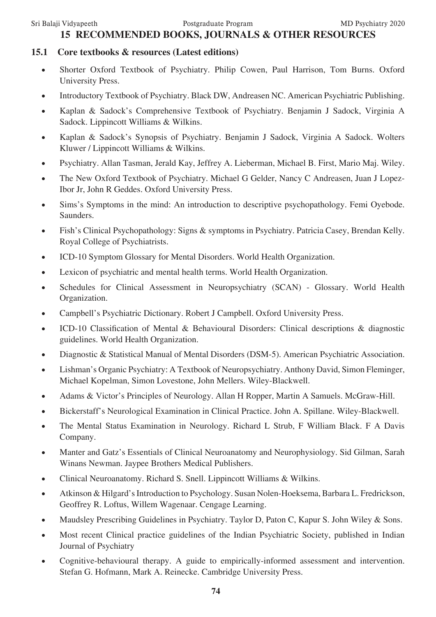# **15 RECOMMENDED BOOKS, JOURNALS & OTHER RESOURCES**

## **15.1 Core textbooks & resources (Latest editions)**

- Shorter Oxford Textbook of Psychiatry. Philip Cowen, Paul Harrison, Tom Burns. Oxford University Press.
- Introductory Textbook of Psychiatry. Black DW, Andreasen NC. American Psychiatric Publishing.
- Kaplan & Sadock's Comprehensive Textbook of Psychiatry. Benjamin J Sadock, Virginia A Sadock. Lippincott Williams & Wilkins.
- • Kaplan & Sadock's Synopsis of Psychiatry. Benjamin J Sadock, Virginia A Sadock. Wolters Kluwer / Lippincott Williams & Wilkins.
- Psychiatry. Allan Tasman, Jerald Kay, Jeffrey A. Lieberman, Michael B. First, Mario Maj. Wiley.
- The New Oxford Textbook of Psychiatry. Michael G Gelder, Nancy C Andreasen, Juan J Lopez-Ibor Jr, John R Geddes. Oxford University Press.
- Sims's Symptoms in the mind: An introduction to descriptive psychopathology. Femi Oyebode. Saunders.
- Fish's Clinical Psychopathology: Signs & symptoms in Psychiatry. Patricia Casey, Brendan Kelly. Royal College of Psychiatrists.
- ICD-10 Symptom Glossary for Mental Disorders. World Health Organization.
- Lexicon of psychiatric and mental health terms. World Health Organization.
- Schedules for Clinical Assessment in Neuropsychiatry (SCAN) Glossary. World Health Organization.
- Campbell's Psychiatric Dictionary. Robert J Campbell. Oxford University Press.
- ICD-10 Classification of Mental & Behavioural Disorders: Clinical descriptions & diagnostic guidelines. World Health Organization.
- Diagnostic & Statistical Manual of Mental Disorders (DSM-5). American Psychiatric Association.
- Lishman's Organic Psychiatry: A Textbook of Neuropsychiatry. Anthony David, Simon Fleminger, Michael Kopelman, Simon Lovestone, John Mellers. Wiley-Blackwell.
- Adams & Victor's Principles of Neurology. Allan H Ropper, Martin A Samuels. McGraw-Hill.
- Bickerstaff's Neurological Examination in Clinical Practice. John A. Spillane. Wiley-Blackwell.
- The Mental Status Examination in Neurology. Richard L Strub, F William Black. F A Davis Company.
- Manter and Gatz's Essentials of Clinical Neuroanatomy and Neurophysiology. Sid Gilman, Sarah Winans Newman. Jaypee Brothers Medical Publishers.
- Clinical Neuroanatomy. Richard S. Snell. Lippincott Williams & Wilkins.
- • Atkinson & Hilgard's Introduction to Psychology. Susan Nolen-Hoeksema, Barbara L. Fredrickson, Geoffrey R. Loftus, Willem Wagenaar. Cengage Learning.
- Maudsley Prescribing Guidelines in Psychiatry. Taylor D, Paton C, Kapur S. John Wiley & Sons.
- Most recent Clinical practice guidelines of the Indian Psychiatric Society, published in Indian Journal of Psychiatry
- Cognitive-behavioural therapy. A guide to empirically-informed assessment and intervention. Stefan G. Hofmann, Mark A. Reinecke. Cambridge University Press.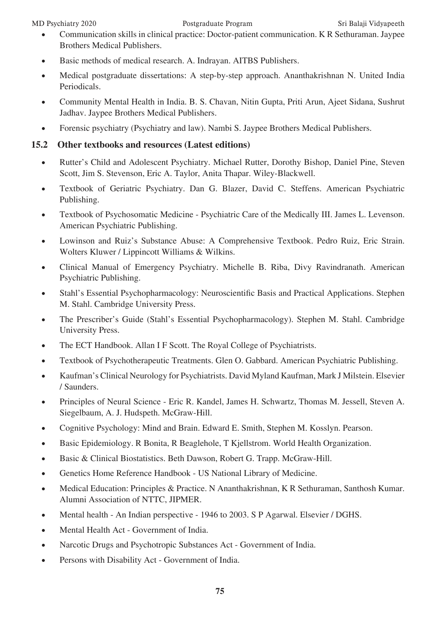- Communication skills in clinical practice: Doctor-patient communication. K R Sethuraman. Jaypee Brothers Medical Publishers.
- Basic methods of medical research. A. Indrayan. AITBS Publishers.
- Medical postgraduate dissertations: A step-by-step approach. Ananthakrishnan N. United India Periodicals.
- Community Mental Health in India. B. S. Chavan, Nitin Gupta, Priti Arun, Ajeet Sidana, Sushrut Jadhav. Jaypee Brothers Medical Publishers.
- Forensic psychiatry (Psychiatry and law). Nambi S. Jaypee Brothers Medical Publishers.

# **15.2 Other textbooks and resources (Latest editions)**

- Rutter's Child and Adolescent Psychiatry. Michael Rutter, Dorothy Bishop, Daniel Pine, Steven Scott, Jim S. Stevenson, Eric A. Taylor, Anita Thapar. Wiley-Blackwell.
- • Textbook of Geriatric Psychiatry. Dan G. Blazer, David C. Steffens. American Psychiatric Publishing.
- Textbook of Psychosomatic Medicine Psychiatric Care of the Medically III. James L. Levenson. American Psychiatric Publishing.
- • Lowinson and Ruiz's Substance Abuse: A Comprehensive Textbook. Pedro Ruiz, Eric Strain. Wolters Kluwer / Lippincott Williams & Wilkins.
- • Clinical Manual of Emergency Psychiatry. Michelle B. Riba, Divy Ravindranath. American Psychiatric Publishing.
- Stahl's Essential Psychopharmacology: Neuroscientific Basis and Practical Applications. Stephen M. Stahl. Cambridge University Press.
- The Prescriber's Guide (Stahl's Essential Psychopharmacology). Stephen M. Stahl. Cambridge University Press.
- The ECT Handbook. Allan I F Scott. The Royal College of Psychiatrists.
- Textbook of Psychotherapeutic Treatments. Glen O. Gabbard. American Psychiatric Publishing.
- • Kaufman's Clinical Neurology for Psychiatrists. David Myland Kaufman, Mark J Milstein. Elsevier / Saunders.
- • Principles of Neural Science Eric R. Kandel, James H. Schwartz, Thomas M. Jessell, Steven A. Siegelbaum, A. J. Hudspeth. McGraw-Hill.
- Cognitive Psychology: Mind and Brain. Edward E. Smith, Stephen M. Kosslyn. Pearson.
- Basic Epidemiology. R Bonita, R Beaglehole, T Kjellstrom. World Health Organization.
- Basic & Clinical Biostatistics. Beth Dawson, Robert G. Trapp. McGraw-Hill.
- Genetics Home Reference Handbook US National Library of Medicine.
- Medical Education: Principles & Practice. N Ananthakrishnan, K R Sethuraman, Santhosh Kumar. Alumni Association of NTTC, JIPMER.
- Mental health An Indian perspective 1946 to 2003. S P Agarwal. Elsevier / DGHS.
- Mental Health Act Government of India.
- Narcotic Drugs and Psychotropic Substances Act Government of India.
- Persons with Disability Act Government of India.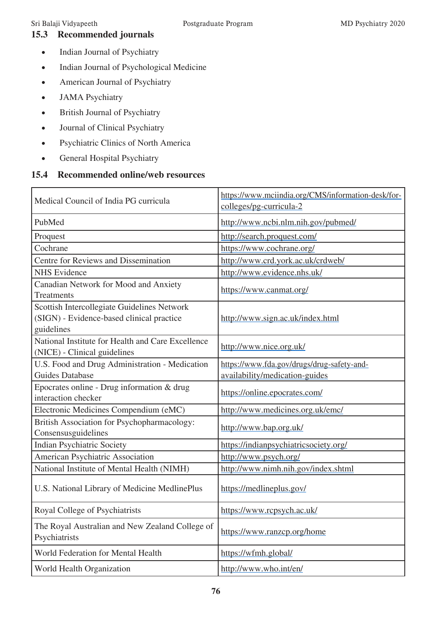# **15.3 Recommended journals**

- Indian Journal of Psychiatry
- • Indian Journal of Psychological Medicine
- • American Journal of Psychiatry
- JAMA Psychiatry
- British Journal of Psychiatry
- • Journal of Clinical Psychiatry
- • Psychiatric Clinics of North America
- • General Hospital Psychiatry

# **15.4 Recommended online/web resources**

| Medical Council of India PG curricula                                                                  | https://www.mciindia.org/CMS/information-desk/for-<br>colleges/pg-curricula-2 |  |  |
|--------------------------------------------------------------------------------------------------------|-------------------------------------------------------------------------------|--|--|
| PubMed                                                                                                 | http://www.ncbi.nlm.nih.gov/pubmed/                                           |  |  |
| Proquest                                                                                               | http://search.proquest.com/                                                   |  |  |
| Cochrane                                                                                               | https://www.cochrane.org/                                                     |  |  |
| Centre for Reviews and Dissemination                                                                   | http://www.crd.york.ac.uk/crdweb/                                             |  |  |
| <b>NHS</b> Evidence                                                                                    | http://www.evidence.nhs.uk/                                                   |  |  |
| Canadian Network for Mood and Anxiety<br>Treatments                                                    | https://www.canmat.org/                                                       |  |  |
| Scottish Intercollegiate Guidelines Network<br>(SIGN) - Evidence-based clinical practice<br>guidelines | http://www.sign.ac.uk/index.html                                              |  |  |
| National Institute for Health and Care Excellence<br>(NICE) - Clinical guidelines                      | http://www.nice.org.uk/                                                       |  |  |
| U.S. Food and Drug Administration - Medication                                                         | https://www.fda.gov/drugs/drug-safety-and-                                    |  |  |
| <b>Guides Database</b>                                                                                 | availability/medication-guides                                                |  |  |
| Epocrates online - Drug information & drug<br>interaction checker                                      | https://online.epocrates.com/                                                 |  |  |
| Electronic Medicines Compendium (eMC)                                                                  | http://www.medicines.org.uk/emc/                                              |  |  |
| British Association for Psychopharmacology:<br>Consensusguidelines                                     | http://www.bap.org.uk/                                                        |  |  |
| Indian Psychiatric Society                                                                             | https://indianpsychiatricsociety.org/                                         |  |  |
| American Psychiatric Association                                                                       | http://www.psych.org/                                                         |  |  |
| National Institute of Mental Health (NIMH)                                                             | http://www.nimh.nih.gov/index.shtml                                           |  |  |
| U.S. National Library of Medicine MedlinePlus                                                          | https://medlineplus.gov/                                                      |  |  |
| Royal College of Psychiatrists                                                                         | https://www.rcpsych.ac.uk/                                                    |  |  |
| The Royal Australian and New Zealand College of<br>Psychiatrists                                       | https://www.ranzcp.org/home                                                   |  |  |
| World Federation for Mental Health                                                                     | https://wfmh.global/                                                          |  |  |
| World Health Organization                                                                              | http://www.who.int/en/                                                        |  |  |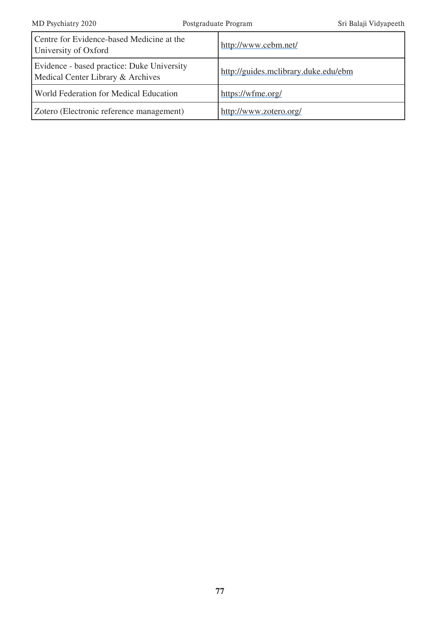| Centre for Evidence-based Medicine at the<br>University of Oxford               | http://www.cebm.net/                 |
|---------------------------------------------------------------------------------|--------------------------------------|
| Evidence - based practice: Duke University<br>Medical Center Library & Archives | http://guides.mclibrary.duke.edu/ebm |
| <b>World Federation for Medical Education</b>                                   | https://wfme.org/                    |
| Zotero (Electronic reference management)                                        | http://www.zotero.org/               |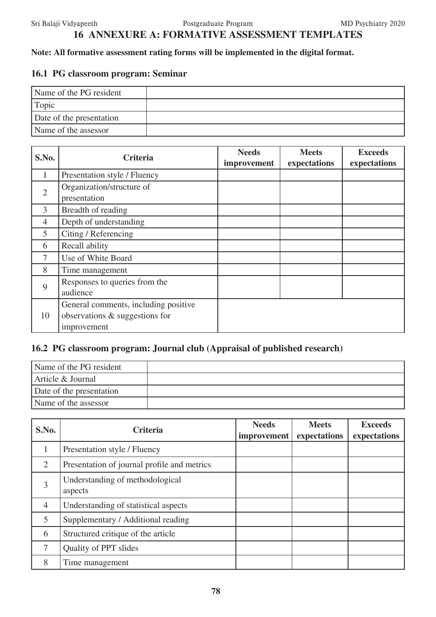# **16 ANNEXURE A: FORMATIVE ASSESSMENT TEMPLATES**

## **Note: All formative assessment rating forms will be implemented in the digital format.**

# **16.1 PG classroom program: Seminar**

| Name of the PG resident  |  |
|--------------------------|--|
| <sup>1</sup> Topic       |  |
| Date of the presentation |  |
| Name of the assessor     |  |

| S.No.          | <b>Criteria</b>                                                                       | <b>Needs</b><br>improvement | <b>Meets</b><br>expectations | <b>Exceeds</b><br>expectations |
|----------------|---------------------------------------------------------------------------------------|-----------------------------|------------------------------|--------------------------------|
| 1              | Presentation style / Fluency                                                          |                             |                              |                                |
| $\overline{2}$ | Organization/structure of<br>presentation                                             |                             |                              |                                |
| 3              | Breadth of reading                                                                    |                             |                              |                                |
| $\overline{4}$ | Depth of understanding                                                                |                             |                              |                                |
| 5              | Citing / Referencing                                                                  |                             |                              |                                |
| 6              | Recall ability                                                                        |                             |                              |                                |
|                | Use of White Board                                                                    |                             |                              |                                |
| 8              | Time management                                                                       |                             |                              |                                |
| 9              | Responses to queries from the<br>audience                                             |                             |                              |                                |
| 10             | General comments, including positive<br>observations & suggestions for<br>improvement |                             |                              |                                |

# **16.2 PG classroom program: Journal club (Appraisal of published research)**

| Name of the PG resident  |  |
|--------------------------|--|
| Article & Journal        |  |
| Date of the presentation |  |
| Name of the assessor     |  |

| S.No.                       | <b>Criteria</b>                             | <b>Needs</b><br>improvement | <b>Meets</b><br>expectations | <b>Exceeds</b><br>expectations |
|-----------------------------|---------------------------------------------|-----------------------------|------------------------------|--------------------------------|
|                             | Presentation style / Fluency                |                             |                              |                                |
| $\mathcal{D}_{\mathcal{L}}$ | Presentation of journal profile and metrics |                             |                              |                                |
| 3                           | Understanding of methodological<br>aspects  |                             |                              |                                |
| $\overline{4}$              | Understanding of statistical aspects        |                             |                              |                                |
| 5                           | Supplementary / Additional reading          |                             |                              |                                |
| 6                           | Structured critique of the article          |                             |                              |                                |
| 7                           | Quality of PPT slides                       |                             |                              |                                |
| 8                           | Time management                             |                             |                              |                                |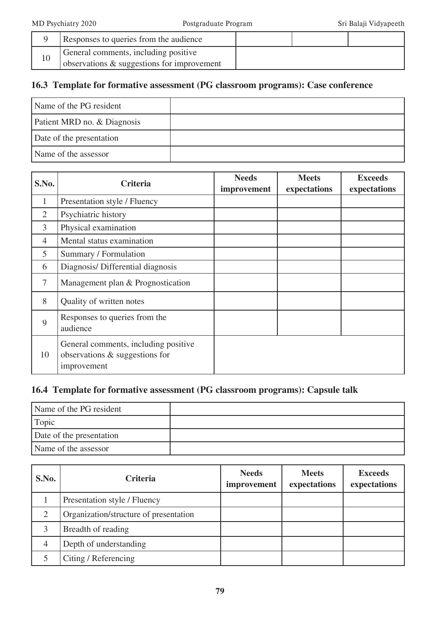|    | Responses to queries from the audience                                             |  |  |
|----|------------------------------------------------------------------------------------|--|--|
| 10 | General comments, including positive<br>observations & suggestions for improvement |  |  |

# **16.3 Template for formative assessment (PG classroom programs): Case conference**

| Name of the PG resident     |  |
|-----------------------------|--|
| Patient MRD no. & Diagnosis |  |
| Date of the presentation    |  |
| Name of the assessor        |  |

| S.No.          | <b>Criteria</b>                                                                       | <b>Needs</b><br>improvement | <b>Meets</b><br>expectations | <b>Exceeds</b><br>expectations |
|----------------|---------------------------------------------------------------------------------------|-----------------------------|------------------------------|--------------------------------|
| 1              | Presentation style / Fluency                                                          |                             |                              |                                |
| $\overline{2}$ | Psychiatric history                                                                   |                             |                              |                                |
| $\overline{3}$ | Physical examination                                                                  |                             |                              |                                |
| 4              | Mental status examination                                                             |                             |                              |                                |
| 5              | Summary / Formulation                                                                 |                             |                              |                                |
| 6              | Diagnosis/ Differential diagnosis                                                     |                             |                              |                                |
| 7              | Management plan & Prognostication                                                     |                             |                              |                                |
| 8              | Quality of written notes                                                              |                             |                              |                                |
| 9              | Responses to queries from the<br>audience                                             |                             |                              |                                |
| 10             | General comments, including positive<br>observations & suggestions for<br>improvement |                             |                              |                                |

# **16.4 Template for formative assessment (PG classroom programs): Capsule talk**

| Name of the PG resident  |  |
|--------------------------|--|
| <sup>1</sup> Topic       |  |
| Date of the presentation |  |
| Name of the assessor     |  |

| S.No.          | <b>Criteria</b>                        | <b>Needs</b><br>improvement | <b>Meets</b><br>expectations | <b>Exceeds</b><br>expectations |
|----------------|----------------------------------------|-----------------------------|------------------------------|--------------------------------|
|                | Presentation style / Fluency           |                             |                              |                                |
| ⌒              | Organization/structure of presentation |                             |                              |                                |
|                | Breadth of reading                     |                             |                              |                                |
| $\overline{4}$ | Depth of understanding                 |                             |                              |                                |
|                | Citing / Referencing                   |                             |                              |                                |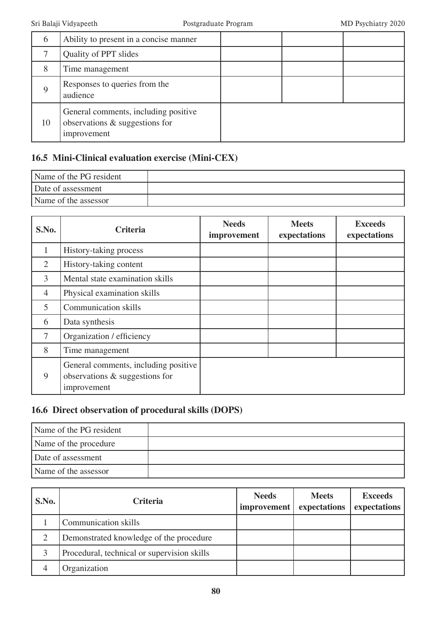| 6  | Ability to present in a concise manner                                                |  |  |
|----|---------------------------------------------------------------------------------------|--|--|
|    | Quality of PPT slides                                                                 |  |  |
| 8  | Time management                                                                       |  |  |
| Q  | Responses to queries from the<br>audience                                             |  |  |
| 10 | General comments, including positive<br>observations & suggestions for<br>improvement |  |  |

# **16.5 Mini-Clinical evaluation exercise (Mini-CEX)**

| Name of the PG resident |  |
|-------------------------|--|
| Date of assessment      |  |
| Name of the assessor    |  |

| S.No.          | <b>Criteria</b>                                                                       | <b>Needs</b><br>improvement | <b>Meets</b><br>expectations | <b>Exceeds</b><br>expectations |
|----------------|---------------------------------------------------------------------------------------|-----------------------------|------------------------------|--------------------------------|
| 1              | History-taking process                                                                |                             |                              |                                |
| 2              | History-taking content                                                                |                             |                              |                                |
| 3              | Mental state examination skills                                                       |                             |                              |                                |
| $\overline{4}$ | Physical examination skills                                                           |                             |                              |                                |
| 5              | <b>Communication skills</b>                                                           |                             |                              |                                |
| 6              | Data synthesis                                                                        |                             |                              |                                |
| $\tau$         | Organization / efficiency                                                             |                             |                              |                                |
| 8              | Time management                                                                       |                             |                              |                                |
| 9              | General comments, including positive<br>observations & suggestions for<br>improvement |                             |                              |                                |

# **16.6 Direct observation of procedural skills (DOPS)**

| Name of the PG resident |  |
|-------------------------|--|
| Name of the procedure   |  |
| Date of assessment      |  |
| Name of the assessor    |  |

| S.No. | <b>Criteria</b>                             | <b>Needs</b><br>improvement | <b>Meets</b><br>expectations | <b>Exceeds</b><br>expectations |
|-------|---------------------------------------------|-----------------------------|------------------------------|--------------------------------|
|       | Communication skills                        |                             |                              |                                |
| 2     | Demonstrated knowledge of the procedure     |                             |                              |                                |
|       | Procedural, technical or supervision skills |                             |                              |                                |
| 4     | Organization                                |                             |                              |                                |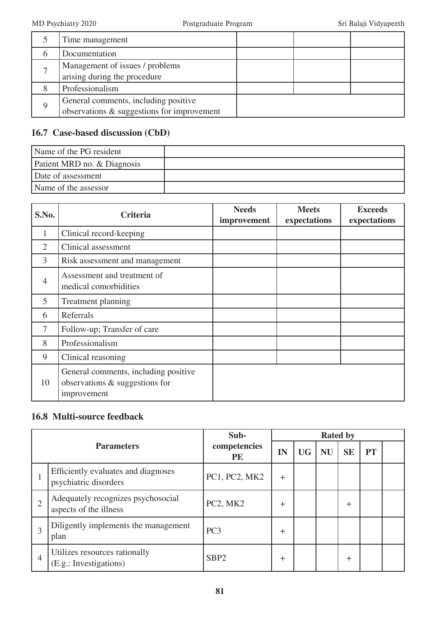|   | Time management                            |  |  |
|---|--------------------------------------------|--|--|
|   | Documentation                              |  |  |
|   | Management of issues / problems            |  |  |
|   | arising during the procedure               |  |  |
|   | Professionalism                            |  |  |
| Q | General comments, including positive       |  |  |
|   | observations & suggestions for improvement |  |  |

# **16.7 Case-based discussion (CbD)**

| Name of the PG resident     |  |
|-----------------------------|--|
| Patient MRD no. & Diagnosis |  |
| Date of assessment          |  |
| Name of the assessor        |  |

| S.No.          | <b>Criteria</b>                                                                       | <b>Needs</b><br>improvement | <b>Meets</b><br>expectations | <b>Exceeds</b><br>expectations |
|----------------|---------------------------------------------------------------------------------------|-----------------------------|------------------------------|--------------------------------|
| $\mathbf{1}$   | Clinical record-keeping                                                               |                             |                              |                                |
| $\overline{2}$ | Clinical assessment                                                                   |                             |                              |                                |
| $\overline{3}$ | Risk assessment and management                                                        |                             |                              |                                |
| $\overline{4}$ | Assessment and treatment of<br>medical comorbidities                                  |                             |                              |                                |
| 5              | <b>Treatment planning</b>                                                             |                             |                              |                                |
| 6              | Referrals                                                                             |                             |                              |                                |
| 7              | Follow-up; Transfer of care                                                           |                             |                              |                                |
| 8              | Professionalism                                                                       |                             |                              |                                |
| 9              | Clinical reasoning                                                                    |                             |                              |                                |
| 10             | General comments, including positive<br>observations & suggestions for<br>improvement |                             |                              |                                |

# **16.8 Multi-source feedback**

|                |                                                              | Sub-                      |       |    |           | <b>Rated by</b> |           |  |
|----------------|--------------------------------------------------------------|---------------------------|-------|----|-----------|-----------------|-----------|--|
|                | <b>Parameters</b>                                            | competencies<br><b>PE</b> | IN    | UG | <b>NU</b> | <b>SE</b>       | <b>PT</b> |  |
|                | Efficiently evaluates and diagnoses<br>psychiatric disorders | PC1, PC2, MK2             | $^+$  |    |           |                 |           |  |
| $\overline{2}$ | Adequately recognizes psychosocial<br>aspects of the illness | PC2, MK2                  | $\pm$ |    |           | $\pm$           |           |  |
| 3              | Diligently implements the management<br>plan                 | PC <sub>3</sub>           | $^+$  |    |           |                 |           |  |
| 4              | Utilizes resources rationally<br>(E.g.: Investigations)      | SBP <sub>2</sub>          | ┿     |    |           | $\pm$           |           |  |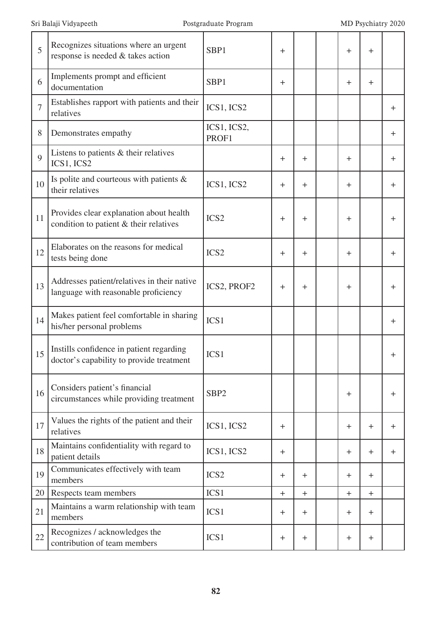| 5              | Recognizes situations where an urgent<br>response is needed & takes action           | SBP1                 | $\mathrm{+}$     |       | $\pm$ | $\pm$     |       |
|----------------|--------------------------------------------------------------------------------------|----------------------|------------------|-------|-------|-----------|-------|
| 6              | Implements prompt and efficient<br>documentation                                     | SBP1                 | $\pm$            |       | $\pm$ | $\ddot{}$ |       |
| $\overline{7}$ | Establishes rapport with patients and their<br>relatives                             | ICS1, ICS2           |                  |       |       |           | $\pm$ |
| 8              | Demonstrates empathy                                                                 | ICS1, ICS2,<br>PROF1 |                  |       |       |           | $\pm$ |
| 9              | Listens to patients & their relatives<br>ICS1, ICS2                                  |                      | $\pm$            | $\pm$ | $\pm$ |           | $\pm$ |
| 10             | Is polite and courteous with patients $\&$<br>their relatives                        | ICS1, ICS2           | $\pm$            | $\pm$ | $\pm$ |           | $\pm$ |
| 11             | Provides clear explanation about health<br>condition to patient & their relatives    | ICS <sub>2</sub>     | $\pm$            | $\pm$ | $\pm$ |           | $\pm$ |
| 12             | Elaborates on the reasons for medical<br>tests being done                            | ICS <sub>2</sub>     | $^{+}$           | $\pm$ | $\pm$ |           | $\pm$ |
| 13             | Addresses patient/relatives in their native<br>language with reasonable proficiency  | ICS2, PROF2          | $\pm$            | $\pm$ | $\pm$ |           | $\pm$ |
| 14             | Makes patient feel comfortable in sharing<br>his/her personal problems               | ICS1                 |                  |       |       |           | $\pm$ |
| 15             | Instills confidence in patient regarding<br>doctor's capability to provide treatment | ICS1                 |                  |       |       |           | ┿     |
| 16             | Considers patient's financial<br>circumstances while providing treatment             | SBP <sub>2</sub>     |                  |       | $\pm$ |           | $\pm$ |
| 17             | Values the rights of the patient and their<br>relatives                              | ICS1, ICS2           | $\pm$            |       | $\pm$ | $+$       | $\pm$ |
| 18             | Maintains confidentiality with regard to<br>patient details                          | ICS1, ICS2           | $\pm$            |       | $+$   | $+$       | $\pm$ |
| 19             | Communicates effectively with team<br>members                                        | ICS <sub>2</sub>     | $\pm$            | $\pm$ | $^+$  | $+$       |       |
| 20             | Respects team members                                                                | ICS1                 | $+$              | $+$   | $+$   | $+$       |       |
| 21             | Maintains a warm relationship with team<br>members                                   | ICS1                 | $\pm$            | $\pm$ | $\pm$ | $+$       |       |
| 22             | Recognizes / acknowledges the<br>contribution of team members                        | ICS1                 | $\boldsymbol{+}$ | $\pm$ | $+$   | $\pm$     |       |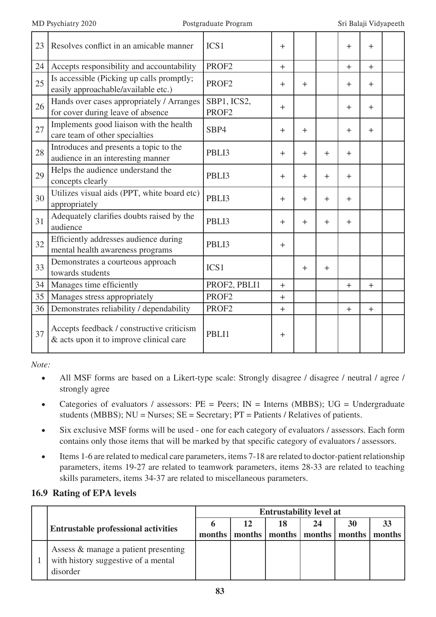| 23 | Resolves conflict in an amicable manner                                              | ICS <sub>1</sub>                 | $\pm$     |           |        | $\ddot{}$ | $+$   |  |
|----|--------------------------------------------------------------------------------------|----------------------------------|-----------|-----------|--------|-----------|-------|--|
| 24 | Accepts responsibility and accountability                                            | PROF <sub>2</sub>                | $+$       |           |        | $+$       | $+$   |  |
| 25 | Is accessible (Picking up calls promptly;<br>easily approachable/available etc.)     | PROF <sub>2</sub>                | $\pm$     | $\ddot{}$ |        | $\pm$     | $\pm$ |  |
| 26 | Hands over cases appropriately / Arranges<br>for cover during leave of absence       | SBP1, ICS2,<br>PROF <sub>2</sub> | $+$       |           |        | $+$       | $+$   |  |
| 27 | Implements good liaison with the health<br>care team of other specialties            | SBP4                             | $+$       | $\ddot{}$ |        | $+$       | $+$   |  |
| 28 | Introduces and presents a topic to the<br>audience in an interesting manner          | PBLI3                            | $\pm$     | $\pm$     | $+$    | $\pm$     |       |  |
| 29 | Helps the audience understand the<br>concepts clearly                                | PBLI3                            | $+$       | $\pm$     | $\pm$  | $+$       |       |  |
| 30 | Utilizes visual aids (PPT, white board etc)<br>appropriately                         | PBLI3                            | $+$       | $\ddot{}$ | $\div$ | $+$       |       |  |
| 31 | Adequately clarifies doubts raised by the<br>audience                                | PBLI3                            | $+$       | $\pm$     | $\pm$  | $\ddot{}$ |       |  |
| 32 | Efficiently addresses audience during<br>mental health awareness programs            | PBLI3                            | $\pm$     |           |        |           |       |  |
| 33 | Demonstrates a courteous approach<br>towards students                                | ICS <sub>1</sub>                 |           | $+$       | $+$    |           |       |  |
| 34 | Manages time efficiently                                                             | PROF2, PBLI1                     | $+$       |           |        | $+$       | $+$   |  |
| 35 | Manages stress appropriately                                                         | PROF <sub>2</sub>                | $\ddot{}$ |           |        |           |       |  |
| 36 | Demonstrates reliability / dependability                                             | PROF <sub>2</sub>                | $+$       |           |        | $+$       | $+$   |  |
| 37 | Accepts feedback / constructive criticism<br>& acts upon it to improve clinical care | PBLI1                            | $\pm$     |           |        |           |       |  |

*Note:*

- All MSF forms are based on a Likert-type scale: Strongly disagree / disagree / neutral / agree / strongly agree
- Categories of evaluators / assessors:  $PE = Peers$ ;  $IN = Interns$  (MBBS);  $UG = Undergraduate$ students (MBBS); NU = Nurses; SE = Secretary; PT = Patients / Relatives of patients.
- Six exclusive MSF forms will be used one for each category of evaluators / assessors. Each form contains only those items that will be marked by that specific category of evaluators / assessors.
- Items 1-6 are related to medical care parameters, items 7-18 are related to doctor-patient relationship parameters, items 19-27 are related to teamwork parameters, items 28-33 are related to teaching skills parameters, items 34-37 are related to miscellaneous parameters.

# **16.9 Rating of EPA levels**

|  |                                                                                         | <b>Entrustability level at</b> |    |    |                                   |    |        |
|--|-----------------------------------------------------------------------------------------|--------------------------------|----|----|-----------------------------------|----|--------|
|  | <b>Entrustable professional activities</b>                                              |                                | 12 | 18 |                                   | 30 |        |
|  |                                                                                         | months                         |    |    | months   months   months   months |    | months |
|  | Assess & manage a patient presenting<br>with history suggestive of a mental<br>disorder |                                |    |    |                                   |    |        |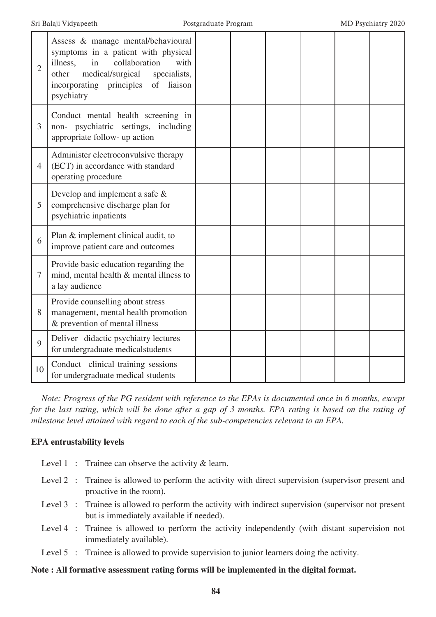| $\overline{2}$ | Assess & manage mental/behavioural<br>symptoms in a patient with physical<br>collaboration<br>illness,<br>in<br>with<br>medical/surgical<br>specialists,<br>other<br>liaison<br>incorporating principles<br>of<br>psychiatry |  |  |  |
|----------------|------------------------------------------------------------------------------------------------------------------------------------------------------------------------------------------------------------------------------|--|--|--|
| 3              | Conduct mental health screening in<br>non- psychiatric settings, including<br>appropriate follow- up action                                                                                                                  |  |  |  |
| $\overline{4}$ | Administer electroconvulsive therapy<br>(ECT) in accordance with standard<br>operating procedure                                                                                                                             |  |  |  |
| 5              | Develop and implement a safe $\&$<br>comprehensive discharge plan for<br>psychiatric inpatients                                                                                                                              |  |  |  |
| 6              | Plan & implement clinical audit, to<br>improve patient care and outcomes                                                                                                                                                     |  |  |  |
| $\tau$         | Provide basic education regarding the<br>mind, mental health & mental illness to<br>a lay audience                                                                                                                           |  |  |  |
| 8              | Provide counselling about stress<br>management, mental health promotion<br>& prevention of mental illness                                                                                                                    |  |  |  |
| $\overline{Q}$ | Deliver didactic psychiatry lectures<br>for undergraduate medicalstudents                                                                                                                                                    |  |  |  |
| 10             | Conduct clinical training sessions<br>for undergraduate medical students                                                                                                                                                     |  |  |  |

*Note: Progress of the PG resident with reference to the EPAs is documented once in 6 months, except for the last rating, which will be done after a gap of 3 months. EPA rating is based on the rating of milestone level attained with regard to each of the sub-competencies relevant to an EPA.*

#### **EPA entrustability levels**

- Level 1 : Trainee can observe the activity & learn.
- Level 2 : Trainee is allowed to perform the activity with direct supervision (supervisor present and proactive in the room).
- Level 3 : Trainee is allowed to perform the activity with indirect supervision (supervisor not present but is immediately available if needed).
- Level 4 : Trainee is allowed to perform the activity independently (with distant supervision not immediately available).
- Level 5 : Trainee is allowed to provide supervision to junior learners doing the activity.

#### **Note : All formative assessment rating forms will be implemented in the digital format.**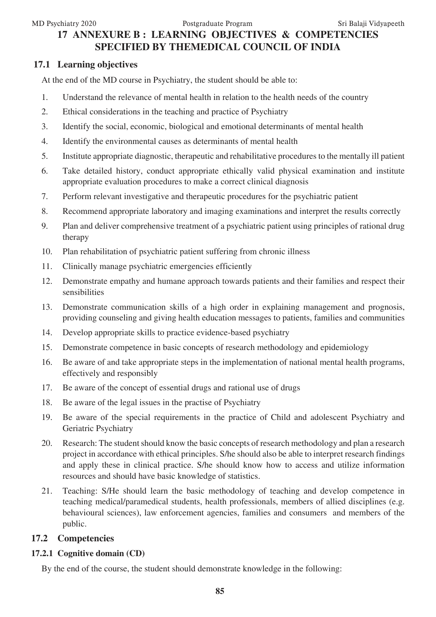# **17 ANNEXURE B : LEARNING OBJECTIVES & COMPETENCIES SPECIFIED BY THEMEDICAL COUNCIL OF INDIA**

# **17.1 Learning objectives**

At the end of the MD course in Psychiatry, the student should be able to:

- 1. Understand the relevance of mental health in relation to the health needs of the country
- 2. Ethical considerations in the teaching and practice of Psychiatry
- 3. Identify the social, economic, biological and emotional determinants of mental health
- 4. Identify the environmental causes as determinants of mental health
- 5. Institute appropriate diagnostic, therapeutic and rehabilitative procedures to the mentally ill patient
- 6. Take detailed history, conduct appropriate ethically valid physical examination and institute appropriate evaluation procedures to make a correct clinical diagnosis
- 7. Perform relevant investigative and therapeutic procedures for the psychiatric patient
- 8. Recommend appropriate laboratory and imaging examinations and interpret the results correctly
- 9. Plan and deliver comprehensive treatment of a psychiatric patient using principles of rational drug therapy
- 10. Plan rehabilitation of psychiatric patient suffering from chronic illness
- 11. Clinically manage psychiatric emergencies efficiently
- 12. Demonstrate empathy and humane approach towards patients and their families and respect their sensibilities
- 13. Demonstrate communication skills of a high order in explaining management and prognosis, providing counseling and giving health education messages to patients, families and communities
- 14. Develop appropriate skills to practice evidence-based psychiatry
- 15. Demonstrate competence in basic concepts of research methodology and epidemiology
- 16. Be aware of and take appropriate steps in the implementation of national mental health programs, effectively and responsibly
- 17. Be aware of the concept of essential drugs and rational use of drugs
- 18. Be aware of the legal issues in the practise of Psychiatry
- 19. Be aware of the special requirements in the practice of Child and adolescent Psychiatry and Geriatric Psychiatry
- 20. Research: The student should know the basic concepts of research methodology and plan a research project in accordance with ethical principles. S/he should also be able to interpret research findings and apply these in clinical practice. S/he should know how to access and utilize information resources and should have basic knowledge of statistics.
- 21. Teaching: S/He should learn the basic methodology of teaching and develop competence in teaching medical/paramedical students, health professionals, members of allied disciplines (e.g. behavioural sciences), law enforcement agencies, families and consumers and members of the public.

# **17.2 Competencies**

# **17.2.1 Cognitive domain (CD)**

By the end of the course, the student should demonstrate knowledge in the following: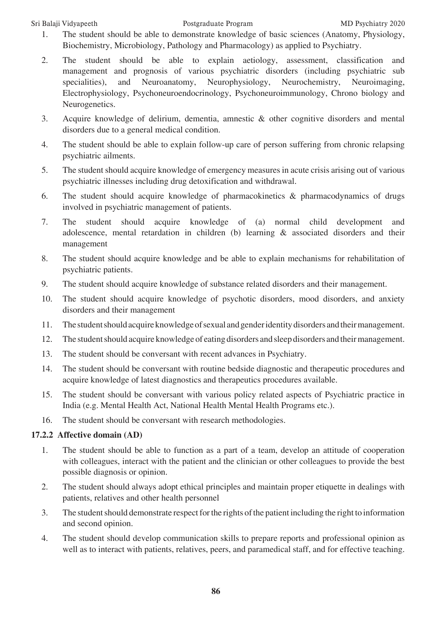#### Sri Balaji Vidyapeeth Postgraduate Program MD Psychiatry 2020

- 1. The student should be able to demonstrate knowledge of basic sciences (Anatomy, Physiology, Biochemistry, Microbiology, Pathology and Pharmacology) as applied to Psychiatry.
- 2. The student should be able to explain aetiology, assessment, classification and management and prognosis of various psychiatric disorders (including psychiatric sub specialities), and Neuroanatomy, Neurophysiology, Neurochemistry, Neuroimaging, Electrophysiology, Psychoneuroendocrinology, Psychoneuroimmunology, Chrono biology and Neurogenetics.
- 3. Acquire knowledge of delirium, dementia, amnestic & other cognitive disorders and mental disorders due to a general medical condition.
- 4. The student should be able to explain follow-up care of person suffering from chronic relapsing psychiatric ailments.
- 5. The student should acquire knowledge of emergency measures in acute crisis arising out of various psychiatric illnesses including drug detoxification and withdrawal.
- 6. The student should acquire knowledge of pharmacokinetics & pharmacodynamics of drugs involved in psychiatric management of patients.
- 7. The student should acquire knowledge of (a) normal child development and adolescence, mental retardation in children (b) learning & associated disorders and their management
- 8. The student should acquire knowledge and be able to explain mechanisms for rehabilitation of psychiatric patients.
- 9. The student should acquire knowledge of substance related disorders and their management.
- 10. The student should acquire knowledge of psychotic disorders, mood disorders, and anxiety disorders and their management
- 11. The student should acquire knowledge of sexual and gender identity disorders and their management.
- 12. The student should acquire knowledge of eating disorders and sleep disorders and their management.
- 13. The student should be conversant with recent advances in Psychiatry.
- 14. The student should be conversant with routine bedside diagnostic and therapeutic procedures and acquire knowledge of latest diagnostics and therapeutics procedures available.
- 15. The student should be conversant with various policy related aspects of Psychiatric practice in India (e.g. Mental Health Act, National Health Mental Health Programs etc.).
- 16. The student should be conversant with research methodologies.

# **17.2.2 Affective domain (AD)**

- 1. The student should be able to function as a part of a team, develop an attitude of cooperation with colleagues, interact with the patient and the clinician or other colleagues to provide the best possible diagnosis or opinion.
- 2. The student should always adopt ethical principles and maintain proper etiquette in dealings with patients, relatives and other health personnel
- 3. The student should demonstrate respect for the rights of the patient including the right to information and second opinion.
- 4. The student should develop communication skills to prepare reports and professional opinion as well as to interact with patients, relatives, peers, and paramedical staff, and for effective teaching.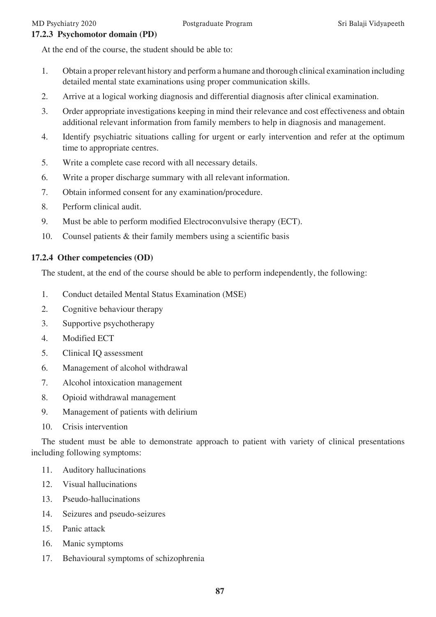#### **17.2.3 Psychomotor domain (PD)**

At the end of the course, the student should be able to:

- 1. Obtain a proper relevant history and perform a humane and thorough clinical examination including detailed mental state examinations using proper communication skills.
- 2. Arrive at a logical working diagnosis and differential diagnosis after clinical examination.
- 3. Order appropriate investigations keeping in mind their relevance and cost effectiveness and obtain additional relevant information from family members to help in diagnosis and management.
- 4. Identify psychiatric situations calling for urgent or early intervention and refer at the optimum time to appropriate centres.
- 5. Write a complete case record with all necessary details.
- 6. Write a proper discharge summary with all relevant information.
- 7. Obtain informed consent for any examination/procedure.
- 8. Perform clinical audit.
- 9. Must be able to perform modified Electroconvulsive therapy (ECT).
- 10. Counsel patients & their family members using a scientific basis

#### **17.2.4 Other competencies (OD)**

The student, at the end of the course should be able to perform independently, the following:

- 1. Conduct detailed Mental Status Examination (MSE)
- 2. Cognitive behaviour therapy
- 3. Supportive psychotherapy
- 4. Modified ECT
- 5. Clinical IQ assessment
- 6. Management of alcohol withdrawal
- 7. Alcohol intoxication management
- 8. Opioid withdrawal management
- 9. Management of patients with delirium
- 10. Crisis intervention

The student must be able to demonstrate approach to patient with variety of clinical presentations including following symptoms:

- 11. Auditory hallucinations
- 12. Visual hallucinations
- 13. Pseudo-hallucinations
- 14. Seizures and pseudo-seizures
- 15. Panic attack
- 16. Manic symptoms
- 17. Behavioural symptoms of schizophrenia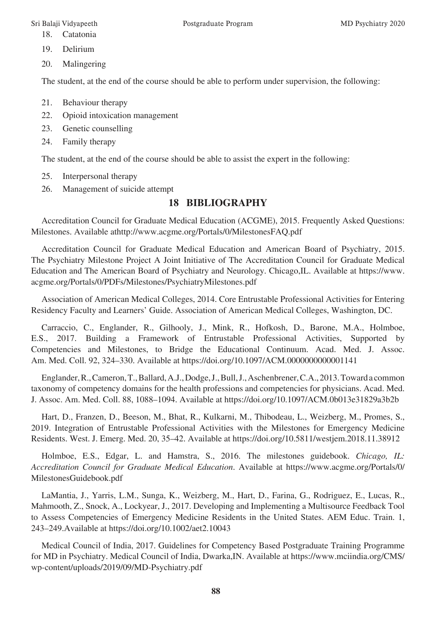- 18. Catatonia
- 19. Delirium
- 20. Malingering

The student, at the end of the course should be able to perform under supervision, the following:

- 21. Behaviour therapy
- 22. Opioid intoxication management
- 23. Genetic counselling
- 24. Family therapy

The student, at the end of the course should be able to assist the expert in the following:

- 25. Interpersonal therapy
- 26. Management of suicide attempt

# **18 BIBLIOGRAPHY**

Accreditation Council for Graduate Medical Education (ACGME), 2015. Frequently Asked Questions: Milestones. Available athttp://www.acgme.org/Portals/0/MilestonesFAQ.pdf

Accreditation Council for Graduate Medical Education and American Board of Psychiatry, 2015. The Psychiatry Milestone Project A Joint Initiative of The Accreditation Council for Graduate Medical Education and The American Board of Psychiatry and Neurology. Chicago,IL. Available at https://www. acgme.org/Portals/0/PDFs/Milestones/PsychiatryMilestones.pdf

Association of American Medical Colleges, 2014. Core Entrustable Professional Activities for Entering Residency Faculty and Learners' Guide. Association of American Medical Colleges, Washington, DC.

Carraccio, C., Englander, R., Gilhooly, J., Mink, R., Hofkosh, D., Barone, M.A., Holmboe, E.S., 2017. Building a Framework of Entrustable Professional Activities, Supported by Competencies and Milestones, to Bridge the Educational Continuum. Acad. Med. J. Assoc. Am. Med. Coll. 92, 324–330. Available at https://doi.org/10.1097/ACM.0000000000001141

Englander, R., Cameron, T., Ballard, A.J., Dodge, J., Bull, J., Aschenbrener, C.A., 2013. Toward a common taxonomy of competency domains for the health professions and competencies for physicians. Acad. Med. J. Assoc. Am. Med. Coll. 88, 1088–1094. Available at https://doi.org/10.1097/ACM.0b013e31829a3b2b

Hart, D., Franzen, D., Beeson, M., Bhat, R., Kulkarni, M., Thibodeau, L., Weizberg, M., Promes, S., 2019. Integration of Entrustable Professional Activities with the Milestones for Emergency Medicine Residents. West. J. Emerg. Med. 20, 35–42. Available at https://doi.org/10.5811/westjem.2018.11.38912

Holmboe, E.S., Edgar, L. and Hamstra, S., 2016. The milestones guidebook. *Chicago, IL: Accreditation Council for Graduate Medical Education*. Available at https://www.acgme.org/Portals/0/ MilestonesGuidebook.pdf

LaMantia, J., Yarris, L.M., Sunga, K., Weizberg, M., Hart, D., Farina, G., Rodriguez, E., Lucas, R., Mahmooth, Z., Snock, A., Lockyear, J., 2017. Developing and Implementing a Multisource Feedback Tool to Assess Competencies of Emergency Medicine Residents in the United States. AEM Educ. Train. 1, 243–249.Available at https://doi.org/10.1002/aet2.10043

Medical Council of India, 2017. Guidelines for Competency Based Postgraduate Training Programme for MD in Psychiatry. Medical Council of India, Dwarka,IN. Available at https://www.mciindia.org/CMS/ wp-content/uploads/2019/09/MD-Psychiatry.pdf